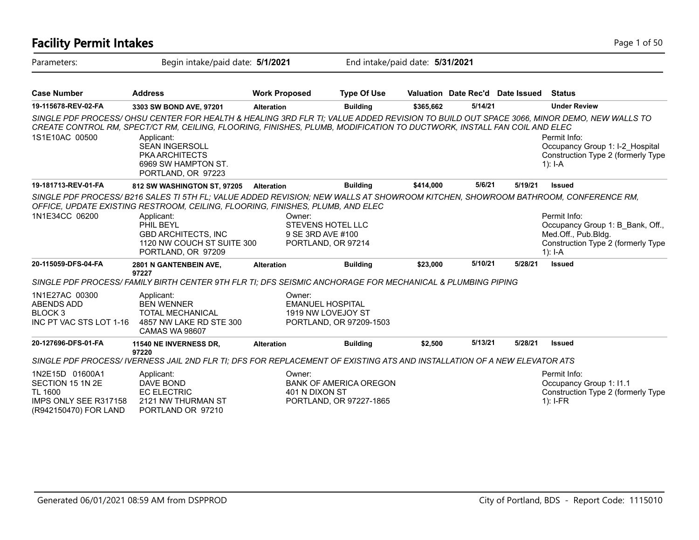| <b>Facility Permit Intakes</b>                                                                   |                                                                                                                                                                                                                                                                                                                                                                                |                                                                               |                                                          |           |                                  |         | Page 1 of 50                                                                                                               |  |
|--------------------------------------------------------------------------------------------------|--------------------------------------------------------------------------------------------------------------------------------------------------------------------------------------------------------------------------------------------------------------------------------------------------------------------------------------------------------------------------------|-------------------------------------------------------------------------------|----------------------------------------------------------|-----------|----------------------------------|---------|----------------------------------------------------------------------------------------------------------------------------|--|
| Parameters:                                                                                      | Begin intake/paid date: 5/1/2021                                                                                                                                                                                                                                                                                                                                               |                                                                               | End intake/paid date: 5/31/2021                          |           |                                  |         |                                                                                                                            |  |
| <b>Case Number</b>                                                                               | <b>Address</b>                                                                                                                                                                                                                                                                                                                                                                 | <b>Work Proposed</b>                                                          | <b>Type Of Use</b>                                       |           | Valuation Date Rec'd Date Issued |         | <b>Status</b>                                                                                                              |  |
| 19-115678-REV-02-FA                                                                              | 3303 SW BOND AVE, 97201                                                                                                                                                                                                                                                                                                                                                        | <b>Alteration</b>                                                             | <b>Building</b>                                          | \$365,662 | 5/14/21                          |         | <b>Under Review</b>                                                                                                        |  |
| 1S1E10AC 00500                                                                                   | SINGLE PDF PROCESS/OHSU CENTER FOR HEALTH & HEALING 3RD FLR TI; VALUE ADDED REVISION TO BUILD OUT SPACE 3066, MINOR DEMO, NEW WALLS TO<br>CREATE CONTROL RM, SPECT/CT RM, CEILING, FLOORING, FINISHES, PLUMB, MODIFICATION TO DUCTWORK, INSTALL FAN COIL AND ELEC<br>Applicant:<br><b>SEAN INGERSOLL</b><br><b>PKA ARCHITECTS</b><br>6969 SW HAMPTON ST.<br>PORTLAND, OR 97223 |                                                                               |                                                          |           |                                  |         | Permit Info:<br>Occupancy Group 1: I-2_Hospital<br>Construction Type 2 (formerly Type<br>$1$ : I-A                         |  |
| 19-181713-REV-01-FA                                                                              | 812 SW WASHINGTON ST, 97205                                                                                                                                                                                                                                                                                                                                                    | <b>Alteration</b>                                                             | <b>Building</b>                                          | \$414,000 | 5/6/21                           | 5/19/21 | <b>Issued</b>                                                                                                              |  |
| 1N1E34CC 06200                                                                                   | SINGLE PDF PROCESS/B216 SALES TI 5TH FL; VALUE ADDED REVISION; NEW WALLS AT SHOWROOM KITCHEN, SHOWROOM BATHROOM, CONFERENCE RM,<br>OFFICE, UPDATE EXISTING RESTROOM, CEILING, FLOORING, FINISHES, PLUMB, AND ELEC<br>Applicant:<br>PHIL BEYL<br><b>GBD ARCHITECTS, INC</b><br>1120 NW COUCH ST SUITE 300<br>PORTLAND, OR 97209                                                 | Owner:<br><b>STEVENS HOTEL LLC</b><br>9 SE 3RD AVE #100<br>PORTLAND, OR 97214 |                                                          |           |                                  |         | Permit Info:<br>Occupancy Group 1: B Bank, Off.,<br>Med.Off., Pub.Bldg.<br>Construction Type 2 (formerly Type<br>$1$ : I-A |  |
| 20-115059-DFS-04-FA                                                                              | 2801 N GANTENBEIN AVE,                                                                                                                                                                                                                                                                                                                                                         | <b>Alteration</b>                                                             | <b>Building</b>                                          | \$23,000  | 5/10/21                          | 5/28/21 | <b>Issued</b>                                                                                                              |  |
|                                                                                                  | 97227<br>SINGLE PDF PROCESS/ FAMILY BIRTH CENTER 9TH FLR TI; DFS SEISMIC ANCHORAGE FOR MECHANICAL & PLUMBING PIPING                                                                                                                                                                                                                                                            |                                                                               |                                                          |           |                                  |         |                                                                                                                            |  |
| 1N1E27AC 00300<br><b>ABENDS ADD</b><br>BLOCK <sub>3</sub><br>INC PT VAC STS LOT 1-16             | Applicant:<br><b>BEN WENNER</b><br><b>TOTAL MECHANICAL</b><br>4857 NW LAKE RD STE 300<br>CAMAS WA 98607                                                                                                                                                                                                                                                                        | Owner:<br><b>EMANUEL HOSPITAL</b><br>1919 NW LOVEJOY ST                       | PORTLAND, OR 97209-1503                                  |           |                                  |         |                                                                                                                            |  |
| 20-127696-DFS-01-FA                                                                              | 11540 NE INVERNESS DR,<br>97220                                                                                                                                                                                                                                                                                                                                                | <b>Alteration</b>                                                             | <b>Building</b>                                          | \$2,500   | 5/13/21                          | 5/28/21 | <b>Issued</b>                                                                                                              |  |
|                                                                                                  | SINGLE PDF PROCESS/IVERNESS JAIL 2ND FLR TI; DFS FOR REPLACEMENT OF EXISTING ATS AND INSTALLATION OF A NEW ELEVATOR ATS                                                                                                                                                                                                                                                        |                                                                               |                                                          |           |                                  |         |                                                                                                                            |  |
| 1N2E15D 01600A1<br>SECTION 15 1N 2E<br>TL 1600<br>IMPS ONLY SEE R317158<br>(R942150470) FOR LAND | Applicant:<br>DAVE BOND<br><b>EC ELECTRIC</b><br>2121 NW THURMAN ST<br>PORTLAND OR 97210                                                                                                                                                                                                                                                                                       | Owner:<br>401 N DIXON ST                                                      | <b>BANK OF AMERICA OREGON</b><br>PORTLAND, OR 97227-1865 |           |                                  |         | Permit Info:<br>Occupancy Group 1: I1.1<br>Construction Type 2 (formerly Type<br>$1$ : I-FR                                |  |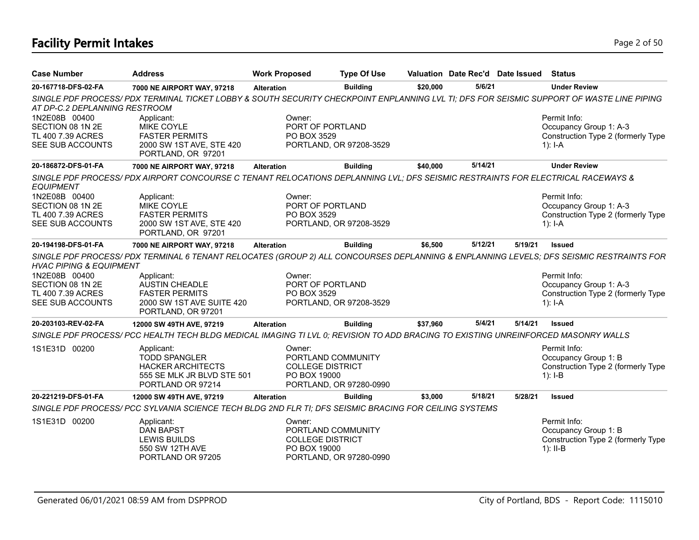# **Facility Permit Intakes** Page 2 of 50

| <b>Case Number</b>                                                         | <b>Address</b>                                                                                                                            | <b>Work Proposed</b>   | <b>Type Of Use</b>                                                       |          |         | Valuation Date Rec'd Date Issued | <b>Status</b>                                                                                                                          |
|----------------------------------------------------------------------------|-------------------------------------------------------------------------------------------------------------------------------------------|------------------------|--------------------------------------------------------------------------|----------|---------|----------------------------------|----------------------------------------------------------------------------------------------------------------------------------------|
| 20-167718-DFS-02-FA                                                        | 7000 NE AIRPORT WAY, 97218                                                                                                                | <b>Alteration</b>      | <b>Building</b>                                                          | \$20,000 | 5/6/21  |                                  | <b>Under Review</b>                                                                                                                    |
| AT DP-C.2 DEPLANNING RESTROOM                                              | SINGLE PDF PROCESS/ PDX TERMINAL TICKET LOBBY & SOUTH SECURITY CHECKPOINT ENPLANNING LVL TI; DFS FOR SEISMIC SUPPORT OF WASTE LINE PIPING |                        |                                                                          |          |         |                                  |                                                                                                                                        |
| 1N2E08B 00400<br>SECTION 08 1N 2E<br>TL 400 7.39 ACRES<br>SEE SUB ACCOUNTS | Applicant:<br>MIKE COYLE<br><b>FASTER PERMITS</b><br>2000 SW 1ST AVE, STE 420<br>PORTLAND, OR 97201                                       | Owner:<br>PO BOX 3529  | PORT OF PORTLAND<br>PORTLAND, OR 97208-3529                              |          |         |                                  | Permit Info:<br>Occupancy Group 1: A-3<br>Construction Type 2 (formerly Type<br>1): $I - A$                                            |
| 20-186872-DFS-01-FA                                                        | 7000 NE AIRPORT WAY, 97218                                                                                                                | <b>Alteration</b>      | <b>Building</b>                                                          | \$40,000 | 5/14/21 |                                  | <b>Under Review</b>                                                                                                                    |
| <b>EQUIPMENT</b>                                                           | SINGLE PDF PROCESS/PDX AIRPORT CONCOURSE C TENANT RELOCATIONS DEPLANNING LVL; DFS SEISMIC RESTRAINTS FOR ELECTRICAL RACEWAYS &            |                        |                                                                          |          |         |                                  |                                                                                                                                        |
| 1N2E08B 00400<br>SECTION 08 1N 2E<br>TL 400 7.39 ACRES<br>SEE SUB ACCOUNTS | Applicant:<br>MIKE COYLE<br><b>FASTER PERMITS</b><br>2000 SW 1ST AVE, STE 420<br>PORTLAND, OR 97201                                       | Owner:<br>PO BOX 3529  | PORT OF PORTLAND<br>PORTLAND, OR 97208-3529                              |          |         |                                  | Permit Info:<br>Occupancy Group 1: A-3<br>Construction Type 2 (formerly Type<br>$1$ : I-A                                              |
| 20-194198-DFS-01-FA                                                        | 7000 NE AIRPORT WAY, 97218                                                                                                                | <b>Alteration</b>      | <b>Building</b>                                                          | \$6,500  | 5/12/21 | 5/19/21                          | <b>Issued</b>                                                                                                                          |
| <b>HVAC PIPING &amp; EQUIPMENT</b>                                         |                                                                                                                                           |                        |                                                                          |          |         |                                  | SINGLE PDF PROCESS/PDX TERMINAL 6 TENANT RELOCATES (GROUP 2) ALL CONCOURSES DEPLANNING & ENPLANNING LEVELS; DFS SEISMIC RESTRAINTS FOR |
| 1N2E08B 00400<br>SECTION 08 1N 2E<br>TL 400 7.39 ACRES<br>SEE SUB ACCOUNTS | Applicant:<br><b>AUSTIN CHEADLE</b><br><b>FASTER PERMITS</b><br>2000 SW 1ST AVE SUITE 420<br>PORTLAND, OR 97201                           | Owner:<br>PO BOX 3529  | PORT OF PORTLAND<br>PORTLAND, OR 97208-3529                              |          |         |                                  | Permit Info:<br>Occupancy Group 1: A-3<br>Construction Type 2 (formerly Type<br>1): $I - A$                                            |
| 20-203103-REV-02-FA                                                        | 12000 SW 49TH AVE, 97219                                                                                                                  | <b>Alteration</b>      | <b>Building</b>                                                          | \$37,960 | 5/4/21  | 5/14/21                          | <b>Issued</b>                                                                                                                          |
|                                                                            | SINGLE PDF PROCESS/ PCC HEALTH TECH BLDG MEDICAL IMAGING TI LVL 0; REVISION TO ADD BRACING TO EXISTING UNREINFORCED MASONRY WALLS         |                        |                                                                          |          |         |                                  |                                                                                                                                        |
| 1S1E31D 00200                                                              | Applicant:<br><b>TODD SPANGLER</b><br><b>HACKER ARCHITECTS</b><br>555 SE MLK JR BLVD STE 501<br>PORTLAND OR 97214                         | Owner:<br>PO BOX 19000 | PORTLAND COMMUNITY<br><b>COLLEGE DISTRICT</b><br>PORTLAND, OR 97280-0990 |          |         |                                  | Permit Info:<br>Occupancy Group 1: B<br>Construction Type 2 (formerly Type<br>$1$ : I-B                                                |
| 20-221219-DFS-01-FA                                                        | 12000 SW 49TH AVE, 97219                                                                                                                  | <b>Alteration</b>      | <b>Building</b>                                                          | \$3,000  | 5/18/21 | 5/28/21                          | <b>Issued</b>                                                                                                                          |
|                                                                            | SINGLE PDF PROCESS/ PCC SYLVANIA SCIENCE TECH BLDG 2ND FLR TI; DFS SEISMIC BRACING FOR CEILING SYSTEMS                                    |                        |                                                                          |          |         |                                  |                                                                                                                                        |
| 1S1E31D 00200                                                              | Applicant:<br><b>DAN BAPST</b><br><b>LEWIS BUILDS</b><br>550 SW 12TH AVE<br>PORTLAND OR 97205                                             | Owner:<br>PO BOX 19000 | PORTLAND COMMUNITY<br><b>COLLEGE DISTRICT</b><br>PORTLAND, OR 97280-0990 |          |         |                                  | Permit Info:<br>Occupancy Group 1: B<br>Construction Type 2 (formerly Type<br>$1$ : II-B                                               |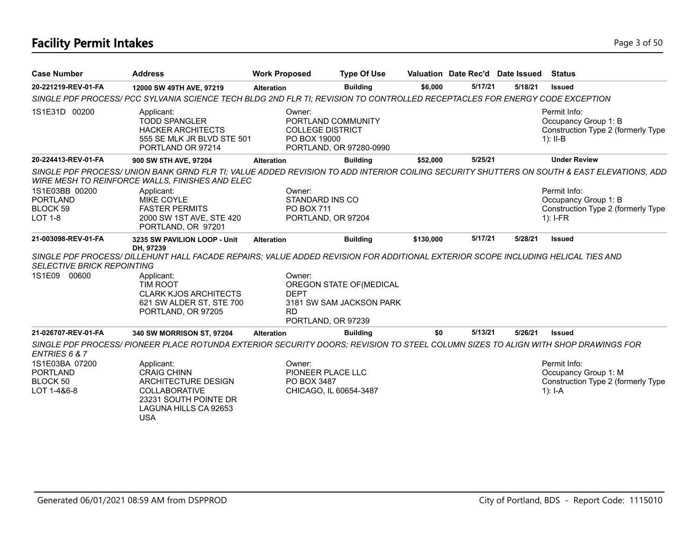# **Facility Permit Intakes** Page 3 of 50

| <b>Case Number</b>                                                     | <b>Address</b>                                                                                                                                                | <b>Work Proposed</b>                                                 | <b>Type Of Use</b>                                   |           |         | Valuation Date Rec'd Date Issued | <b>Status</b>                                                                                                                                                                                                                         |
|------------------------------------------------------------------------|---------------------------------------------------------------------------------------------------------------------------------------------------------------|----------------------------------------------------------------------|------------------------------------------------------|-----------|---------|----------------------------------|---------------------------------------------------------------------------------------------------------------------------------------------------------------------------------------------------------------------------------------|
| 20-221219-REV-01-FA                                                    | 12000 SW 49TH AVE, 97219                                                                                                                                      | <b>Alteration</b>                                                    | <b>Building</b>                                      | \$6,000   | 5/17/21 | 5/18/21                          | <b>Issued</b>                                                                                                                                                                                                                         |
|                                                                        | SINGLE PDF PROCESS/ PCC SYLVANIA SCIENCE TECH BLDG 2ND FLR TI; REVISION TO CONTROLLED RECEPTACLES FOR ENERGY CODE EXCEPTION                                   |                                                                      |                                                      |           |         |                                  |                                                                                                                                                                                                                                       |
| 1S1E31D 00200                                                          | Applicant:<br><b>TODD SPANGLER</b><br><b>HACKER ARCHITECTS</b><br>555 SE MLK JR BLVD STE 501<br>PORTLAND OR 97214                                             | Owner:<br><b>COLLEGE DISTRICT</b><br>PO BOX 19000                    | PORTLAND COMMUNITY<br>PORTLAND, OR 97280-0990        |           |         |                                  | Permit Info:<br>Occupancy Group 1: B<br>Construction Type 2 (formerly Type<br>1): $II-B$                                                                                                                                              |
| 20-224413-REV-01-FA                                                    | 900 SW 5TH AVE, 97204                                                                                                                                         | <b>Alteration</b>                                                    | <b>Building</b>                                      | \$52,000  | 5/25/21 |                                  | <b>Under Review</b>                                                                                                                                                                                                                   |
| 1S1E03BB 00200<br><b>PORTLAND</b><br><b>BLOCK 59</b><br><b>LOT 1-8</b> | WIRE MESH TO REINFORCE WALLS, FINISHES AND ELEC<br>Applicant:<br><b>MIKE COYLE</b><br><b>FASTER PERMITS</b><br>2000 SW 1ST AVE, STE 420<br>PORTLAND, OR 97201 | Owner:<br>STANDARD INS CO<br>PO BOX 711<br>PORTLAND, OR 97204        |                                                      |           |         |                                  | SINGLE PDF PROCESS/UNION BANK GRND FLR TI; VALUE ADDED REVISION TO ADD INTERIOR COILING SECURITY SHUTTERS ON SOUTH & EAST ELEVATIONS, ADD<br>Permit Info:<br>Occupancy Group 1: B<br>Construction Type 2 (formerly Type<br>$1$ : I-FR |
| 21-003098-REV-01-FA                                                    | 3235 SW PAVILION LOOP - Unit<br>DH, 97239                                                                                                                     | <b>Alteration</b>                                                    | <b>Building</b>                                      | \$130,000 | 5/17/21 | 5/28/21                          | <b>Issued</b>                                                                                                                                                                                                                         |
|                                                                        | SINGLE PDF PROCESS/ DILLEHUNT HALL FACADE REPAIRS; VALUE ADDED REVISION FOR ADDITIONAL EXTERIOR SCOPE INCLUDING HELICAL TIES AND                              |                                                                      |                                                      |           |         |                                  |                                                                                                                                                                                                                                       |
| <b>SELECTIVE BRICK REPOINTING</b>                                      |                                                                                                                                                               |                                                                      |                                                      |           |         |                                  |                                                                                                                                                                                                                                       |
| 1S1E09 00600                                                           | Applicant:<br><b>TIM ROOT</b><br><b>CLARK KJOS ARCHITECTS</b><br>621 SW ALDER ST, STE 700<br>PORTLAND, OR 97205                                               | Owner:<br><b>DEPT</b><br><b>RD</b><br>PORTLAND, OR 97239             | OREGON STATE OF (MEDICAL<br>3181 SW SAM JACKSON PARK |           |         |                                  |                                                                                                                                                                                                                                       |
| 21-026707-REV-01-FA                                                    | 340 SW MORRISON ST, 97204                                                                                                                                     | <b>Alteration</b>                                                    | <b>Building</b>                                      | \$0       | 5/13/21 | 5/26/21                          | Issued                                                                                                                                                                                                                                |
| ENTRIES 6 & 7                                                          | SINGLE PDF PROCESS/ PIONEER PLACE ROTUNDA EXTERIOR SECURITY DOORS; REVISION TO STEEL COLUMN SIZES TO ALIGN WITH SHOP DRAWINGS FOR                             |                                                                      |                                                      |           |         |                                  |                                                                                                                                                                                                                                       |
| 1S1E03BA 07200<br><b>PORTLAND</b><br>BLOCK 50<br>LOT 1-4&6-8           | Applicant:<br><b>CRAIG CHINN</b><br>ARCHITECTURE DESIGN<br><b>COLLABORATIVE</b><br>23231 SOUTH POINTE DR<br>LAGUNA HILLS CA 92653<br><b>USA</b>               | Owner:<br>PIONEER PLACE LLC<br>PO BOX 3487<br>CHICAGO, IL 60654-3487 |                                                      |           |         |                                  | Permit Info:<br>Occupancy Group 1: M<br>Construction Type 2 (formerly Type<br>$1$ : I-A                                                                                                                                               |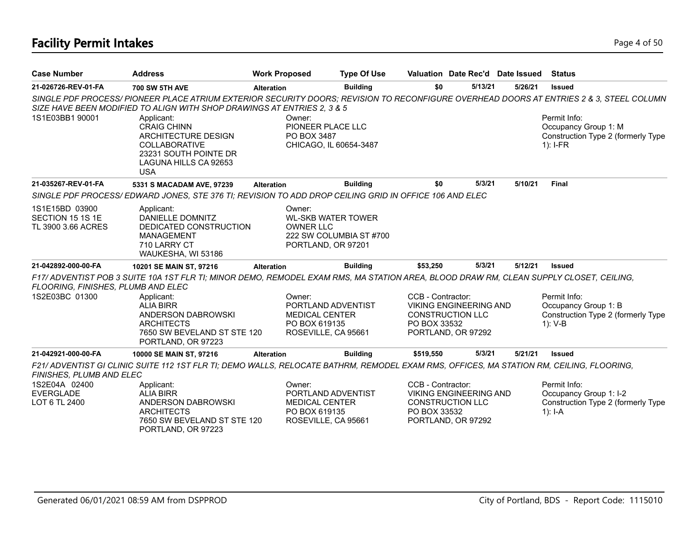# **Facility Permit Intakes** Page 4 of 50

| <b>Case Number</b>                                       | <b>Address</b>                                                                                                                                                                                                             | <b>Work Proposed</b>                                                                          | <b>Type Of Use</b>      |                                                              | Valuation Date Rec'd Date Issued                    |         | <b>Status</b>                                                                                                                                                                                                                       |
|----------------------------------------------------------|----------------------------------------------------------------------------------------------------------------------------------------------------------------------------------------------------------------------------|-----------------------------------------------------------------------------------------------|-------------------------|--------------------------------------------------------------|-----------------------------------------------------|---------|-------------------------------------------------------------------------------------------------------------------------------------------------------------------------------------------------------------------------------------|
| 21-026726-REV-01-FA                                      | <b>700 SW 5TH AVE</b>                                                                                                                                                                                                      | <b>Alteration</b>                                                                             | <b>Building</b>         | \$0                                                          | 5/13/21                                             | 5/26/21 | <b>Issued</b>                                                                                                                                                                                                                       |
| 1S1E03BB1 90001                                          | SIZE HAVE BEEN MODIFIED TO ALIGN WITH SHOP DRAWINGS AT ENTRIES 2, 3 & 5<br>Applicant:<br><b>CRAIG CHINN</b><br>ARCHITECTURE DESIGN<br><b>COLLABORATIVE</b><br>23231 SOUTH POINTE DR<br>LAGUNA HILLS CA 92653<br><b>USA</b> | Owner:<br>PIONEER PLACE LLC<br>PO BOX 3487<br>CHICAGO, IL 60654-3487                          |                         |                                                              |                                                     |         | SINGLE PDF PROCESS/ PIONEER PLACE ATRIUM EXTERIOR SECURITY DOORS; REVISION TO RECONFIGURE OVERHEAD DOORS AT ENTRIES 2 & 3, STEEL COLUMN<br>Permit Info:<br>Occupancy Group 1: M<br>Construction Type 2 (formerly Type<br>$1$ : I-FR |
| 21-035267-REV-01-FA                                      | 5331 S MACADAM AVE, 97239                                                                                                                                                                                                  | <b>Alteration</b>                                                                             | <b>Building</b>         | \$0                                                          | 5/3/21                                              | 5/10/21 | <b>Final</b>                                                                                                                                                                                                                        |
|                                                          | SINGLE PDF PROCESS/EDWARD JONES, STE 376 TI; REVISION TO ADD DROP CEILING GRID IN OFFICE 106 AND ELEC                                                                                                                      |                                                                                               |                         |                                                              |                                                     |         |                                                                                                                                                                                                                                     |
| 1S1E15BD 03900<br>SECTION 15 1S 1E<br>TL 3900 3.66 ACRES | Applicant:<br>DANIELLE DOMNITZ<br>DEDICATED CONSTRUCTION<br><b>MANAGEMENT</b><br>710 LARRY CT<br>WAUKESHA, WI 53186                                                                                                        | Owner:<br><b>WL-SKB WATER TOWER</b><br><b>OWNER LLC</b><br>PORTLAND, OR 97201                 | 222 SW COLUMBIA ST #700 |                                                              |                                                     |         |                                                                                                                                                                                                                                     |
| 21-042892-000-00-FA                                      | 10201 SE MAIN ST, 97216                                                                                                                                                                                                    | <b>Alteration</b>                                                                             | <b>Building</b>         | \$53,250                                                     | 5/3/21                                              | 5/12/21 | <b>Issued</b>                                                                                                                                                                                                                       |
| FLOORING, FINISHES, PLUMB AND ELEC                       | F17/ ADVENTIST POB 3 SUITE 10A 1ST FLR TI; MINOR DEMO, REMODEL EXAM RMS, MA STATION AREA, BLOOD DRAW RM, CLEAN SUPPLY CLOSET, CEILING,                                                                                     |                                                                                               |                         |                                                              |                                                     |         |                                                                                                                                                                                                                                     |
| 1S2E03BC 01300                                           | Applicant:<br><b>ALIA BIRR</b><br>ANDERSON DABROWSKI<br><b>ARCHITECTS</b><br>7650 SW BEVELAND ST STE 120<br>PORTLAND, OR 97223                                                                                             | Owner:<br>PORTLAND ADVENTIST<br><b>MEDICAL CENTER</b><br>PO BOX 619135<br>ROSEVILLE, CA 95661 |                         | CCB - Contractor:<br><b>CONSTRUCTION LLC</b><br>PO BOX 33532 | <b>VIKING ENGINEERING AND</b><br>PORTLAND, OR 97292 |         | Permit Info:<br>Occupancy Group 1: B<br>Construction Type 2 (formerly Type<br>$1)$ : V-B                                                                                                                                            |
| 21-042921-000-00-FA                                      | 10000 SE MAIN ST, 97216                                                                                                                                                                                                    | <b>Alteration</b>                                                                             | <b>Building</b>         | \$519,550                                                    | 5/3/21                                              | 5/21/21 | <b>Issued</b>                                                                                                                                                                                                                       |
| FINISHES, PLUMB AND ELEC                                 | F21/ ADVENTIST GI CLINIC SUITE 112 1ST FLR TI; DEMO WALLS, RELOCATE BATHRM, REMODEL EXAM RMS, OFFICES, MA STATION RM, CEILING, FLOORING,                                                                                   |                                                                                               |                         |                                                              |                                                     |         |                                                                                                                                                                                                                                     |
| 1S2E04A 02400<br><b>EVERGLADE</b><br>LOT 6 TL 2400       | Applicant:<br><b>ALIA BIRR</b><br>ANDERSON DABROWSKI<br><b>ARCHITECTS</b><br>7650 SW BEVELAND ST STE 120<br>PORTLAND, OR 97223                                                                                             | Owner:<br>PORTLAND ADVENTIST<br><b>MEDICAL CENTER</b><br>PO BOX 619135<br>ROSEVILLE, CA 95661 |                         | CCB - Contractor:<br><b>CONSTRUCTION LLC</b><br>PO BOX 33532 | <b>VIKING ENGINEERING AND</b><br>PORTLAND, OR 97292 |         | Permit Info:<br>Occupancy Group 1: I-2<br>Construction Type 2 (formerly Type<br>1): $I - A$                                                                                                                                         |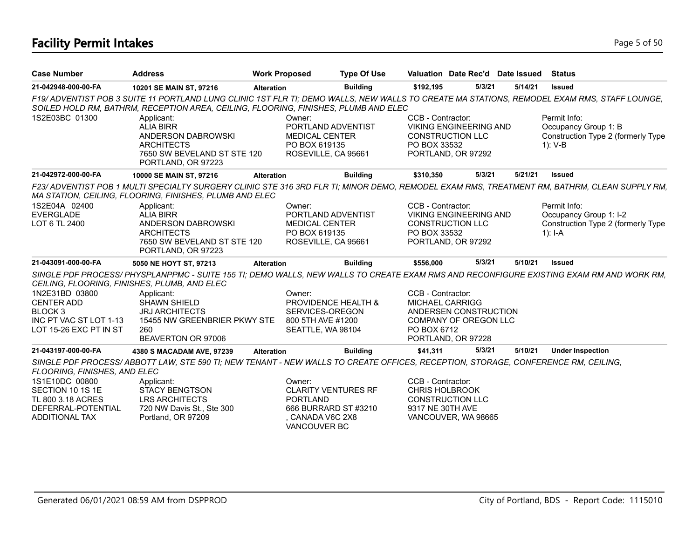# **Facility Permit Intakes** Page 5 of 50

| <b>Case Number</b>                           | <b>Address</b>                                                                                                                                                                                                                     | <b>Work Proposed</b> | <b>Type Of Use</b>                                                                  |                                   | Valuation Date Rec'd Date Issued                                               |         | <b>Status</b>                                                                            |  |
|----------------------------------------------|------------------------------------------------------------------------------------------------------------------------------------------------------------------------------------------------------------------------------------|----------------------|-------------------------------------------------------------------------------------|-----------------------------------|--------------------------------------------------------------------------------|---------|------------------------------------------------------------------------------------------|--|
| 21-042948-000-00-FA                          | 10201 SE MAIN ST, 97216                                                                                                                                                                                                            | <b>Alteration</b>    | <b>Building</b>                                                                     | \$192,195                         | 5/3/21                                                                         | 5/14/21 | <b>Issued</b>                                                                            |  |
|                                              | F19/ ADVENTIST POB 3 SUITE 11 PORTLAND LUNG CLINIC 1ST FLR TI; DEMO WALLS, NEW WALLS TO CREATE MA STATIONS, REMODEL EXAM RMS, STAFF LOUNGE,<br>SOILED HOLD RM, BATHRM, RECEPTION AREA, CEILING, FLOORING, FINISHES, PLUMB AND ELEC |                      |                                                                                     |                                   |                                                                                |         |                                                                                          |  |
| 1S2E03BC 01300                               | Applicant:<br><b>ALIA BIRR</b><br>ANDERSON DABROWSKI<br><b>ARCHITECTS</b><br>7650 SW BEVELAND ST STE 120<br>PORTLAND, OR 97223                                                                                                     | Owner:               | PORTLAND ADVENTIST<br><b>MEDICAL CENTER</b><br>PO BOX 619135<br>ROSEVILLE, CA 95661 | CCB - Contractor:<br>PO BOX 33532 | <b>VIKING ENGINEERING AND</b><br><b>CONSTRUCTION LLC</b><br>PORTLAND, OR 97292 |         | Permit Info:<br>Occupancy Group 1: B<br>Construction Type 2 (formerly Type<br>$1)$ : V-B |  |
| 21-042972-000-00-FA                          | 10000 SE MAIN ST, 97216                                                                                                                                                                                                            | <b>Alteration</b>    | <b>Building</b>                                                                     | \$310,350                         | 5/3/21                                                                         | 5/21/21 | <b>Issued</b>                                                                            |  |
|                                              | F23/ ADVENTIST POB 1 MULTI SPECIALTY SURGERY CLINIC STE 316 3RD FLR TI; MINOR DEMO, REMODEL EXAM RMS, TREATMENT RM, BATHRM, CLEAN SUPPLY RM,<br>MA STATION, CEILING, FLOORING, FINISHES, PLUMB AND ELEC                            |                      |                                                                                     |                                   |                                                                                |         |                                                                                          |  |
| 1S2E04A 02400                                | Applicant:                                                                                                                                                                                                                         | Owner:               |                                                                                     | CCB - Contractor:                 |                                                                                |         | Permit Info:                                                                             |  |
| <b>EVERGLADE</b>                             | <b>ALIA BIRR</b><br>ANDERSON DABROWSKI                                                                                                                                                                                             |                      | PORTLAND ADVENTIST                                                                  |                                   | <b>VIKING ENGINEERING AND</b>                                                  |         | Occupancy Group 1: I-2                                                                   |  |
| LOT 6 TL 2400                                | <b>ARCHITECTS</b>                                                                                                                                                                                                                  |                      | <b>MEDICAL CENTER</b><br>PO BOX 619135                                              | PO BOX 33532                      | <b>CONSTRUCTION LLC</b>                                                        |         | Construction Type 2 (formerly Type<br>1): $I - A$                                        |  |
|                                              | 7650 SW BEVELAND ST STE 120<br>PORTLAND, OR 97223                                                                                                                                                                                  |                      | ROSEVILLE, CA 95661                                                                 |                                   | PORTLAND, OR 97292                                                             |         |                                                                                          |  |
| 21-043091-000-00-FA                          | 5050 NE HOYT ST, 97213                                                                                                                                                                                                             | <b>Alteration</b>    | <b>Building</b>                                                                     | \$556,000                         | 5/3/21                                                                         | 5/10/21 | <b>Issued</b>                                                                            |  |
| CEILING, FLOORING, FINISHES, PLUMB, AND ELEC | SINGLE PDF PROCESS/PHYSPLANPPMC - SUITE 155 TI; DEMO WALLS, NEW WALLS TO CREATE EXAM RMS AND RECONFIGURE EXISTING EXAM RM AND WORK RM,                                                                                             |                      |                                                                                     |                                   |                                                                                |         |                                                                                          |  |
| 1N2E31BD 03800                               | Applicant:                                                                                                                                                                                                                         | Owner:               |                                                                                     | CCB - Contractor:                 |                                                                                |         |                                                                                          |  |
| CENTER ADD                                   | <b>SHAWN SHIELD</b>                                                                                                                                                                                                                |                      | PROVIDENCE HEALTH &                                                                 | <b>MICHAEL CARRIGG</b>            |                                                                                |         |                                                                                          |  |
| BLOCK <sub>3</sub><br>INC PT VAC ST LOT 1-13 | <b>JRJ ARCHITECTS</b>                                                                                                                                                                                                              |                      | SERVICES-OREGON                                                                     |                                   | ANDERSEN CONSTRUCTION                                                          |         |                                                                                          |  |
| LOT 15-26 EXC PT IN ST                       | 15455 NW GREENBRIER PKWY STE<br>260                                                                                                                                                                                                |                      | 800 5TH AVE #1200<br>SEATTLE, WA 98104                                              | PO BOX 6712                       | COMPANY OF OREGON LLC                                                          |         |                                                                                          |  |
|                                              | BEAVERTON OR 97006                                                                                                                                                                                                                 |                      |                                                                                     |                                   | PORTLAND, OR 97228                                                             |         |                                                                                          |  |
| 21-043197-000-00-FA                          | 4380 S MACADAM AVE, 97239                                                                                                                                                                                                          | <b>Alteration</b>    | <b>Building</b>                                                                     | \$41,311                          | 5/3/21                                                                         | 5/10/21 | <b>Under Inspection</b>                                                                  |  |
|                                              | SINGLE PDF PROCESS/ABBOTT LAW, STE 590 TI; NEW TENANT - NEW WALLS TO CREATE OFFICES, RECEPTION, STORAGE, CONFERENCE RM, CEILING,                                                                                                   |                      |                                                                                     |                                   |                                                                                |         |                                                                                          |  |
| FLOORING, FINISHES, AND ELEC                 |                                                                                                                                                                                                                                    |                      |                                                                                     |                                   |                                                                                |         |                                                                                          |  |
| 1S1E10DC 00800                               | Applicant:                                                                                                                                                                                                                         | Owner:               |                                                                                     | CCB - Contractor:                 |                                                                                |         |                                                                                          |  |
| SECTION 10 1S 1E                             | <b>STACY BENGTSON</b>                                                                                                                                                                                                              |                      | <b>CLARITY VENTURES RF</b>                                                          | <b>CHRIS HOLBROOK</b>             |                                                                                |         |                                                                                          |  |
| TL 800 3.18 ACRES                            | <b>LRS ARCHITECTS</b>                                                                                                                                                                                                              |                      | <b>PORTLAND</b>                                                                     |                                   | <b>CONSTRUCTION LLC</b>                                                        |         |                                                                                          |  |
| DEFERRAL-POTENTIAL<br><b>ADDITIONAL TAX</b>  | 720 NW Davis St., Ste 300<br>Portland, OR 97209                                                                                                                                                                                    |                      | 666 BURRARD ST #3210<br>CANADA V6C 2X8                                              | 9317 NE 30TH AVE                  | VANCOUVER, WA 98665                                                            |         |                                                                                          |  |
|                                              |                                                                                                                                                                                                                                    |                      | VANCOUVER BC                                                                        |                                   |                                                                                |         |                                                                                          |  |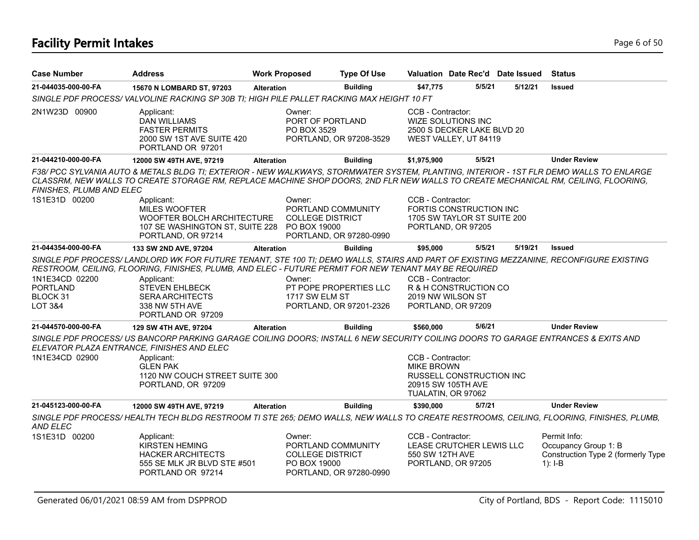# **Facility Permit Intakes** Page 6 of 50

| <b>Case Number</b>                                       | <b>Address</b>                                                                                                                                                                                                                                                                                                                                         | <b>Work Proposed</b> |                                                                         | <b>Type Of Use</b>                                |                                        | Valuation Date Rec'd Date Issued                                             |         | <b>Status</b>                                                                           |
|----------------------------------------------------------|--------------------------------------------------------------------------------------------------------------------------------------------------------------------------------------------------------------------------------------------------------------------------------------------------------------------------------------------------------|----------------------|-------------------------------------------------------------------------|---------------------------------------------------|----------------------------------------|------------------------------------------------------------------------------|---------|-----------------------------------------------------------------------------------------|
| 21-044035-000-00-FA                                      | 15670 N LOMBARD ST, 97203                                                                                                                                                                                                                                                                                                                              | <b>Alteration</b>    |                                                                         | <b>Building</b>                                   | \$47,775                               | 5/5/21                                                                       | 5/12/21 | <b>Issued</b>                                                                           |
|                                                          | SINGLE PDF PROCESS/VALVOLINE RACKING SP 30B TI; HIGH PILE PALLET RACKING MAX HEIGHT 10 FT                                                                                                                                                                                                                                                              |                      |                                                                         |                                                   |                                        |                                                                              |         |                                                                                         |
| 2N1W23D 00900                                            | Applicant:<br><b>DAN WILLIAMS</b><br><b>FASTER PERMITS</b><br>2000 SW 1ST AVE SUITE 420<br>PORTLAND OR 97201                                                                                                                                                                                                                                           |                      | Owner:<br>PORT OF PORTLAND<br>PO BOX 3529                               | PORTLAND, OR 97208-3529                           | CCB - Contractor:                      | WIZE SOLUTIONS INC<br>2500 S DECKER LAKE BLVD 20<br>WEST VALLEY, UT 84119    |         |                                                                                         |
| 21-044210-000-00-FA                                      | 12000 SW 49TH AVE, 97219                                                                                                                                                                                                                                                                                                                               | <b>Alteration</b>    |                                                                         | <b>Building</b>                                   | \$1,975,900                            | 5/5/21                                                                       |         | <b>Under Review</b>                                                                     |
| FINISHES, PLUMB AND ELEC                                 | F38/ PCC SYLVANIA AUTO & METALS BLDG TI; EXTERIOR - NEW WALKWAYS, STORMWATER SYSTEM, PLANTING, INTERIOR - 1ST FLR DEMO WALLS TO ENLARGE<br>CLASSRM, NEW WALLS TO CREATE STORAGE RM, REPLACE MACHINE SHOP DOORS, 2ND FLR NEW WALLS TO CREATE MECHANICAL RM, CEILING, FLOORING,                                                                          |                      |                                                                         |                                                   |                                        |                                                                              |         |                                                                                         |
| 1S1E31D 00200                                            | Applicant:<br><b>MILES WOOFTER</b><br>WOOFTER BOLCH ARCHITECTURE<br>107 SE WASHINGTON ST, SUITE 228 PO BOX 19000<br>PORTLAND, OR 97214                                                                                                                                                                                                                 |                      | Owner:<br>PORTLAND COMMUNITY<br><b>COLLEGE DISTRICT</b>                 | PORTLAND, OR 97280-0990                           | CCB - Contractor:                      | FORTIS CONSTRUCTION INC<br>1705 SW TAYLOR ST SUITE 200<br>PORTLAND, OR 97205 |         |                                                                                         |
| 21-044354-000-00-FA                                      | 133 SW 2ND AVE, 97204                                                                                                                                                                                                                                                                                                                                  | <b>Alteration</b>    |                                                                         | <b>Building</b>                                   | \$95,000                               | 5/5/21                                                                       | 5/19/21 | <b>Issued</b>                                                                           |
| 1N1E34CD 02200<br><b>PORTLAND</b><br>BLOCK 31<br>LOT 3&4 | SINGLE PDF PROCESS/LANDLORD WK FOR FUTURE TENANT, STE 100 TI; DEMO WALLS, STAIRS AND PART OF EXISTING MEZZANINE, RECONFIGURE EXISTING<br>RESTROOM, CEILING, FLOORING, FINISHES, PLUMB, AND ELEC - FUTURE PERMIT FOR NEW TENANT MAY BE REQUIRED<br>Applicant:<br><b>STEVEN EHLBECK</b><br><b>SERA ARCHITECTS</b><br>338 NW 5TH AVE<br>PORTLAND OR 97209 |                      | Owner:<br>1717 SW ELM ST                                                | PT POPE PROPERTIES LLC<br>PORTLAND, OR 97201-2326 | CCB - Contractor:                      | R & H CONSTRUCTION CO<br>2019 NW WILSON ST<br>PORTLAND, OR 97209             |         |                                                                                         |
| 21-044570-000-00-FA                                      | 129 SW 4TH AVE, 97204                                                                                                                                                                                                                                                                                                                                  | <b>Alteration</b>    |                                                                         | <b>Building</b>                                   | \$560,000                              | 5/6/21                                                                       |         | <b>Under Review</b>                                                                     |
| 1N1E34CD 02900                                           | SINGLE PDF PROCESS/ US BANCORP PARKING GARAGE COILING DOORS; INSTALL 6 NEW SECURITY COILING DOORS TO GARAGE ENTRANCES & EXITS AND<br>ELEVATOR PLAZA ENTRANCE, FINISHES AND ELEC<br>Applicant:<br><b>GLEN PAK</b><br>1120 NW COUCH STREET SUITE 300<br>PORTLAND, OR 97209                                                                               |                      |                                                                         |                                                   | CCB - Contractor:<br><b>MIKE BROWN</b> | RUSSELL CONSTRUCTION INC<br>20915 SW 105TH AVE                               |         |                                                                                         |
|                                                          |                                                                                                                                                                                                                                                                                                                                                        |                      |                                                                         |                                                   |                                        | TUALATIN, OR 97062                                                           |         |                                                                                         |
| 21-045123-000-00-FA                                      | 12000 SW 49TH AVE, 97219                                                                                                                                                                                                                                                                                                                               | <b>Alteration</b>    |                                                                         | <b>Building</b>                                   | \$390,000                              | 5/7/21                                                                       |         | <b>Under Review</b>                                                                     |
| AND ELEC                                                 | SINGLE PDF PROCESS/HEALTH TECH BLDG RESTROOM TI STE 265; DEMO WALLS, NEW WALLS TO CREATE RESTROOMS, CEILING, FLOORING, FINISHES, PLUMB,                                                                                                                                                                                                                |                      |                                                                         |                                                   |                                        |                                                                              |         |                                                                                         |
| 1S1E31D 00200                                            | Applicant:<br><b>KIRSTEN HEMING</b><br><b>HACKER ARCHITECTS</b><br>555 SE MLK JR BLVD STE #501<br>PORTLAND OR 97214                                                                                                                                                                                                                                    |                      | Owner:<br>PORTLAND COMMUNITY<br><b>COLLEGE DISTRICT</b><br>PO BOX 19000 | PORTLAND, OR 97280-0990                           | CCB - Contractor:<br>550 SW 12TH AVE   | LEASE CRUTCHER LEWIS LLC<br>PORTLAND, OR 97205                               |         | Permit Info:<br>Occupancy Group 1: B<br>Construction Type 2 (formerly Type<br>$1$ : I-B |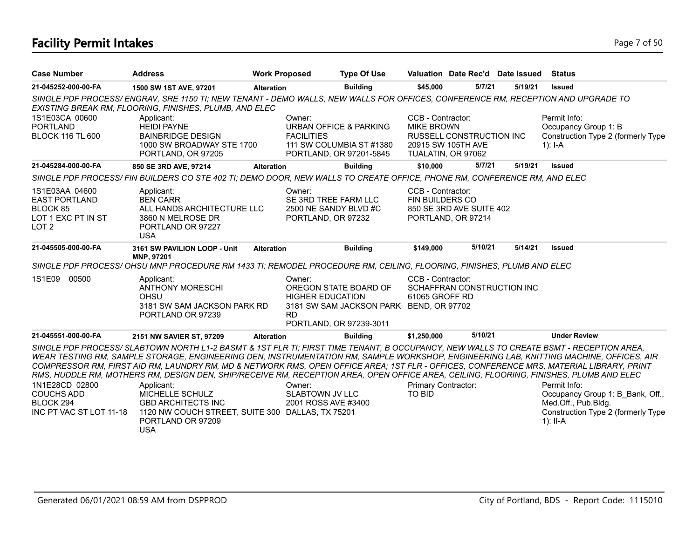# **Facility Permit Intakes** Page 7 of 50

| <b>Case Number</b>                                                                           | <b>Address</b>                                                                                                                                                                                                                                                                                                                                                                                                                                                                                                                                                                  | <b>Work Proposed</b> | <b>Type Of Use</b>                                                                                                               |                                             | Valuation Date Rec'd Date Issued                                             |         | <b>Status</b>                                                                                                                                                                                                                                                       |
|----------------------------------------------------------------------------------------------|---------------------------------------------------------------------------------------------------------------------------------------------------------------------------------------------------------------------------------------------------------------------------------------------------------------------------------------------------------------------------------------------------------------------------------------------------------------------------------------------------------------------------------------------------------------------------------|----------------------|----------------------------------------------------------------------------------------------------------------------------------|---------------------------------------------|------------------------------------------------------------------------------|---------|---------------------------------------------------------------------------------------------------------------------------------------------------------------------------------------------------------------------------------------------------------------------|
| 21-045252-000-00-FA                                                                          | 1500 SW 1ST AVE, 97201                                                                                                                                                                                                                                                                                                                                                                                                                                                                                                                                                          | <b>Alteration</b>    | <b>Building</b>                                                                                                                  | \$45,000                                    | 5/7/21                                                                       | 5/19/21 | <b>Issued</b>                                                                                                                                                                                                                                                       |
|                                                                                              | SINGLE PDF PROCESS/ENGRAV, SRE 1150 TI; NEW TENANT - DEMO WALLS, NEW WALLS FOR OFFICES, CONFERENCE RM, RECEPTION AND UPGRADE TO<br>EXISTING BREAK RM, FLOORING, FINISHES, PLUMB, AND ELEC                                                                                                                                                                                                                                                                                                                                                                                       |                      |                                                                                                                                  |                                             |                                                                              |         |                                                                                                                                                                                                                                                                     |
| 1S1E03CA 00600<br><b>PORTLAND</b><br><b>BLOCK 116 TL 600</b>                                 | Applicant:<br><b>HEIDI PAYNE</b><br><b>BAINBRIDGE DESIGN</b><br>1000 SW BROADWAY STE 1700<br>PORTLAND, OR 97205                                                                                                                                                                                                                                                                                                                                                                                                                                                                 |                      | Owner:<br>URBAN OFFICE & PARKING<br><b>FACILITIES</b><br>111 SW COLUMBIA ST #1380<br>PORTLAND, OR 97201-5845                     | CCB - Contractor:<br><b>MIKE BROWN</b>      | <b>RUSSELL CONSTRUCTION INC.</b><br>20915 SW 105TH AVE<br>TUALATIN, OR 97062 |         | Permit Info:<br>Occupancy Group 1: B<br>Construction Type 2 (formerly Type<br>1): $I - A$                                                                                                                                                                           |
| 21-045284-000-00-FA                                                                          | 850 SE 3RD AVE, 97214                                                                                                                                                                                                                                                                                                                                                                                                                                                                                                                                                           | <b>Alteration</b>    | <b>Building</b>                                                                                                                  | \$10,000                                    | 5/7/21                                                                       | 5/19/21 | <b>Issued</b>                                                                                                                                                                                                                                                       |
|                                                                                              | SINGLE PDF PROCESS/ FIN BUILDERS CO STE 402 TI; DEMO DOOR, NEW WALLS TO CREATE OFFICE, PHONE RM, CONFERENCE RM, AND ELEC                                                                                                                                                                                                                                                                                                                                                                                                                                                        |                      |                                                                                                                                  |                                             |                                                                              |         |                                                                                                                                                                                                                                                                     |
| 1S1E03AA 04600<br><b>EAST PORTLAND</b><br>BLOCK 85<br>LOT 1 EXC PT IN ST<br>LOT <sub>2</sub> | Applicant:<br><b>BEN CARR</b><br>ALL HANDS ARCHITECTURE LLC<br>3860 N MELROSE DR<br>PORTLAND OR 97227<br><b>USA</b>                                                                                                                                                                                                                                                                                                                                                                                                                                                             |                      | Owner:<br>SE 3RD TREE FARM LLC<br>2500 NE SANDY BLVD #C<br>PORTLAND, OR 97232                                                    | CCB - Contractor:<br><b>FIN BUILDERS CO</b> | 850 SE 3RD AVE SUITE 402<br>PORTLAND, OR 97214                               |         |                                                                                                                                                                                                                                                                     |
| 21-045505-000-00-FA                                                                          | 3161 SW PAVILION LOOP - Unit<br>MNP, 97201                                                                                                                                                                                                                                                                                                                                                                                                                                                                                                                                      | <b>Alteration</b>    | <b>Building</b>                                                                                                                  | \$149,000                                   | 5/10/21                                                                      | 5/14/21 | <b>Issued</b>                                                                                                                                                                                                                                                       |
|                                                                                              | SINGLE PDF PROCESS/OHSU MNP PROCEDURE RM 1433 TI; REMODEL PROCEDURE RM, CEILING, FLOORING, FINISHES, PLUMB AND ELEC                                                                                                                                                                                                                                                                                                                                                                                                                                                             |                      |                                                                                                                                  |                                             |                                                                              |         |                                                                                                                                                                                                                                                                     |
| 1S1E09 00500                                                                                 | Applicant:<br><b>ANTHONY MORESCHI</b><br><b>OHSU</b><br>3181 SW SAM JACKSON PARK RD<br>PORTLAND OR 97239                                                                                                                                                                                                                                                                                                                                                                                                                                                                        | <b>RD</b>            | Owner:<br>OREGON STATE BOARD OF<br><b>HIGHER EDUCATION</b><br>3181 SW SAM JACKSON PARK BEND, OR 97702<br>PORTLAND, OR 97239-3011 | CCB - Contractor:<br>61065 GROFF RD         | SCHAFFRAN CONSTRUCTION INC                                                   |         |                                                                                                                                                                                                                                                                     |
| 21-045551-000-00-FA                                                                          | 2151 NW SAVIER ST, 97209                                                                                                                                                                                                                                                                                                                                                                                                                                                                                                                                                        | <b>Alteration</b>    | <b>Building</b>                                                                                                                  | \$1,250,000                                 | 5/10/21                                                                      |         | <b>Under Review</b>                                                                                                                                                                                                                                                 |
| 1N1E28CD 02800<br><b>COUCHS ADD</b><br>BLOCK 294<br>INC PT VAC ST LOT 11-18                  | SINGLE PDF PROCESS/SLABTOWN NORTH L1-2 BASMT & 1ST FLR TI; FIRST TIME TENANT, B OCCUPANCY, NEW WALLS TO CREATE BSMT - RECEPTION AREA,<br>COMPRESSOR RM, FIRST AID RM, LAUNDRY RM, MD & NETWORK RMS, OPEN OFFICE AREA; 1ST FLR - OFFICES, CONFERENCE MRS, MATERIAL LIBRARY, PRINT<br>RMS, HUDDLE RM, MOTHERS RM, DESIGN DEN, SHIP/RECEIVE RM, RECEPTION AREA, OPEN OFFICE AREA, CEILING, FLOORING, FINISHES, PLUMB AND ELEC<br>Applicant:<br>MICHELLE SCHULZ<br><b>GBD ARCHITECTS INC</b><br>1120 NW COUCH STREET, SUITE 300 DALLAS, TX 75201<br>PORTLAND OR 97209<br><b>USA</b> |                      | Owner:<br><b>SLABTOWN JV LLC</b><br>2001 ROSS AVE #3400                                                                          | Primary Contractor:<br><b>TO BID</b>        |                                                                              |         | WEAR TESTING RM, SAMPLE STORAGE, ENGINEERING DEN, INSTRUMENTATION RM, SAMPLE WORKSHOP, ENGINEERING LAB, KNITTING MACHINE, OFFICES, AIR<br>Permit Info:<br>Occupancy Group 1: B Bank, Off.,<br>Med.Off., Pub.Bldg.<br>Construction Type 2 (formerly Type<br>1): II-A |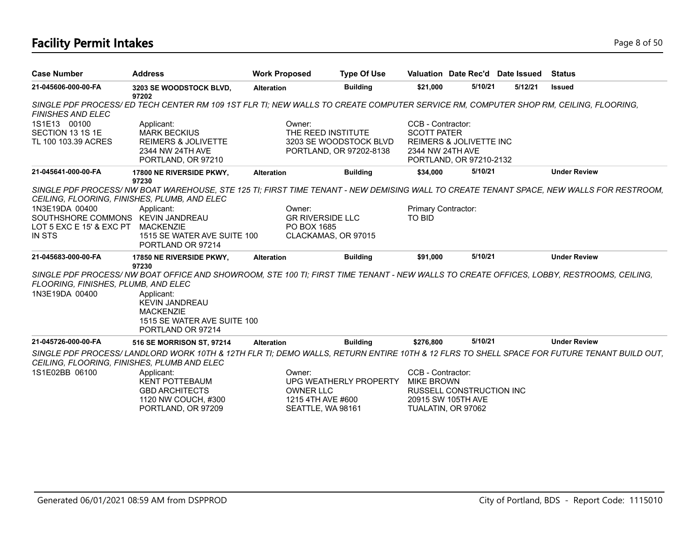# **Facility Permit Intakes** Page 8 of 50

| <b>Case Number</b>                                                                        | <b>Address</b>                                                                                                                                                                                                                                          | <b>Work Proposed</b>                                                 | <b>Type Of Use</b>                                |                                                                                                                              |         | Valuation Date Rec'd Date Issued | <b>Status</b>                                                                                                                             |
|-------------------------------------------------------------------------------------------|---------------------------------------------------------------------------------------------------------------------------------------------------------------------------------------------------------------------------------------------------------|----------------------------------------------------------------------|---------------------------------------------------|------------------------------------------------------------------------------------------------------------------------------|---------|----------------------------------|-------------------------------------------------------------------------------------------------------------------------------------------|
| 21-045606-000-00-FA                                                                       | 3203 SE WOODSTOCK BLVD,<br>97202                                                                                                                                                                                                                        | <b>Alteration</b>                                                    | <b>Building</b>                                   | \$21,000                                                                                                                     | 5/10/21 | 5/12/21                          | <b>Issued</b>                                                                                                                             |
| <b>FINISHES AND ELEC</b>                                                                  | SINGLE PDF PROCESS/ED TECH CENTER RM 109 1ST FLR TI; NEW WALLS TO CREATE COMPUTER SERVICE RM, COMPUTER SHOP RM, CEILING, FLOORING,                                                                                                                      |                                                                      |                                                   |                                                                                                                              |         |                                  |                                                                                                                                           |
| 1S1E13 00100<br>SECTION 13 1S 1E<br>TL 100 103.39 ACRES                                   | Applicant:<br><b>MARK BECKIUS</b><br><b>REIMERS &amp; JOLIVETTE</b><br>2344 NW 24TH AVE<br>PORTLAND, OR 97210                                                                                                                                           | Owner:<br>THE REED INSTITUTE                                         | 3203 SE WOODSTOCK BLVD<br>PORTLAND, OR 97202-8138 | CCB - Contractor:<br><b>SCOTT PATER</b><br><b>REIMERS &amp; JOLIVETTE INC</b><br>2344 NW 24TH AVE<br>PORTLAND, OR 97210-2132 |         |                                  |                                                                                                                                           |
| 21-045641-000-00-FA                                                                       | 17800 NE RIVERSIDE PKWY,                                                                                                                                                                                                                                | <b>Alteration</b>                                                    | <b>Building</b>                                   | \$34,000                                                                                                                     | 5/10/21 |                                  | <b>Under Review</b>                                                                                                                       |
| 1N3E19DA 00400<br>SOUTHSHORE COMMONS KEVIN JANDREAU<br>LOT 5 EXC E 15' & EXC PT<br>IN STS | 97230<br>CEILING, FLOORING, FINISHES, PLUMB, AND ELEC<br>Applicant:<br><b>MACKENZIE</b><br>1515 SE WATER AVE SUITE 100<br>PORTLAND OR 97214                                                                                                             | Owner:<br><b>GR RIVERSIDE LLC</b><br>PO BOX 1685                     | CLACKAMAS, OR 97015                               | Primary Contractor:<br>TO BID                                                                                                |         |                                  | SINGLE PDF PROCESS/ NW BOAT WAREHOUSE, STE 125 TI; FIRST TIME TENANT - NEW DEMISING WALL TO CREATE TENANT SPACE, NEW WALLS FOR RESTROOM,  |
| 21-045683-000-00-FA                                                                       | 17850 NE RIVERSIDE PKWY,<br>97230                                                                                                                                                                                                                       | <b>Alteration</b>                                                    | <b>Building</b>                                   | \$91,000                                                                                                                     | 5/10/21 |                                  | <b>Under Review</b>                                                                                                                       |
| FLOORING, FINISHES, PLUMB, AND ELEC<br>1N3E19DA 00400                                     | SINGLE PDF PROCESS/ NW BOAT OFFICE AND SHOWROOM, STE 100 TI; FIRST TIME TENANT - NEW WALLS TO CREATE OFFICES, LOBBY, RESTROOMS, CEILING,<br>Applicant:<br><b>KEVIN JANDREAU</b><br><b>MACKENZIE</b><br>1515 SE WATER AVE SUITE 100<br>PORTLAND OR 97214 |                                                                      |                                                   |                                                                                                                              |         |                                  |                                                                                                                                           |
| 21-045726-000-00-FA                                                                       | 516 SE MORRISON ST, 97214                                                                                                                                                                                                                               | <b>Alteration</b>                                                    | <b>Building</b>                                   | \$276,800                                                                                                                    | 5/10/21 |                                  | <b>Under Review</b>                                                                                                                       |
| CEILING, FLOORING, FINISHES, PLUMB AND ELEC<br>1S1E02BB 06100                             | Applicant:<br><b>KENT POTTEBAUM</b><br><b>GBD ARCHITECTS</b><br>1120 NW COUCH, #300<br>PORTLAND, OR 97209                                                                                                                                               | Owner:<br><b>OWNER LLC</b><br>1215 4TH AVE #600<br>SEATTLE, WA 98161 | UPG WEATHERLY PROPERTY                            | CCB - Contractor:<br>MIKE BROWN<br><b>RUSSELL CONSTRUCTION INC.</b><br>20915 SW 105TH AVE<br>TUALATIN, OR 97062              |         |                                  | SINGLE PDF PROCESS/LANDLORD WORK 10TH & 12TH FLR TI; DEMO WALLS, RETURN ENTIRE 10TH & 12 FLRS TO SHELL SPACE FOR FUTURE TENANT BUILD OUT, |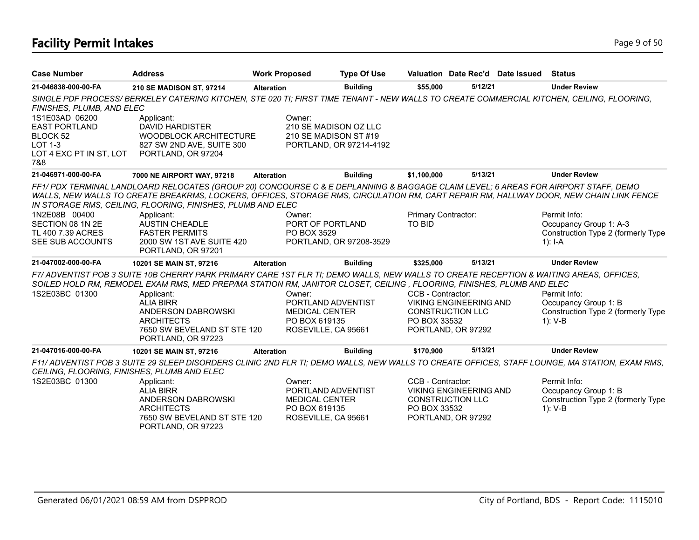# **Facility Permit Intakes** Page 9 of 50

| <b>Case Number</b>                                                                                | <b>Address</b>                                                                                                                                                                                                                                                                                                                             | <b>Work Proposed</b>                                     | <b>Type Of Use</b>      |                               |         | Valuation Date Rec'd Date Issued | <b>Status</b>                      |
|---------------------------------------------------------------------------------------------------|--------------------------------------------------------------------------------------------------------------------------------------------------------------------------------------------------------------------------------------------------------------------------------------------------------------------------------------------|----------------------------------------------------------|-------------------------|-------------------------------|---------|----------------------------------|------------------------------------|
| 21-046838-000-00-FA                                                                               | 210 SE MADISON ST, 97214                                                                                                                                                                                                                                                                                                                   | <b>Alteration</b>                                        | <b>Building</b>         | \$55,000                      | 5/12/21 |                                  | <b>Under Review</b>                |
| FINISHES, PLUMB, AND ELEC                                                                         | SINGLE PDF PROCESS/BERKELEY CATERING KITCHEN, STE 020 TI; FIRST TIME TENANT - NEW WALLS TO CREATE COMMERCIAL KITCHEN, CEILING, FLOORING,                                                                                                                                                                                                   |                                                          |                         |                               |         |                                  |                                    |
| 1S1E03AD 06200<br><b>EAST PORTLAND</b><br>BLOCK 52<br>$LOT 1-3$<br>LOT 4 EXC PT IN ST, LOT<br>7&8 | Applicant:<br><b>DAVID HARDISTER</b><br>WOODBLOCK ARCHITECTURE<br>827 SW 2ND AVE, SUITE 300<br>PORTLAND, OR 97204                                                                                                                                                                                                                          | Owner:<br>210 SE MADISON OZ LLC<br>210 SE MADISON ST #19 | PORTLAND, OR 97214-4192 |                               |         |                                  |                                    |
| 21-046971-000-00-FA                                                                               | 7000 NE AIRPORT WAY, 97218                                                                                                                                                                                                                                                                                                                 | <b>Alteration</b>                                        | <b>Building</b>         | \$1,100,000                   | 5/13/21 |                                  | <b>Under Review</b>                |
|                                                                                                   | FF1/PDX TERMINAL LANDLOARD RELOCATES (GROUP 20) CONCOURSE C & E DEPLANNING & BAGGAGE CLAIM LEVEL; 6 AREAS FOR AIRPORT STAFF, DEMO<br>WALLS, NEW WALLS TO CREATE BREAKRMS, LOCKERS, OFFICES, STORAGE RMS, CIRCULATION RM, CART REPAIR RM, HALLWAY DOOR, NEW CHAIN LINK FENCE<br>IN STORAGE RMS, CEILING, FLOORING, FINISHES, PLUMB AND ELEC |                                                          |                         |                               |         |                                  |                                    |
| 1N2E08B 00400                                                                                     | Applicant:                                                                                                                                                                                                                                                                                                                                 | Owner:                                                   |                         | Primary Contractor:           |         |                                  | Permit Info:                       |
| SECTION 08 1N 2E                                                                                  | <b>AUSTIN CHEADLE</b>                                                                                                                                                                                                                                                                                                                      | PORT OF PORTLAND                                         |                         | TO BID                        |         |                                  | Occupancy Group 1: A-3             |
| TL 400 7.39 ACRES                                                                                 | <b>FASTER PERMITS</b>                                                                                                                                                                                                                                                                                                                      | PO BOX 3529                                              |                         |                               |         |                                  | Construction Type 2 (formerly Type |
| SEE SUB ACCOUNTS                                                                                  | 2000 SW 1ST AVE SUITE 420<br>PORTLAND, OR 97201                                                                                                                                                                                                                                                                                            |                                                          | PORTLAND, OR 97208-3529 |                               |         |                                  | 1): $I - A$                        |
| 21-047002-000-00-FA                                                                               | 10201 SE MAIN ST, 97216                                                                                                                                                                                                                                                                                                                    | <b>Alteration</b>                                        | <b>Building</b>         | \$325,000                     | 5/13/21 |                                  | <b>Under Review</b>                |
|                                                                                                   | F7/ ADVENTIST POB 3 SUITE 10B CHERRY PARK PRIMARY CARE 1ST FLR TI; DEMO WALLS, NEW WALLS TO CREATE RECEPTION & WAITING AREAS, OFFICES,<br>SOILED HOLD RM, REMODEL EXAM RMS, MED PREP/MA STATION RM, JANITOR CLOSET, CEILING, FLOORING, FINISHES, PLUMB AND ELEC                                                                            |                                                          |                         |                               |         |                                  |                                    |
| 1S2E03BC 01300                                                                                    | Applicant:                                                                                                                                                                                                                                                                                                                                 | Owner:                                                   |                         | CCB - Contractor:             |         |                                  | Permit Info:                       |
|                                                                                                   | <b>ALIA BIRR</b>                                                                                                                                                                                                                                                                                                                           | PORTLAND ADVENTIST                                       |                         | <b>VIKING ENGINEERING AND</b> |         |                                  | Occupancy Group 1: B               |
|                                                                                                   | ANDERSON DABROWSKI                                                                                                                                                                                                                                                                                                                         | <b>MEDICAL CENTER</b>                                    |                         | <b>CONSTRUCTION LLC</b>       |         |                                  | Construction Type 2 (formerly Type |
|                                                                                                   | <b>ARCHITECTS</b>                                                                                                                                                                                                                                                                                                                          | PO BOX 619135                                            |                         | PO BOX 33532                  |         |                                  | $1)$ : V-B                         |
|                                                                                                   | 7650 SW BEVELAND ST STE 120<br>PORTLAND, OR 97223                                                                                                                                                                                                                                                                                          | ROSEVILLE, CA 95661                                      |                         | PORTLAND, OR 97292            |         |                                  |                                    |
| 21-047016-000-00-FA                                                                               | 10201 SE MAIN ST, 97216                                                                                                                                                                                                                                                                                                                    | <b>Alteration</b>                                        | <b>Building</b>         | \$170,900                     | 5/13/21 |                                  | <b>Under Review</b>                |
| CEILING, FLOORING, FINISHES, PLUMB AND ELEC                                                       | F11/ ADVENTIST POB 3 SUITE 29 SLEEP DISORDERS CLINIC 2ND FLR TI; DEMO WALLS, NEW WALLS TO CREATE OFFICES, STAFF LOUNGE, MA STATION, EXAM RMS,                                                                                                                                                                                              |                                                          |                         |                               |         |                                  |                                    |
| 1S2E03BC 01300                                                                                    | Applicant:                                                                                                                                                                                                                                                                                                                                 | Owner:                                                   |                         | CCB - Contractor:             |         |                                  | Permit Info:                       |
|                                                                                                   | <b>ALIA BIRR</b>                                                                                                                                                                                                                                                                                                                           | PORTLAND ADVENTIST                                       |                         | <b>VIKING ENGINEERING AND</b> |         |                                  | Occupancy Group 1: B               |
|                                                                                                   | ANDERSON DABROWSKI                                                                                                                                                                                                                                                                                                                         | <b>MEDICAL CENTER</b>                                    |                         | <b>CONSTRUCTION LLC</b>       |         |                                  | Construction Type 2 (formerly Type |
|                                                                                                   | <b>ARCHITECTS</b>                                                                                                                                                                                                                                                                                                                          | PO BOX 619135                                            |                         | PO BOX 33532                  |         |                                  | 1): V-B                            |
|                                                                                                   | 7650 SW BEVELAND ST STE 120<br>PORTLAND, OR 97223                                                                                                                                                                                                                                                                                          | ROSEVILLE, CA 95661                                      |                         | PORTLAND, OR 97292            |         |                                  |                                    |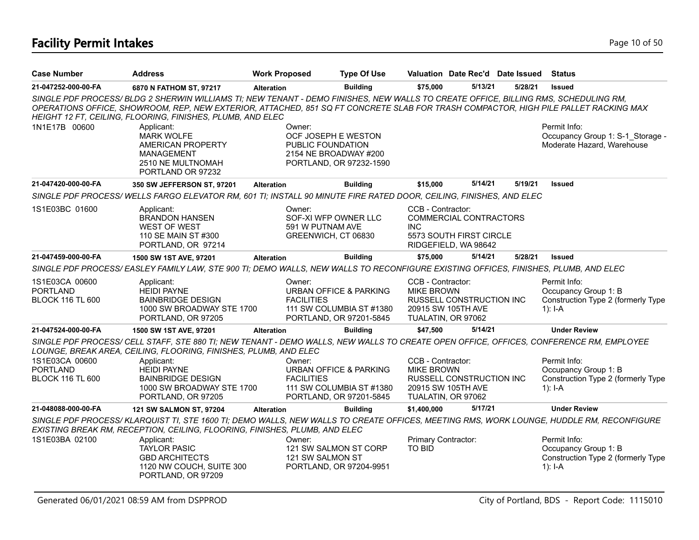# **Facility Permit Intakes** Page 10 of 50

| <b>Case Number</b>                                           | <b>Address</b>                                                                                                                                                                                                                                                                                                                          | <b>Work Proposed</b>        | <b>Type Of Use</b>                                                                           |                                                                                    | Valuation Date Rec'd Date Issued Status                                   |         |                                                                                         |
|--------------------------------------------------------------|-----------------------------------------------------------------------------------------------------------------------------------------------------------------------------------------------------------------------------------------------------------------------------------------------------------------------------------------|-----------------------------|----------------------------------------------------------------------------------------------|------------------------------------------------------------------------------------|---------------------------------------------------------------------------|---------|-----------------------------------------------------------------------------------------|
| 21-047252-000-00-FA                                          | 6870 N FATHOM ST, 97217                                                                                                                                                                                                                                                                                                                 | <b>Alteration</b>           | <b>Building</b>                                                                              | \$75,000                                                                           | 5/13/21                                                                   | 5/28/21 | <b>Issued</b>                                                                           |
|                                                              | SINGLE PDF PROCESS/BLDG 2 SHERWIN WILLIAMS TI; NEW TENANT - DEMO FINISHES, NEW WALLS TO CREATE OFFICE, BILLING RMS, SCHEDULING RM,<br>OPERATIONS OFFICE, SHOWROOM, REP, NEW EXTERIOR, ATTACHED, 851 SQ FT CONCRETE SLAB FOR TRASH COMPACTOR, HIGH PILE PALLET RACKING MAX<br>HEIGHT 12 FT, CEILING, FLOORING, FINISHES, PLUMB, AND ELEC |                             |                                                                                              |                                                                                    |                                                                           |         |                                                                                         |
| 1N1E17B 00600                                                | Applicant:<br><b>MARK WOLFE</b><br>AMERICAN PROPERTY<br>MANAGEMENT<br>2510 NE MULTNOMAH<br>PORTLAND OR 97232                                                                                                                                                                                                                            | Owner:                      | OCF JOSEPH E WESTON<br>PUBLIC FOUNDATION<br>2154 NE BROADWAY #200<br>PORTLAND, OR 97232-1590 |                                                                                    |                                                                           |         | Permit Info:<br>Occupancy Group 1: S-1 Storage -<br>Moderate Hazard, Warehouse          |
| 21-047420-000-00-FA                                          | 350 SW JEFFERSON ST, 97201                                                                                                                                                                                                                                                                                                              | <b>Alteration</b>           | <b>Building</b>                                                                              | \$15,000                                                                           | 5/14/21                                                                   | 5/19/21 | <b>Issued</b>                                                                           |
|                                                              | SINGLE PDF PROCESS/WELLS FARGO ELEVATOR RM, 601 TI; INSTALL 90 MINUTE FIRE RATED DOOR, CEILING, FINISHES, AND ELEC                                                                                                                                                                                                                      |                             |                                                                                              |                                                                                    |                                                                           |         |                                                                                         |
| 1S1E03BC 01600                                               | Applicant:<br><b>BRANDON HANSEN</b><br><b>WEST OF WEST</b><br>110 SE MAIN ST #300<br>PORTLAND, OR 97214                                                                                                                                                                                                                                 | Owner:<br>591 W PUTNAM AVE  | SOF-XI WFP OWNER LLC<br>GREENWICH, CT 06830                                                  | CCB - Contractor:<br><b>INC</b>                                                    | COMMERCIAL CONTRACTORS<br>5573 SOUTH FIRST CIRCLE<br>RIDGEFIELD, WA 98642 |         |                                                                                         |
| 21-047459-000-00-FA                                          | 1500 SW 1ST AVE, 97201                                                                                                                                                                                                                                                                                                                  | <b>Alteration</b>           | <b>Building</b>                                                                              | \$75,000                                                                           | 5/14/21                                                                   | 5/28/21 | <b>Issued</b>                                                                           |
|                                                              | SINGLE PDF PROCESS/EASLEY FAMILY LAW, STE 900 TI; DEMO WALLS, NEW WALLS TO RECONFIGURE EXISTING OFFICES, FINISHES, PLUMB, AND ELEC                                                                                                                                                                                                      |                             |                                                                                              |                                                                                    |                                                                           |         |                                                                                         |
| 1S1E03CA 00600<br><b>PORTLAND</b><br><b>BLOCK 116 TL 600</b> | Applicant:<br><b>HEIDI PAYNE</b><br><b>BAINBRIDGE DESIGN</b><br>1000 SW BROADWAY STE 1700<br>PORTLAND, OR 97205                                                                                                                                                                                                                         | Owner:<br><b>FACILITIES</b> | <b>URBAN OFFICE &amp; PARKING</b><br>111 SW COLUMBIA ST #1380<br>PORTLAND, OR 97201-5845     | CCB - Contractor:<br><b>MIKE BROWN</b><br>20915 SW 105TH AVE<br>TUALATIN, OR 97062 | RUSSELL CONSTRUCTION INC                                                  |         | Permit Info:<br>Occupancy Group 1: B<br>Construction Type 2 (formerly Type<br>1): $I-A$ |
| 21-047524-000-00-FA                                          | 1500 SW 1ST AVE, 97201                                                                                                                                                                                                                                                                                                                  | <b>Alteration</b>           | <b>Building</b>                                                                              | \$47,500                                                                           | 5/14/21                                                                   |         | <b>Under Review</b>                                                                     |
|                                                              | SINGLE PDF PROCESS/ CELL STAFF, STE 880 TI; NEW TENANT - DEMO WALLS, NEW WALLS TO CREATE OPEN OFFICE, OFFICES, CONFERENCE RM, EMPLOYEE<br>LOUNGE, BREAK AREA, CEILING, FLOORING, FINISHES, PLUMB, AND ELEC                                                                                                                              |                             |                                                                                              |                                                                                    |                                                                           |         |                                                                                         |
| 1S1E03CA 00600<br><b>PORTLAND</b><br><b>BLOCK 116 TL 600</b> | Applicant:<br><b>HEIDI PAYNE</b><br><b>BAINBRIDGE DESIGN</b><br>1000 SW BROADWAY STE 1700<br>PORTLAND, OR 97205                                                                                                                                                                                                                         | Owner:<br><b>FACILITIES</b> | <b>URBAN OFFICE &amp; PARKING</b><br>111 SW COLUMBIA ST #1380<br>PORTLAND, OR 97201-5845     | CCB - Contractor:<br><b>MIKE BROWN</b><br>20915 SW 105TH AVE<br>TUALATIN, OR 97062 | RUSSELL CONSTRUCTION INC                                                  |         | Permit Info:<br>Occupancy Group 1: B<br>Construction Type 2 (formerly Type<br>$1$ : I-A |
| 21-048088-000-00-FA                                          | 121 SW SALMON ST, 97204                                                                                                                                                                                                                                                                                                                 | <b>Alteration</b>           | <b>Building</b>                                                                              | \$1,400,000                                                                        | 5/17/21                                                                   |         | <b>Under Review</b>                                                                     |
|                                                              | SINGLE PDF PROCESS/KLARQUIST TI, STE 1600 TI; DEMO WALLS, NEW WALLS TO CREATE OFFICES, MEETING RMS, WORK LOUNGE, HUDDLE RM, RECONFIGURE<br>EXISTING BREAK RM, RECEPTION, CEILING, FLOORING, FINISHES, PLUMB, AND ELEC                                                                                                                   |                             |                                                                                              |                                                                                    |                                                                           |         |                                                                                         |
| 1S1E03BA 02100                                               | Applicant:<br><b>TAYLOR PASIC</b><br><b>GBD ARCHITECTS</b><br>1120 NW COUCH, SUITE 300<br>PORTLAND, OR 97209                                                                                                                                                                                                                            | Owner:<br>121 SW SALMON ST  | 121 SW SALMON ST CORP<br>PORTLAND, OR 97204-9951                                             | Primary Contractor:<br>TO BID                                                      |                                                                           |         | Permit Info:<br>Occupancy Group 1: B<br>Construction Type 2 (formerly Type<br>1): $I-A$ |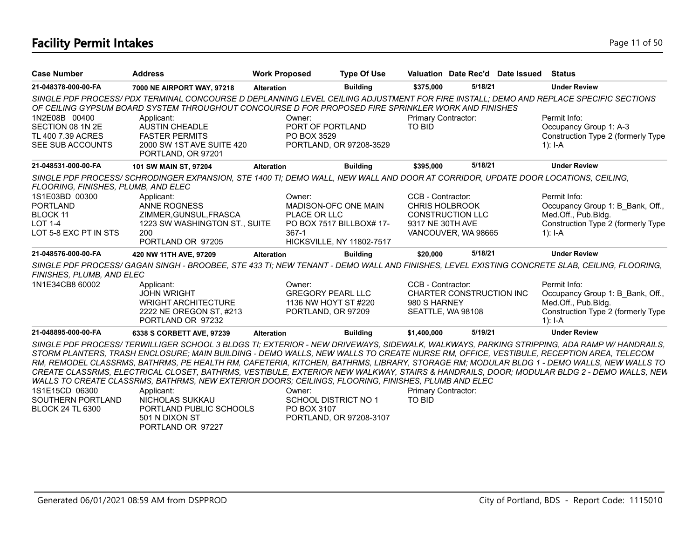# **Facility Permit Intakes** Page 11 of 50

| <b>Case Number</b>                                                         | <b>Address</b>                                                                                                                   | <b>Work Proposed</b>                      | <b>Type Of Use</b>        |                                      | Valuation Date Rec'd Date Issued | Status                                                                                                                                       |
|----------------------------------------------------------------------------|----------------------------------------------------------------------------------------------------------------------------------|-------------------------------------------|---------------------------|--------------------------------------|----------------------------------|----------------------------------------------------------------------------------------------------------------------------------------------|
| 21-048378-000-00-FA                                                        | 7000 NE AIRPORT WAY, 97218                                                                                                       | <b>Alteration</b>                         | <b>Building</b>           | \$375.000                            | 5/18/21                          | <b>Under Review</b>                                                                                                                          |
|                                                                            | OF CEILING GYPSUM BOARD SYSTEM THROUGHOUT CONCOURSE D FOR PROPOSED FIRE SPRINKLER WORK AND FINISHES                              |                                           |                           |                                      |                                  | SINGLE PDF PROCESS/ PDX TERMINAL CONCOURSE D DEPLANNING LEVEL CEILING ADJUSTMENT FOR FIRE INSTALL; DEMO AND REPLACE SPECIFIC SECTIONS        |
| 1N2E08B 00400<br>SECTION 08 1N 2E<br>TL 400 7.39 ACRES<br>SEE SUB ACCOUNTS | Applicant:<br><b>AUSTIN CHEADLE</b><br><b>FASTER PERMITS</b><br>2000 SW 1ST AVE SUITE 420<br>PORTLAND, OR 97201                  | Owner:<br>PORT OF PORTLAND<br>PO BOX 3529 | PORTLAND, OR 97208-3529   | Primary Contractor:<br><b>TO BID</b> |                                  | Permit Info:<br>Occupancy Group 1: A-3<br>Construction Type 2 (formerly Type<br>1): $I-A$                                                    |
| 21-048531-000-00-FA                                                        | 101 SW MAIN ST, 97204                                                                                                            | <b>Alteration</b>                         | <b>Building</b>           | \$395,000                            | 5/18/21                          | <b>Under Review</b>                                                                                                                          |
| FLOORING, FINISHES, PLUMB, AND ELEC                                        | SINGLE PDF PROCESS/SCHRODINGER EXPANSION, STE 1400 TI; DEMO WALL, NEW WALL AND DOOR AT CORRIDOR, UPDATE DOOR LOCATIONS, CEILING, |                                           |                           |                                      |                                  |                                                                                                                                              |
| 1S1E03BD 00300                                                             | Applicant:                                                                                                                       | Owner:                                    |                           | CCB - Contractor:                    |                                  | Permit Info:                                                                                                                                 |
| <b>PORTLAND</b>                                                            | <b>ANNE ROGNESS</b>                                                                                                              |                                           | MADISON-OFC ONE MAIN      | <b>CHRIS HOLBROOK</b>                |                                  | Occupancy Group 1: B Bank, Off.,                                                                                                             |
| <b>BLOCK 11</b>                                                            | ZIMMER, GUNSUL, FRASCA                                                                                                           | PLACE OR LLC                              |                           | <b>CONSTRUCTION LLC</b>              |                                  | Med.Off., Pub.Bldg.                                                                                                                          |
| $LOT 1-4$                                                                  | 1223 SW WASHINGTON ST., SUITE                                                                                                    |                                           | PO BOX 7517 BILLBOX# 17-  | 9317 NE 30TH AVE                     |                                  | Construction Type 2 (formerly Type                                                                                                           |
| LOT 5-8 EXC PT IN STS                                                      | 200<br>PORTLAND OR 97205                                                                                                         | $367-1$                                   | HICKSVILLE, NY 11802-7517 | VANCOUVER, WA 98665                  |                                  | 1): $I-A$                                                                                                                                    |
| 21-048576-000-00-FA                                                        | 420 NW 11TH AVE, 97209                                                                                                           | <b>Alteration</b>                         | <b>Building</b>           | \$20,000                             | 5/18/21                          | <b>Under Review</b>                                                                                                                          |
| FINISHES, PLUMB, AND ELEC                                                  |                                                                                                                                  |                                           |                           |                                      |                                  | SINGLE PDF PROCESS/ GAGAN SINGH - BROOBEE, STE 433 TI; NEW TENANT - DEMO WALL AND FINISHES, LEVEL EXISTING CONCRETE SLAB, CEILING, FLOORING, |
|                                                                            |                                                                                                                                  |                                           |                           |                                      |                                  |                                                                                                                                              |
| 1N1E34CB8 60002                                                            | Applicant:                                                                                                                       | Owner:                                    |                           | CCB - Contractor:                    |                                  | Permit Info:                                                                                                                                 |
|                                                                            | <b>JOHN WRIGHT</b>                                                                                                               | <b>GREGORY PEARL LLC</b>                  |                           |                                      | CHARTER CONSTRUCTION INC         | Occupancy Group 1: B Bank, Off.,                                                                                                             |
|                                                                            | <b>WRIGHT ARCHITECTURE</b>                                                                                                       |                                           | 1136 NW HOYT ST #220      | 980 S HARNEY                         |                                  | Med.Off., Pub.Bldg.                                                                                                                          |
|                                                                            | 2222 NE OREGON ST, #213<br>PORTLAND OR 97232                                                                                     | PORTLAND, OR 97209                        |                           | SEATTLE, WA 98108                    |                                  | Construction Type 2 (formerly Type<br>$1$ : I-A                                                                                              |
| 21-048895-000-00-FA                                                        | 6338 S CORBETT AVE, 97239                                                                                                        | <b>Alteration</b>                         | <b>Building</b>           | \$1,400,000                          | 5/19/21                          | <b>Under Review</b>                                                                                                                          |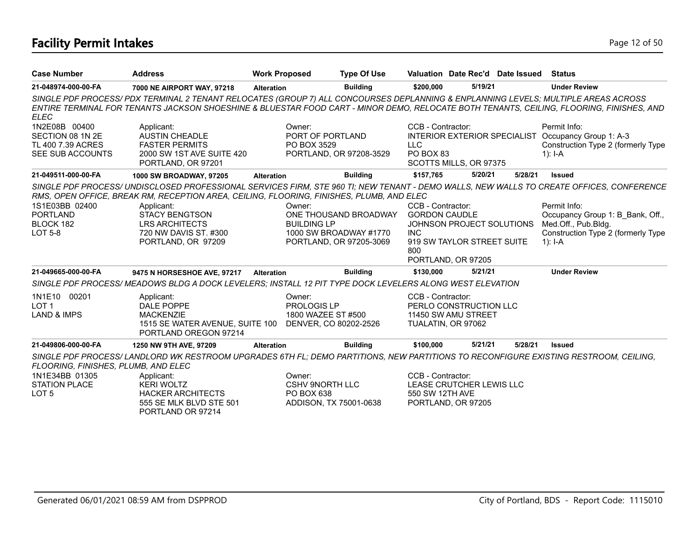# **Facility Permit Intakes** Page 12 of 50

| <b>Case Number</b>                                                         | <b>Address</b>                                                                                                                         | <b>Work Proposed</b>                           | <b>Type Of Use</b>                                                         |                                                                | Valuation Date Rec'd Date Issued                        |         | <b>Status</b>                                                                                                                            |
|----------------------------------------------------------------------------|----------------------------------------------------------------------------------------------------------------------------------------|------------------------------------------------|----------------------------------------------------------------------------|----------------------------------------------------------------|---------------------------------------------------------|---------|------------------------------------------------------------------------------------------------------------------------------------------|
| 21-048974-000-00-FA                                                        | 7000 NE AIRPORT WAY, 97218                                                                                                             | <b>Alteration</b>                              | <b>Building</b>                                                            | \$200,000                                                      | 5/19/21                                                 |         | <b>Under Review</b>                                                                                                                      |
| <b>ELEC</b>                                                                | SINGLE PDF PROCESS/PDX TERMINAL 2 TENANT RELOCATES (GROUP 7) ALL CONCOURSES DEPLANNING & ENPLANNING LEVELS; MULTIPLE AREAS ACROSS      |                                                |                                                                            |                                                                |                                                         |         | ENTIRE TERMINAL FOR TENANTS JACKSON SHOESHINE & BLUESTAR FOOD CART - MINOR DEMO, RELOCATE BOTH TENANTS, CEILING, FLOORING, FINISHES, AND |
| 1N2E08B 00400<br>SECTION 08 1N 2E<br>TL 400 7.39 ACRES<br>SEE SUB ACCOUNTS | Applicant:<br><b>AUSTIN CHEADLE</b><br><b>FASTER PERMITS</b><br>2000 SW 1ST AVE SUITE 420<br>PORTLAND, OR 97201                        | Owner:<br>PO BOX 3529                          | PORT OF PORTLAND<br>PORTLAND, OR 97208-3529                                | CCB - Contractor:<br><b>LLC</b><br>PO BOX 83                   | SCOTTS MILLS, OR 97375                                  |         | Permit Info:<br>INTERIOR EXTERIOR SPECIALIST Occupancy Group 1: A-3<br>Construction Type 2 (formerly Type<br>1): $I - A$                 |
| 21-049511-000-00-FA                                                        | 1000 SW BROADWAY, 97205                                                                                                                | <b>Alteration</b>                              | <b>Building</b>                                                            | \$157,765                                                      | 5/20/21                                                 | 5/28/21 | Issued                                                                                                                                   |
|                                                                            | RMS, OPEN OFFICE, BREAK RM, RECEPTION AREA, CEILING, FLOORING, FINISHES, PLUMB, AND ELEC                                               |                                                |                                                                            |                                                                |                                                         |         | SINGLE PDF PROCESS/ UNDISCLOSED PROFESSIONAL SERVICES FIRM, STE 960 TI; NEW TENANT - DEMO WALLS, NEW WALLS TO CREATE OFFICES, CONFERENCE |
| 1S1E03BB 02400<br><b>PORTLAND</b><br>BLOCK 182<br><b>LOT 5-8</b>           | Applicant:<br><b>STACY BENGTSON</b><br><b>LRS ARCHITECTS</b><br>720 NW DAVIS ST. #300<br>PORTLAND, OR 97209                            | Owner:<br><b>BUILDING LP</b>                   | ONE THOUSAND BROADWAY<br>1000 SW BROADWAY #1770<br>PORTLAND, OR 97205-3069 | CCB - Contractor:<br><b>GORDON CAUDLE</b><br><b>INC</b><br>800 | JOHNSON PROJECT SOLUTIONS<br>919 SW TAYLOR STREET SUITE |         | Permit Info:<br>Occupancy Group 1: B Bank, Off.,<br>Med.Off., Pub.Bldg.<br>Construction Type 2 (formerly Type<br>1): $I - A$             |
| 21-049665-000-00-FA                                                        |                                                                                                                                        |                                                |                                                                            |                                                                | PORTLAND, OR 97205<br>5/21/21                           |         | <b>Under Review</b>                                                                                                                      |
|                                                                            | 9475 N HORSESHOE AVE, 97217<br>SINGLE PDF PROCESS/MEADOWS BLDG A DOCK LEVELERS; INSTALL 12 PIT TYPE DOCK LEVELERS ALONG WEST ELEVATION | <b>Alteration</b>                              | <b>Building</b>                                                            | \$130,000                                                      |                                                         |         |                                                                                                                                          |
| 1N1E10 00201<br>LOT <sub>1</sub><br><b>LAND &amp; IMPS</b>                 | Applicant:<br>DALE POPPE<br><b>MACKENZIE</b><br>1515 SE WATER AVENUE, SUITE 100<br>PORTLAND OREGON 97214                               | Owner:<br>PROLOGIS LP                          | 1800 WAZEE ST #500<br>DENVER, CO 80202-2526                                | CCB - Contractor:<br>TUALATIN, OR 97062                        | PERLO CONSTRUCTION LLC<br>11450 SW AMU STREET           |         |                                                                                                                                          |
| 21-049806-000-00-FA                                                        | 1250 NW 9TH AVE, 97209                                                                                                                 | <b>Alteration</b>                              | <b>Building</b>                                                            | \$100,000                                                      | 5/21/21                                                 | 5/28/21 | <b>Issued</b>                                                                                                                            |
| FLOORING, FINISHES, PLUMB, AND ELEC                                        | SINGLE PDF PROCESS/LANDLORD WK RESTROOM UPGRADES 6TH FL; DEMO PARTITIONS, NEW PARTITIONS TO RECONFIGURE EXISTING RESTROOM, CEILING,    |                                                |                                                                            |                                                                |                                                         |         |                                                                                                                                          |
| 1N1E34BB 01305<br><b>STATION PLACE</b><br>LOT <sub>5</sub>                 | Applicant:<br><b>KERI WOLTZ</b><br><b>HACKER ARCHITECTS</b><br>555 SE MLK BLVD STE 501<br>PORTLAND OR 97214                            | Owner:<br><b>CSHV 9NORTH LLC</b><br>PO BOX 638 | ADDISON, TX 75001-0638                                                     | CCB - Contractor:<br>550 SW 12TH AVE                           | LEASE CRUTCHER LEWIS LLC<br>PORTLAND, OR 97205          |         |                                                                                                                                          |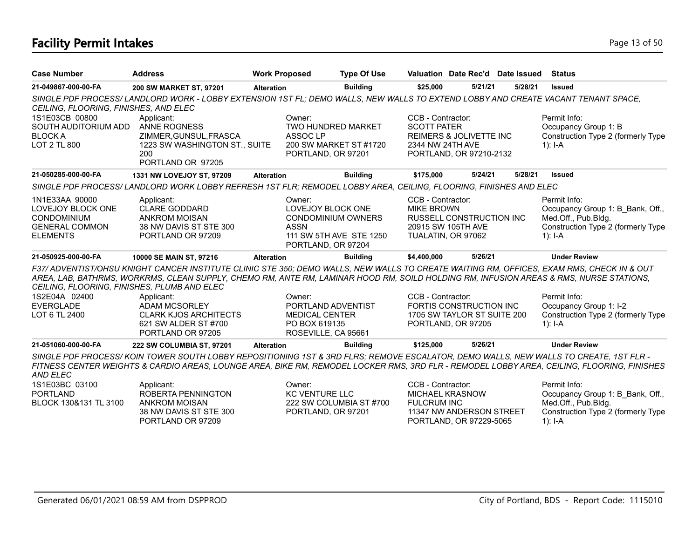# **Facility Permit Intakes** Page 13 of 50

| <b>Case Number</b>                                                                                    | <b>Address</b>                                                                                                                   | <b>Work Proposed</b>                                                                          | <b>Type Of Use</b>      |                                                                                              | Valuation Date Rec'd Date Issued | <b>Status</b>                                                                                                                                                                                                                                                                       |
|-------------------------------------------------------------------------------------------------------|----------------------------------------------------------------------------------------------------------------------------------|-----------------------------------------------------------------------------------------------|-------------------------|----------------------------------------------------------------------------------------------|----------------------------------|-------------------------------------------------------------------------------------------------------------------------------------------------------------------------------------------------------------------------------------------------------------------------------------|
| 21-049867-000-00-FA                                                                                   | 200 SW MARKET ST, 97201                                                                                                          | <b>Alteration</b>                                                                             | <b>Building</b>         | \$25,000                                                                                     | 5/21/21<br>5/28/21               | <b>Issued</b>                                                                                                                                                                                                                                                                       |
| CEILING, FLOORING, FINISHES, AND ELEC                                                                 | SINGLE PDF PROCESS/LANDLORD WORK - LOBBY EXTENSION 1ST FL; DEMO WALLS, NEW WALLS TO EXTEND LOBBY AND CREATE VACANT TENANT SPACE, |                                                                                               |                         |                                                                                              |                                  |                                                                                                                                                                                                                                                                                     |
| 1S1E03CB 00800<br>SOUTH AUDITORIUM ADD<br><b>BLOCK A</b>                                              | Applicant:<br><b>ANNE ROGNESS</b><br>ZIMMER, GUNSUL, FRASCA                                                                      | Owner:<br>TWO HUNDRED MARKET<br>ASSOC <sub>LP</sub>                                           |                         | CCB - Contractor:<br><b>SCOTT PATER</b><br><b>REIMERS &amp; JOLIVETTE INC</b>                |                                  | Permit Info:<br>Occupancy Group 1: B<br>Construction Type 2 (formerly Type                                                                                                                                                                                                          |
| LOT 2 TL 800                                                                                          | 1223 SW WASHINGTON ST., SUITE<br>200<br>PORTLAND OR 97205                                                                        | PORTLAND, OR 97201                                                                            | 200 SW MARKET ST #1720  | 2344 NW 24TH AVE<br>PORTLAND, OR 97210-2132                                                  |                                  | 1): $I - A$                                                                                                                                                                                                                                                                         |
| 21-050285-000-00-FA                                                                                   | 1331 NW LOVEJOY ST, 97209                                                                                                        | <b>Alteration</b>                                                                             | <b>Building</b>         | \$175,000                                                                                    | 5/24/21<br>5/28/21               | <b>Issued</b>                                                                                                                                                                                                                                                                       |
|                                                                                                       | SINGLE PDF PROCESS/LANDLORD WORK LOBBY REFRESH 1ST FLR; REMODEL LOBBY AREA, CEILING, FLOORING, FINISHES AND ELEC                 |                                                                                               |                         |                                                                                              |                                  |                                                                                                                                                                                                                                                                                     |
| 1N1E33AA 90000<br>LOVEJOY BLOCK ONE<br><b>CONDOMINIUM</b><br><b>GENERAL COMMON</b><br><b>ELEMENTS</b> | Applicant:<br><b>CLARE GODDARD</b><br><b>ANKROM MOISAN</b><br>38 NW DAVIS ST STE 300<br>PORTLAND OR 97209                        | Owner:<br>LOVEJOY BLOCK ONE<br><b>CONDOMINIUM OWNERS</b><br><b>ASSN</b><br>PORTLAND, OR 97204 | 111 SW 5TH AVE STE 1250 | CCB - Contractor:<br><b>MIKE BROWN</b><br>20915 SW 105TH AVE<br>TUALATIN, OR 97062           | RUSSELL CONSTRUCTION INC         | Permit Info:<br>Occupancy Group 1: B Bank, Off.,<br>Med.Off., Pub.Bldg.<br>Construction Type 2 (formerly Type<br>1): $I - A$                                                                                                                                                        |
| 21-050925-000-00-FA                                                                                   | 10000 SE MAIN ST, 97216                                                                                                          | <b>Alteration</b>                                                                             | <b>Building</b>         | \$4,400,000                                                                                  | 5/26/21                          | <b>Under Review</b>                                                                                                                                                                                                                                                                 |
| CEILING. FLOORING. FINISHES. PLUMB AND ELEC                                                           |                                                                                                                                  |                                                                                               |                         |                                                                                              |                                  | F37/ ADVENTIST/OHSU KNIGHT CANCER INSTITUTE CLINIC STE 350; DEMO WALLS, NEW WALLS TO CREATE WAITING RM, OFFICES, EXAM RMS, CHECK IN & OUT<br>AREA, LAB, BATHRMS, WORKRMS, CLEAN SUPPLY, CHEMO RM, ANTE RM, LAMINAR HOOD RM, SOILD HOLDING RM, INFUSION AREAS & RMS, NURSE STATIONS, |
| 1S2E04A 02400                                                                                         | Applicant:                                                                                                                       | Owner:                                                                                        |                         | CCB - Contractor:                                                                            |                                  | Permit Info:                                                                                                                                                                                                                                                                        |
| <b>EVERGLADE</b><br>LOT 6 TL 2400                                                                     | <b>ADAM MCSORLEY</b><br><b>CLARK KJOS ARCHITECTS</b><br>621 SW ALDER ST #700<br>PORTLAND OR 97205                                | PORTLAND ADVENTIST<br><b>MEDICAL CENTER</b><br>PO BOX 619135<br>ROSEVILLE, CA 95661           |                         | FORTIS CONSTRUCTION INC<br>PORTLAND, OR 97205                                                | 1705 SW TAYLOR ST SUITE 200      | Occupancy Group 1: I-2<br>Construction Type 2 (formerly Type<br>$1$ : I-A                                                                                                                                                                                                           |
| 21-051060-000-00-FA                                                                                   | 222 SW COLUMBIA ST, 97201                                                                                                        | <b>Alteration</b>                                                                             | <b>Building</b>         | \$125,000                                                                                    | 5/26/21                          | <b>Under Review</b>                                                                                                                                                                                                                                                                 |
| <b>AND ELEC</b>                                                                                       |                                                                                                                                  |                                                                                               |                         |                                                                                              |                                  | SINGLE PDF PROCESS/KOIN TOWER SOUTH LOBBY REPOSITIONING 1ST & 3RD FLRS; REMOVE ESCALATOR, DEMO WALLS, NEW WALLS TO CREATE, 1ST FLR -<br>FITNESS CENTER WEIGHTS & CARDIO AREAS, LOUNGE AREA, BIKE RM, REMODEL LOCKER RMS, 3RD FLR - REMODEL LOBBY AREA, CEILING, FLOORING, FINISHES  |
| 1S1E03BC 03100<br><b>PORTLAND</b><br>BLOCK 130&131 TL 3100                                            | Applicant:<br>ROBERTA PENNINGTON<br><b>ANKROM MOISAN</b><br>38 NW DAVIS ST STE 300<br>PORTLAND OR 97209                          | Owner:<br><b>KC VENTURE LLC</b><br>PORTLAND, OR 97201                                         | 222 SW COLUMBIA ST #700 | CCB - Contractor:<br><b>MICHAEL KRASNOW</b><br><b>FULCRUM INC</b><br>PORTLAND, OR 97229-5065 | 11347 NW ANDERSON STREET         | Permit Info:<br>Occupancy Group 1: B Bank, Off.,<br>Med.Off., Pub.Bldg.<br>Construction Type 2 (formerly Type<br>$1$ : I-A                                                                                                                                                          |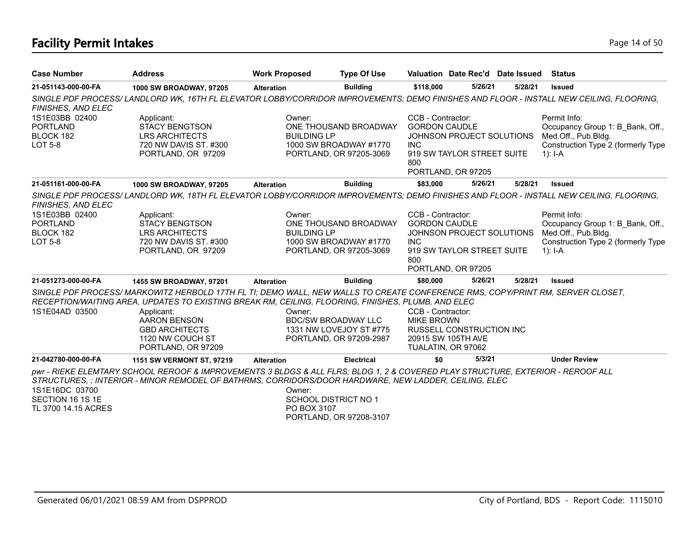# **Facility Permit Intakes** Page 14 of 50

| <b>Case Number</b>                                               | <b>Address</b>                                                                                                                                                                                                                                                                                                                               | <b>Work Proposed</b>                                 | <b>Type Of Use</b>                                                         |                                                                                    |                                                                               | Valuation Date Rec'd Date Issued | <b>Status</b>                                                                                                                |
|------------------------------------------------------------------|----------------------------------------------------------------------------------------------------------------------------------------------------------------------------------------------------------------------------------------------------------------------------------------------------------------------------------------------|------------------------------------------------------|----------------------------------------------------------------------------|------------------------------------------------------------------------------------|-------------------------------------------------------------------------------|----------------------------------|------------------------------------------------------------------------------------------------------------------------------|
| 21-051143-000-00-FA                                              | 1000 SW BROADWAY, 97205                                                                                                                                                                                                                                                                                                                      | <b>Alteration</b>                                    | <b>Building</b>                                                            | \$118,000                                                                          | 5/26/21                                                                       | 5/28/21                          | <b>Issued</b>                                                                                                                |
| FINISHES, AND ELEC                                               | SINGLE PDF PROCESS/LANDLORD WK, 16TH FL ELEVATOR LOBBY/CORRIDOR IMPROVEMENTS; DEMO FINISHES AND FLOOR - INSTALL NEW CEILING, FLOORING,                                                                                                                                                                                                       |                                                      |                                                                            |                                                                                    |                                                                               |                                  |                                                                                                                              |
| 1S1E03BB 02400<br><b>PORTLAND</b><br>BLOCK 182<br>LOT 5-8        | Applicant:<br><b>STACY BENGTSON</b><br><b>LRS ARCHITECTS</b><br>720 NW DAVIS ST. #300<br>PORTLAND, OR 97209                                                                                                                                                                                                                                  | Owner:<br><b>BUILDING LP</b>                         | ONE THOUSAND BROADWAY<br>1000 SW BROADWAY #1770<br>PORTLAND, OR 97205-3069 | CCB - Contractor:<br><b>GORDON CAUDLE</b><br><b>INC</b><br>800                     | JOHNSON PROJECT SOLUTIONS<br>919 SW TAYLOR STREET SUITE<br>PORTLAND, OR 97205 |                                  | Permit Info:<br>Occupancy Group 1: B_Bank, Off.,<br>Med.Off., Pub.Bldg.<br>Construction Type 2 (formerly Type<br>1): $I - A$ |
| 21-051161-000-00-FA                                              | 1000 SW BROADWAY, 97205                                                                                                                                                                                                                                                                                                                      | <b>Alteration</b>                                    | <b>Building</b>                                                            | \$83,000                                                                           | 5/26/21                                                                       | 5/28/21                          | <b>Issued</b>                                                                                                                |
| FINISHES, AND ELEC                                               | SINGLE PDF PROCESS/LANDLORD WK, 18TH FL ELEVATOR LOBBY/CORRIDOR IMPROVEMENTS; DEMO FINISHES AND FLOOR - INSTALL NEW CEILING, FLOORING,                                                                                                                                                                                                       |                                                      |                                                                            |                                                                                    |                                                                               |                                  |                                                                                                                              |
| 1S1E03BB 02400<br><b>PORTLAND</b><br>BLOCK 182<br><b>LOT 5-8</b> | Applicant:<br><b>STACY BENGTSON</b><br><b>LRS ARCHITECTS</b><br>720 NW DAVIS ST. #300<br>PORTLAND, OR 97209                                                                                                                                                                                                                                  | Owner:<br><b>BUILDING LP</b>                         | ONE THOUSAND BROADWAY<br>1000 SW BROADWAY #1770<br>PORTLAND, OR 97205-3069 | CCB - Contractor:<br><b>GORDON CAUDLE</b><br><b>INC</b><br>800                     | JOHNSON PROJECT SOLUTIONS<br>919 SW TAYLOR STREET SUITE<br>PORTLAND, OR 97205 |                                  | Permit Info:<br>Occupancy Group 1: B Bank, Off.,<br>Med.Off., Pub.Bldg.<br>Construction Type 2 (formerly Type<br>$1$ : I-A   |
| 21-051273-000-00-FA                                              | 1455 SW BROADWAY, 97201                                                                                                                                                                                                                                                                                                                      | <b>Alteration</b>                                    | <b>Building</b>                                                            | \$80,000                                                                           | 5/26/21                                                                       | 5/28/21                          | <b>Issued</b>                                                                                                                |
| 1S1E04AD 03500                                                   | SINGLE PDF PROCESS/ MARKOWITZ HERBOLD 17TH FL TI; DEMO WALL, NEW WALLS TO CREATE CONFERENCE RMS, COPY/PRINT RM, SERVER CLOSET,<br>RECEPTION/WAITING AREA, UPDATES TO EXISTING BREAK RM, CEILING, FLOORING, FINISHES, PLUMB, AND ELEC<br>Applicant:<br><b>AARON BENSON</b><br><b>GBD ARCHITECTS</b><br>1120 NW COUCH ST<br>PORTLAND, OR 97209 | Owner:<br><b>BDC/SW BROADWAY LLC</b>                 | 1331 NW LOVEJOY ST #775<br>PORTLAND, OR 97209-2987                         | CCB - Contractor:<br><b>MIKE BROWN</b><br>20915 SW 105TH AVE<br>TUALATIN, OR 97062 | RUSSELL CONSTRUCTION INC                                                      |                                  |                                                                                                                              |
| 21-042780-000-00-FA                                              | 1151 SW VERMONT ST, 97219                                                                                                                                                                                                                                                                                                                    | <b>Alteration</b>                                    | Electrical                                                                 | \$0                                                                                | 5/3/21                                                                        |                                  | <b>Under Review</b>                                                                                                          |
| 1S1E16DC 03700<br>SECTION 16 1S 1E<br>TL 3700 14.15 ACRES        | pwr - RIEKE ELEMTARY SCHOOL REROOF & IMPROVEMENTS 3 BLDGS & ALL FLRS; BLDG 1, 2 & COVERED PLAY STRUCTURE, EXTERIOR - REROOF ALL<br>STRUCTURES, ; INTERIOR - MINOR REMODEL OF BATHRMS, CORRIDORS/DOOR HARDWARE, NEW LADDER, CEILING, ELEC                                                                                                     | Owner:<br><b>SCHOOL DISTRICT NO 1</b><br>PO BOX 3107 | PORTLAND, OR 97208-3107                                                    |                                                                                    |                                                                               |                                  |                                                                                                                              |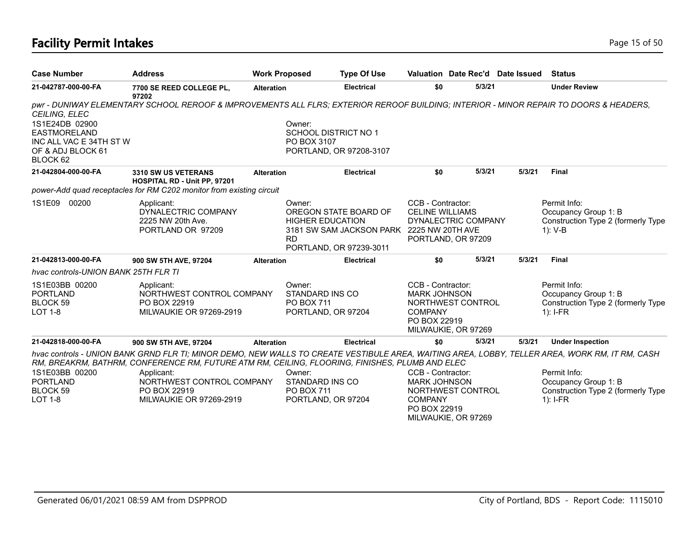# **Facility Permit Intakes** Page 15 of 50

| <b>Case Number</b>                                                                                                 | <b>Address</b>                                                                                                                                                                                                                                   | <b>Work Proposed</b> |                                                                      | <b>Type Of Use</b>                                                                            | Valuation Date Rec'd Date Issued                                                                                       |                     |        |        | <b>Status</b>                                                                            |
|--------------------------------------------------------------------------------------------------------------------|--------------------------------------------------------------------------------------------------------------------------------------------------------------------------------------------------------------------------------------------------|----------------------|----------------------------------------------------------------------|-----------------------------------------------------------------------------------------------|------------------------------------------------------------------------------------------------------------------------|---------------------|--------|--------|------------------------------------------------------------------------------------------|
| 21-042787-000-00-FA                                                                                                | 7700 SE REED COLLEGE PL,<br>97202                                                                                                                                                                                                                | <b>Alteration</b>    |                                                                      | <b>Electrical</b>                                                                             | \$0                                                                                                                    |                     | 5/3/21 |        | <b>Under Review</b>                                                                      |
| CEILING, ELEC<br>1S1E24DB 02900<br><b>EASTMORELAND</b><br>INC ALL VAC E 34TH ST W<br>OF & ADJ BLOCK 61<br>BLOCK 62 | pwr - DUNIWAY ELEMENTARY SCHOOL REROOF & IMPROVEMENTS ALL FLRS; EXTERIOR REROOF BUILDING; INTERIOR - MINOR REPAIR TO DOORS & HEADERS,                                                                                                            |                      | Owner:<br>SCHOOL DISTRICT NO 1<br>PO BOX 3107                        | PORTLAND, OR 97208-3107                                                                       |                                                                                                                        |                     |        |        |                                                                                          |
| 21-042804-000-00-FA                                                                                                | 3310 SW US VETERANS<br>HOSPITAL RD - Unit PP, 97201<br>power-Add quad receptacles for RM C202 monitor from existing circuit                                                                                                                      | <b>Alteration</b>    |                                                                      | <b>Electrical</b>                                                                             | \$0                                                                                                                    |                     | 5/3/21 | 5/3/21 | Final                                                                                    |
| 00200<br>1S1E09                                                                                                    | Applicant:<br>DYNALECTRIC COMPANY<br>2225 NW 20th Ave.<br>PORTLAND OR 97209                                                                                                                                                                      |                      | Owner:<br><b>HIGHER EDUCATION</b><br><b>RD</b>                       | OREGON STATE BOARD OF<br>3181 SW SAM JACKSON PARK 2225 NW 20TH AVE<br>PORTLAND, OR 97239-3011 | CCB - Contractor:<br><b>CELINE WILLIAMS</b><br>DYNALECTRIC COMPANY<br>PORTLAND, OR 97209                               |                     |        |        | Permit Info:<br>Occupancy Group 1: B<br>Construction Type 2 (formerly Type<br>$1)$ : V-B |
| 21-042813-000-00-FA                                                                                                | 900 SW 5TH AVE, 97204                                                                                                                                                                                                                            | <b>Alteration</b>    |                                                                      | <b>Electrical</b>                                                                             | \$0                                                                                                                    |                     | 5/3/21 | 5/3/21 | <b>Final</b>                                                                             |
| hvac controls-UNION BANK 25TH FLR TI                                                                               |                                                                                                                                                                                                                                                  |                      |                                                                      |                                                                                               |                                                                                                                        |                     |        |        |                                                                                          |
| 1S1E03BB 00200<br><b>PORTLAND</b><br><b>BLOCK 59</b><br><b>LOT 1-8</b>                                             | Applicant:<br>NORTHWEST CONTROL COMPANY<br>PO BOX 22919<br><b>MILWAUKIE OR 97269-2919</b>                                                                                                                                                        |                      | Owner:<br>STANDARD INS CO<br><b>PO BOX 711</b><br>PORTLAND, OR 97204 |                                                                                               | CCB - Contractor:<br><b>MARK JOHNSON</b><br>NORTHWEST CONTROL<br><b>COMPANY</b><br>PO BOX 22919                        | MILWAUKIE, OR 97269 |        |        | Permit Info:<br>Occupancy Group 1: B<br>Construction Type 2 (formerly Type<br>$1$ : I-FR |
| 21-042818-000-00-FA                                                                                                | 900 SW 5TH AVE, 97204                                                                                                                                                                                                                            | <b>Alteration</b>    |                                                                      | <b>Electrical</b>                                                                             | \$0                                                                                                                    |                     | 5/3/21 | 5/3/21 | <b>Under Inspection</b>                                                                  |
|                                                                                                                    | hvac controls - UNION BANK GRND FLR TI; MINOR DEMO, NEW WALLS TO CREATE VESTIBULE AREA, WAITING AREA, LOBBY, TELLER AREA, WORK RM, IT RM, CASH<br>RM, BREAKRM, BATHRM, CONFERENCE RM, FUTURE ATM RM, CEILING, FLOORING, FINISHES, PLUMB AND ELEC |                      |                                                                      |                                                                                               |                                                                                                                        |                     |        |        |                                                                                          |
| 1S1E03BB 00200<br><b>PORTLAND</b><br>BLOCK 59<br><b>LOT 1-8</b>                                                    | Applicant:<br>NORTHWEST CONTROL COMPANY<br>PO BOX 22919<br>MILWAUKIE OR 97269-2919                                                                                                                                                               |                      | Owner:<br>STANDARD INS CO<br><b>PO BOX 711</b><br>PORTLAND, OR 97204 |                                                                                               | CCB - Contractor:<br><b>MARK JOHNSON</b><br>NORTHWEST CONTROL<br><b>COMPANY</b><br>PO BOX 22919<br>MILWAUKIE, OR 97269 |                     |        |        | Permit Info:<br>Occupancy Group 1: B<br>Construction Type 2 (formerly Type<br>$1$ : I-FR |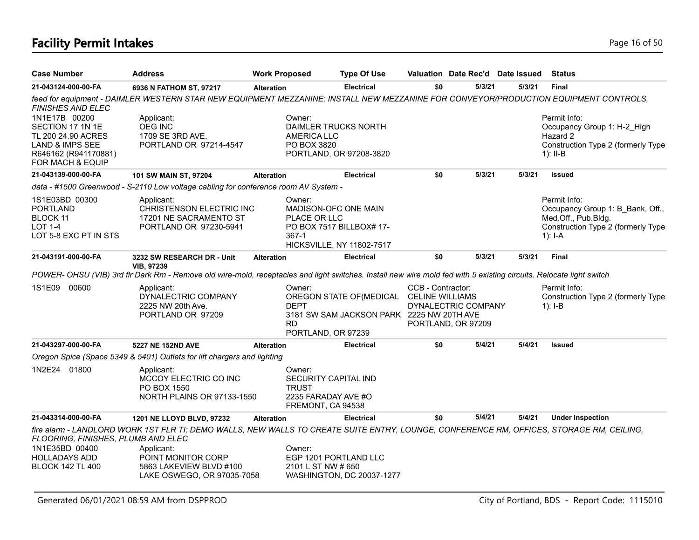# **Facility Permit Intakes** Page 16 of 50

| <b>Case Number</b>                                                                                                     | <b>Address</b>                                                                                                                                                      | <b>Work Proposed</b>                        | <b>Type Of Use</b>                                                                            |                                             | Valuation Date Rec'd Date Issued          |        | <b>Status</b>                                                                                                              |
|------------------------------------------------------------------------------------------------------------------------|---------------------------------------------------------------------------------------------------------------------------------------------------------------------|---------------------------------------------|-----------------------------------------------------------------------------------------------|---------------------------------------------|-------------------------------------------|--------|----------------------------------------------------------------------------------------------------------------------------|
| 21-043124-000-00-FA                                                                                                    | 6936 N FATHOM ST, 97217                                                                                                                                             | <b>Alteration</b>                           | <b>Electrical</b>                                                                             | \$0                                         | 5/3/21                                    | 5/3/21 | <b>Final</b>                                                                                                               |
| <b>FINISHES AND ELEC</b>                                                                                               | feed for equipment - DAIMLER WESTERN STAR NEW EQUIPMENT MEZZANINE; INSTALL NEW MEZZANINE FOR CONVEYOR/PRODUCTION EQUIPMENT CONTROLS,                                |                                             |                                                                                               |                                             |                                           |        |                                                                                                                            |
| 1N1E17B 00200<br>SECTION 17 1N 1E<br>TL 200 24.90 ACRES<br>LAND & IMPS SEE<br>R646162 (R941170881)<br>FOR MACH & EQUIP | Applicant:<br><b>OEG INC</b><br>1709 SE 3RD AVE.<br>PORTLAND OR 97214-4547                                                                                          | Owner:<br><b>AMERICA LLC</b><br>PO BOX 3820 | DAIMLER TRUCKS NORTH<br>PORTLAND, OR 97208-3820                                               |                                             |                                           |        | Permit Info:<br>Occupancy Group 1: H-2 High<br>Hazard 2<br>Construction Type 2 (formerly Type<br>$1$ : II-B                |
| 21-043139-000-00-FA                                                                                                    | 101 SW MAIN ST, 97204                                                                                                                                               | <b>Alteration</b>                           | <b>Electrical</b>                                                                             | \$0                                         | 5/3/21                                    | 5/3/21 | <b>Issued</b>                                                                                                              |
|                                                                                                                        | data - #1500 Greenwood - S-2110 Low voltage cabling for conference room AV System -                                                                                 |                                             |                                                                                               |                                             |                                           |        |                                                                                                                            |
| 1S1E03BD 00300<br><b>PORTLAND</b><br>BLOCK 11<br><b>LOT 1-4</b><br>LOT 5-8 EXC PT IN STS                               | Applicant:<br>CHRISTENSON ELECTRIC INC<br>17201 NE SACRAMENTO ST<br>PORTLAND OR 97230-5941                                                                          | Owner:<br>367-1                             | MADISON-OFC ONE MAIN<br>PLACE OR LLC<br>PO BOX 7517 BILLBOX# 17-<br>HICKSVILLE, NY 11802-7517 |                                             |                                           |        | Permit Info:<br>Occupancy Group 1: B Bank, Off.,<br>Med.Off., Pub.Bldg.<br>Construction Type 2 (formerly Type<br>$1$ : I-A |
| 21-043191-000-00-FA                                                                                                    | 3232 SW RESEARCH DR - Unit<br><b>VIB, 97239</b>                                                                                                                     | <b>Alteration</b>                           | <b>Electrical</b>                                                                             | \$0                                         | 5/3/21                                    | 5/3/21 | <b>Final</b>                                                                                                               |
|                                                                                                                        | POWER- OHSU (VIB) 3rd fir Dark Rm - Remove old wire-mold, receptacles and light switches. Install new wire mold fed with 5 existing circuits. Relocate light switch |                                             |                                                                                               |                                             |                                           |        |                                                                                                                            |
| 1S1E09<br>00600                                                                                                        | Applicant:<br>DYNALECTRIC COMPANY<br>2225 NW 20th Ave.<br>PORTLAND OR 97209                                                                                         | Owner:<br><b>DEPT</b><br><b>RD</b>          | OREGON STATE OF (MEDICAL<br>3181 SW SAM JACKSON PARK 2225 NW 20TH AVE<br>PORTLAND, OR 97239   | CCB - Contractor:<br><b>CELINE WILLIAMS</b> | DYNALECTRIC COMPANY<br>PORTLAND, OR 97209 |        | Permit Info:<br>Construction Type 2 (formerly Type<br>$1$ : I-B                                                            |
| 21-043297-000-00-FA                                                                                                    | 5227 NE 152ND AVE                                                                                                                                                   | <b>Alteration</b>                           | <b>Electrical</b>                                                                             | \$0                                         | 5/4/21                                    | 5/4/21 | <b>Issued</b>                                                                                                              |
|                                                                                                                        | Oregon Spice (Space 5349 & 5401) Outlets for lift chargers and lighting                                                                                             |                                             |                                                                                               |                                             |                                           |        |                                                                                                                            |
| 1N2E24 01800                                                                                                           | Applicant:<br>MCCOY ELECTRIC CO INC<br>PO BOX 1550<br>NORTH PLAINS OR 97133-1550                                                                                    | Owner:<br><b>TRUST</b>                      | SECURITY CAPITAL IND<br>2235 FARADAY AVE #O<br>FREMONT, CA 94538                              |                                             |                                           |        |                                                                                                                            |
| 21-043314-000-00-FA                                                                                                    | 1201 NE LLOYD BLVD, 97232                                                                                                                                           | <b>Alteration</b>                           | <b>Electrical</b>                                                                             | \$0                                         | 5/4/21                                    | 5/4/21 | <b>Under Inspection</b>                                                                                                    |
| FLOORING, FINISHES, PLUMB AND ELEC                                                                                     | fire alarm - LANDLORD WORK 1ST FLR TI; DEMO WALLS, NEW WALLS TO CREATE SUITE ENTRY, LOUNGE, CONFERENCE RM, OFFICES, STORAGE RM, CEILING,                            |                                             |                                                                                               |                                             |                                           |        |                                                                                                                            |
| 1N1E35BD 00400<br><b>HOLLADAYS ADD</b><br><b>BLOCK 142 TL 400</b>                                                      | Applicant:<br>POINT MONITOR CORP<br>5863 LAKEVIEW BLVD #100<br>LAKE OSWEGO, OR 97035-7058                                                                           | Owner:                                      | EGP 1201 PORTLAND LLC<br>2101 L ST NW # 650<br>WASHINGTON, DC 20037-1277                      |                                             |                                           |        |                                                                                                                            |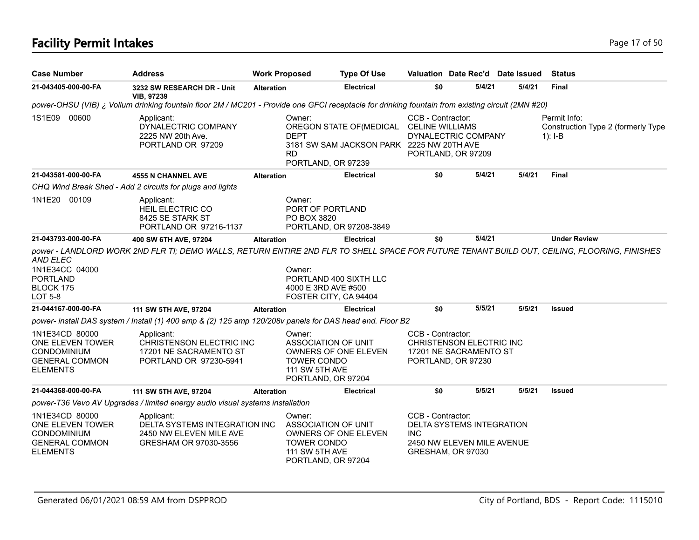# **Facility Permit Intakes** Page 17 of 50

| <b>Case Number</b>                                                                                   | <b>Address</b>                                                                                                                                   | <b>Work Proposed</b> |                                                                                             | <b>Type Of Use</b>                                                    |                                             | Valuation Date Rec'd Date Issued                                             |        | <b>Status</b>                                                 |
|------------------------------------------------------------------------------------------------------|--------------------------------------------------------------------------------------------------------------------------------------------------|----------------------|---------------------------------------------------------------------------------------------|-----------------------------------------------------------------------|---------------------------------------------|------------------------------------------------------------------------------|--------|---------------------------------------------------------------|
| 21-043405-000-00-FA                                                                                  | 3232 SW RESEARCH DR - Unit<br><b>VIB, 97239</b>                                                                                                  | <b>Alteration</b>    |                                                                                             | <b>Electrical</b>                                                     | \$0                                         | 5/4/21                                                                       | 5/4/21 | <b>Final</b>                                                  |
|                                                                                                      | power-OHSU (VIB) ¿ Vollum drinking fountain floor 2M / MC201 - Provide one GFCI receptacle for drinking fountain from existing circuit (2MN #20) |                      |                                                                                             |                                                                       |                                             |                                                                              |        |                                                               |
| 1S1E09 00600                                                                                         | Applicant:<br>DYNALECTRIC COMPANY<br>2225 NW 20th Ave.<br>PORTLAND OR 97209                                                                      |                      | Owner:<br><b>DEPT</b><br><b>RD</b><br>PORTLAND, OR 97239                                    | OREGON STATE OF (MEDICAL<br>3181 SW SAM JACKSON PARK 2225 NW 20TH AVE | CCB - Contractor:<br><b>CELINE WILLIAMS</b> | DYNALECTRIC COMPANY<br>PORTLAND, OR 97209                                    |        | Permit Info:<br>Construction Type 2 (formerly Type<br>1): I-B |
| 21-043581-000-00-FA                                                                                  | <b>4555 N CHANNEL AVE</b>                                                                                                                        | <b>Alteration</b>    |                                                                                             | <b>Electrical</b>                                                     | \$0                                         | 5/4/21                                                                       | 5/4/21 | Final                                                         |
|                                                                                                      | CHQ Wind Break Shed - Add 2 circuits for plugs and lights                                                                                        |                      |                                                                                             |                                                                       |                                             |                                                                              |        |                                                               |
| 1N1E20 00109                                                                                         | Applicant:<br>HEIL ELECTRIC CO<br>8425 SE STARK ST<br>PORTLAND OR 97216-1137                                                                     |                      | Owner:<br>PORT OF PORTLAND<br>PO BOX 3820                                                   | PORTLAND, OR 97208-3849                                               |                                             |                                                                              |        |                                                               |
| 21-043793-000-00-FA                                                                                  | 400 SW 6TH AVE, 97204                                                                                                                            | <b>Alteration</b>    |                                                                                             | <b>Electrical</b>                                                     | \$0                                         | 5/4/21                                                                       |        | <b>Under Review</b>                                           |
| <b>AND ELEC</b><br>1N1E34CC 04000<br><b>PORTLAND</b><br>BLOCK 175<br>LOT 5-8                         |                                                                                                                                                  |                      | Owner:<br>4000 E 3RD AVE #500<br>FOSTER CITY, CA 94404                                      | PORTLAND 400 SIXTH LLC                                                |                                             |                                                                              |        |                                                               |
| 21-044167-000-00-FA                                                                                  | 111 SW 5TH AVE, 97204                                                                                                                            | <b>Alteration</b>    |                                                                                             | <b>Electrical</b>                                                     | \$0                                         | 5/5/21                                                                       | 5/5/21 | <b>Issued</b>                                                 |
|                                                                                                      | power- install DAS system / Install (1) 400 amp & (2) 125 amp 120/208v panels for DAS head end. Floor B2                                         |                      |                                                                                             |                                                                       |                                             |                                                                              |        |                                                               |
| 1N1E34CD 80000<br>ONE ELEVEN TOWER<br>CONDOMINIUM<br><b>GENERAL COMMON</b><br><b>ELEMENTS</b>        | Applicant:<br><b>CHRISTENSON ELECTRIC INC</b><br>17201 NE SACRAMENTO ST<br>PORTLAND OR 97230-5941                                                |                      | Owner:<br>ASSOCIATION OF UNIT<br><b>TOWER CONDO</b><br>111 SW 5TH AVE<br>PORTLAND, OR 97204 | OWNERS OF ONE ELEVEN                                                  | CCB - Contractor:                           | CHRISTENSON ELECTRIC INC<br>17201 NE SACRAMENTO ST<br>PORTLAND, OR 97230     |        |                                                               |
| 21-044368-000-00-FA                                                                                  | 111 SW 5TH AVE, 97204                                                                                                                            | <b>Alteration</b>    |                                                                                             | <b>Electrical</b>                                                     | \$0                                         | 5/5/21                                                                       | 5/5/21 | <b>Issued</b>                                                 |
|                                                                                                      | power-T36 Vevo AV Upgrades / limited energy audio visual systems installation                                                                    |                      |                                                                                             |                                                                       |                                             |                                                                              |        |                                                               |
| 1N1E34CD 80000<br>ONE ELEVEN TOWER<br><b>CONDOMINIUM</b><br><b>GENERAL COMMON</b><br><b>ELEMENTS</b> | Applicant:<br>DELTA SYSTEMS INTEGRATION INC<br>2450 NW ELEVEN MILE AVE<br>GRESHAM OR 97030-3556                                                  |                      | Owner:<br>ASSOCIATION OF UNIT<br><b>TOWER CONDO</b><br>111 SW 5TH AVE<br>PORTLAND, OR 97204 | OWNERS OF ONE ELEVEN                                                  | CCB - Contractor:<br><b>INC</b>             | DELTA SYSTEMS INTEGRATION<br>2450 NW ELEVEN MILE AVENUE<br>GRESHAM, OR 97030 |        |                                                               |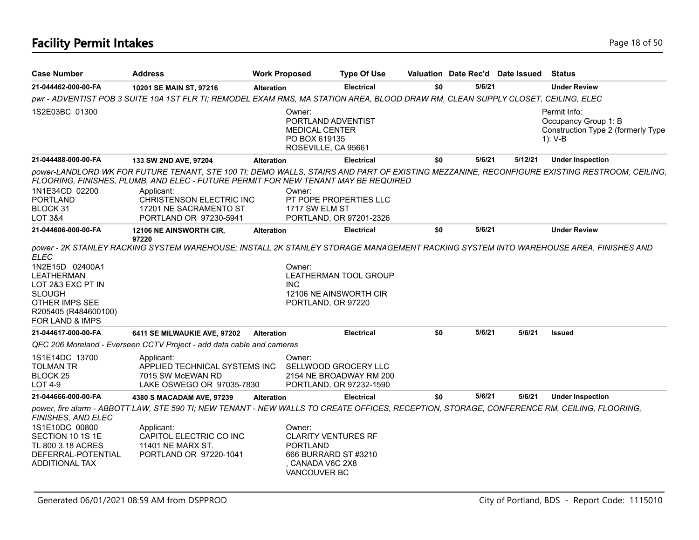| <b>Case Number</b>                                                                                                                                     | <b>Address</b>                                                                                                                                                                                                                      | <b>Work Proposed</b> |                                                                                                                     | <b>Type Of Use</b>                                                         |     |        | Valuation Date Rec'd Date Issued | <b>Status</b>                                                                                                                               |
|--------------------------------------------------------------------------------------------------------------------------------------------------------|-------------------------------------------------------------------------------------------------------------------------------------------------------------------------------------------------------------------------------------|----------------------|---------------------------------------------------------------------------------------------------------------------|----------------------------------------------------------------------------|-----|--------|----------------------------------|---------------------------------------------------------------------------------------------------------------------------------------------|
| 21-044462-000-00-FA                                                                                                                                    | 10201 SE MAIN ST, 97216                                                                                                                                                                                                             | <b>Alteration</b>    |                                                                                                                     | <b>Electrical</b>                                                          | \$0 | 5/6/21 |                                  | <b>Under Review</b>                                                                                                                         |
|                                                                                                                                                        | pwr - ADVENTIST POB 3 SUITE 10A 1ST FLR TI; REMODEL EXAM RMS, MA STATION AREA, BLOOD DRAW RM, CLEAN SUPPLY CLOSET, CEILING, ELEC                                                                                                    |                      |                                                                                                                     |                                                                            |     |        |                                  |                                                                                                                                             |
| 1S2E03BC 01300                                                                                                                                         |                                                                                                                                                                                                                                     |                      | Owner:<br>PORTLAND ADVENTIST<br><b>MEDICAL CENTER</b><br>PO BOX 619135<br>ROSEVILLE, CA 95661                       |                                                                            |     |        |                                  | Permit Info:<br>Occupancy Group 1: B<br>Construction Type 2 (formerly Type<br>1): V-B                                                       |
| 21-044488-000-00-FA                                                                                                                                    | 133 SW 2ND AVE, 97204                                                                                                                                                                                                               | <b>Alteration</b>    |                                                                                                                     | <b>Electrical</b>                                                          | \$0 | 5/6/21 | 5/12/21                          | <b>Under Inspection</b>                                                                                                                     |
| 1N1E34CD 02200<br><b>PORTLAND</b><br>BLOCK 31<br><b>LOT 3&amp;4</b>                                                                                    | FLOORING, FINISHES, PLUMB, AND ELEC - FUTURE PERMIT FOR NEW TENANT MAY BE REQUIRED<br>Applicant:<br>CHRISTENSON ELECTRIC INC<br>17201 NE SACRAMENTO ST<br>PORTLAND OR 97230-5941                                                    |                      | Owner:<br>1717 SW ELM ST                                                                                            | PT POPE PROPERTIES LLC<br>PORTLAND, OR 97201-2326                          |     |        |                                  | power-LANDLORD WK FOR FUTURE TENANT, STE 100 TI; DEMO WALLS, STAIRS AND PART OF EXISTING MEZZANINE, RECONFIGURE EXISTING RESTROOM, CEILING, |
| 21-044606-000-00-FA                                                                                                                                    | 12106 NE AINSWORTH CIR,<br>97220                                                                                                                                                                                                    | <b>Alteration</b>    |                                                                                                                     | <b>Electrical</b>                                                          | \$0 | 5/6/21 |                                  | <b>Under Review</b>                                                                                                                         |
| <b>ELEC</b><br>1N2E15D 02400A1<br><b>LEATHERMAN</b><br>LOT 2&3 EXC PT IN<br><b>SLOUGH</b><br>OTHER IMPS SEE<br>R205405 (R484600100)<br>FOR LAND & IMPS | power - 2K STANLEY RACKING SYSTEM WAREHOUSE; INSTALL 2K STANLEY STORAGE MANAGEMENT RACKING SYSTEM INTO WAREHOUSE AREA, FINISHES AND                                                                                                 |                      | Owner:<br><b>INC</b><br>PORTLAND, OR 97220                                                                          | <b>LEATHERMAN TOOL GROUP</b><br>12106 NE AINSWORTH CIR                     |     |        |                                  |                                                                                                                                             |
| 21-044617-000-00-FA                                                                                                                                    | 6411 SE MILWAUKIE AVE, 97202                                                                                                                                                                                                        | <b>Alteration</b>    |                                                                                                                     | <b>Electrical</b>                                                          | \$0 | 5/6/21 | 5/6/21                           | <b>Issued</b>                                                                                                                               |
| 1S1E14DC 13700<br><b>TOLMAN TR</b><br>BLOCK <sub>25</sub><br><b>LOT 4-9</b>                                                                            | QFC 206 Moreland - Everseen CCTV Project - add data cable and cameras<br>Applicant:<br>APPLIED TECHNICAL SYSTEMS INC<br>7015 SW McEWAN RD<br>LAKE OSWEGO OR 97035-7830                                                              |                      | Owner:                                                                                                              | SELLWOOD GROCERY LLC<br>2154 NE BROADWAY RM 200<br>PORTLAND, OR 97232-1590 |     |        |                                  |                                                                                                                                             |
| 21-044666-000-00-FA                                                                                                                                    | 4380 S MACADAM AVE, 97239                                                                                                                                                                                                           | <b>Alteration</b>    |                                                                                                                     | <b>Electrical</b>                                                          | \$0 | 5/6/21 | 5/6/21                           | <b>Under Inspection</b>                                                                                                                     |
| FINISHES, AND ELEC<br>1S1E10DC 00800<br>SECTION 10 1S 1E<br>TL 800 3.18 ACRES<br>DEFERRAL-POTENTIAL<br><b>ADDITIONAL TAX</b>                           | power, fire alarm - ABBOTT LAW, STE 590 TI; NEW TENANT - NEW WALLS TO CREATE OFFICES, RECEPTION, STORAGE, CONFERENCE RM, CEILING, FLOORING,<br>Applicant:<br>CAPITOL ELECTRIC CO INC<br>11401 NE MARX ST.<br>PORTLAND OR 97220-1041 |                      | Owner:<br><b>CLARITY VENTURES RF</b><br><b>PORTLAND</b><br>666 BURRARD ST #3210<br>. CANADA V6C 2X8<br>VANCOUVER BC |                                                                            |     |        |                                  |                                                                                                                                             |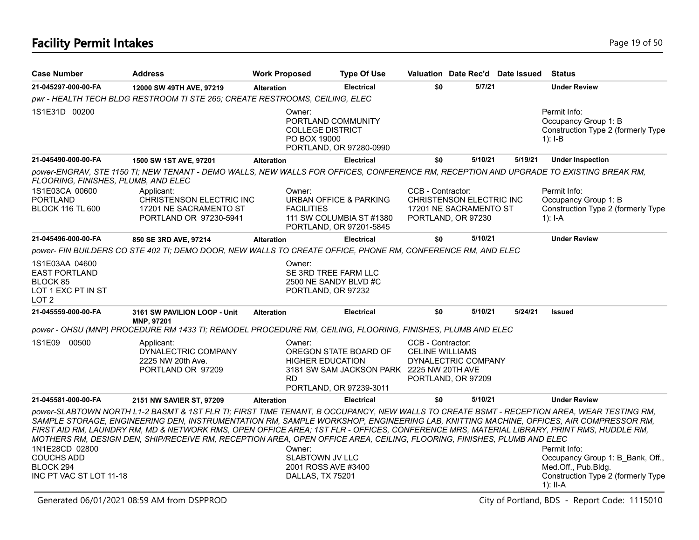| <b>Case Number</b>                                                                                                                                                           | <b>Address</b>                                                                                                                                                                                                                                                                                                                                                                                                                                                                                                                                          | <b>Work Proposed</b> |                                                                               | <b>Type Of Use</b>                                                                            | Valuation Date Rec'd Date Issued                                                                     |  |         |         | <b>Status</b>                                                                                                               |  |  |
|------------------------------------------------------------------------------------------------------------------------------------------------------------------------------|---------------------------------------------------------------------------------------------------------------------------------------------------------------------------------------------------------------------------------------------------------------------------------------------------------------------------------------------------------------------------------------------------------------------------------------------------------------------------------------------------------------------------------------------------------|----------------------|-------------------------------------------------------------------------------|-----------------------------------------------------------------------------------------------|------------------------------------------------------------------------------------------------------|--|---------|---------|-----------------------------------------------------------------------------------------------------------------------------|--|--|
| 21-045297-000-00-FA                                                                                                                                                          | 12000 SW 49TH AVE, 97219                                                                                                                                                                                                                                                                                                                                                                                                                                                                                                                                | <b>Alteration</b>    |                                                                               | <b>Electrical</b>                                                                             | \$0                                                                                                  |  | 5/7/21  |         | <b>Under Review</b>                                                                                                         |  |  |
|                                                                                                                                                                              | pwr - HEALTH TECH BLDG RESTROOM TI STE 265; CREATE RESTROOMS, CEILING, ELEC                                                                                                                                                                                                                                                                                                                                                                                                                                                                             |                      |                                                                               |                                                                                               |                                                                                                      |  |         |         |                                                                                                                             |  |  |
| 1S1E31D 00200                                                                                                                                                                |                                                                                                                                                                                                                                                                                                                                                                                                                                                                                                                                                         |                      | Owner:<br>PORTLAND COMMUNITY<br><b>COLLEGE DISTRICT</b><br>PO BOX 19000       | PORTLAND, OR 97280-0990                                                                       |                                                                                                      |  |         |         | Permit Info:<br>Occupancy Group 1: B<br>Construction Type 2 (formerly Type<br>1): $I-B$                                     |  |  |
| 21-045490-000-00-FA                                                                                                                                                          | 1500 SW 1ST AVE, 97201                                                                                                                                                                                                                                                                                                                                                                                                                                                                                                                                  | <b>Alteration</b>    |                                                                               | <b>Electrical</b>                                                                             | \$0                                                                                                  |  | 5/10/21 | 5/19/21 | <b>Under Inspection</b>                                                                                                     |  |  |
| power-ENGRAV, STE 1150 TI; NEW TENANT - DEMO WALLS, NEW WALLS FOR OFFICES, CONFERENCE RM, RECEPTION AND UPGRADE TO EXISTING BREAK RM,<br>FLOORING, FINISHES, PLUMB, AND ELEC |                                                                                                                                                                                                                                                                                                                                                                                                                                                                                                                                                         |                      |                                                                               |                                                                                               |                                                                                                      |  |         |         |                                                                                                                             |  |  |
| 1S1E03CA 00600<br><b>PORTLAND</b><br><b>BLOCK 116 TL 600</b>                                                                                                                 | Applicant:<br>CHRISTENSON ELECTRIC INC<br>17201 NE SACRAMENTO ST<br>PORTLAND OR 97230-5941                                                                                                                                                                                                                                                                                                                                                                                                                                                              |                      | Owner:<br><b>FACILITIES</b>                                                   | <b>URBAN OFFICE &amp; PARKING</b><br>111 SW COLUMBIA ST #1380<br>PORTLAND, OR 97201-5845      | CCB - Contractor:<br><b>CHRISTENSON ELECTRIC INC</b><br>17201 NE SACRAMENTO ST<br>PORTLAND, OR 97230 |  |         |         | Permit Info:<br>Occupancy Group 1: B<br>Construction Type 2 (formerly Type<br>1): $I-A$                                     |  |  |
| 21-045496-000-00-FA                                                                                                                                                          | 850 SE 3RD AVE, 97214                                                                                                                                                                                                                                                                                                                                                                                                                                                                                                                                   | <b>Alteration</b>    |                                                                               | <b>Electrical</b>                                                                             | \$0                                                                                                  |  | 5/10/21 |         | <b>Under Review</b>                                                                                                         |  |  |
|                                                                                                                                                                              | power- FIN BUILDERS CO STE 402 TI; DEMO DOOR, NEW WALLS TO CREATE OFFICE, PHONE RM, CONFERENCE RM, AND ELEC                                                                                                                                                                                                                                                                                                                                                                                                                                             |                      |                                                                               |                                                                                               |                                                                                                      |  |         |         |                                                                                                                             |  |  |
| 1S1E03AA 04600<br><b>EAST PORTLAND</b><br>BLOCK 85<br>LOT 1 EXC PT IN ST<br>LOT <sub>2</sub>                                                                                 |                                                                                                                                                                                                                                                                                                                                                                                                                                                                                                                                                         |                      | Owner:<br>SE 3RD TREE FARM LLC<br>2500 NE SANDY BLVD #C<br>PORTLAND, OR 97232 |                                                                                               |                                                                                                      |  |         |         |                                                                                                                             |  |  |
| 21-045559-000-00-FA                                                                                                                                                          | 3161 SW PAVILION LOOP - Unit<br>MNP, 97201                                                                                                                                                                                                                                                                                                                                                                                                                                                                                                              | <b>Alteration</b>    |                                                                               | <b>Electrical</b>                                                                             | \$0                                                                                                  |  | 5/10/21 | 5/24/21 | <b>Issued</b>                                                                                                               |  |  |
|                                                                                                                                                                              | power - OHSU (MNP) PROCEDURE RM 1433 TI; REMODEL PROCEDURE RM, CEILING, FLOORING, FINISHES, PLUMB AND ELEC                                                                                                                                                                                                                                                                                                                                                                                                                                              |                      |                                                                               |                                                                                               |                                                                                                      |  |         |         |                                                                                                                             |  |  |
| 1S1E09 00500                                                                                                                                                                 | Applicant:<br>DYNALECTRIC COMPANY<br>2225 NW 20th Ave.<br>PORTLAND OR 97209                                                                                                                                                                                                                                                                                                                                                                                                                                                                             | <b>RD</b>            | Owner:<br><b>HIGHER EDUCATION</b>                                             | OREGON STATE BOARD OF<br>3181 SW SAM JACKSON PARK 2225 NW 20TH AVE<br>PORTLAND, OR 97239-3011 | CCB - Contractor:<br><b>CELINE WILLIAMS</b><br>DYNALECTRIC COMPANY<br>PORTLAND, OR 97209             |  |         |         |                                                                                                                             |  |  |
| 21-045581-000-00-FA                                                                                                                                                          | 2151 NW SAVIER ST, 97209                                                                                                                                                                                                                                                                                                                                                                                                                                                                                                                                | <b>Alteration</b>    |                                                                               | <b>Electrical</b>                                                                             | \$0                                                                                                  |  | 5/10/21 |         | <b>Under Review</b>                                                                                                         |  |  |
| 1N1E28CD 02800<br><b>COUCHS ADD</b><br>BLOCK 294<br>INC PT VAC ST LOT 11-18                                                                                                  | power-SLABTOWN NORTH L1-2 BASMT & 1ST FLR TI; FIRST TIME TENANT, B OCCUPANCY, NEW WALLS TO CREATE BSMT - RECEPTION AREA, WEAR TESTING RM,<br>SAMPLE STORAGE, ENGINEERING DEN, INSTRUMENTATION RM, SAMPLE WORKSHOP, ENGINEERING LAB, KNITTING MACHINE, OFFICES, AIR COMPRESSOR RM,<br>FIRST AID RM, LAUNDRY RM, MD & NETWORK RMS, OPEN OFFICE AREA; 1ST FLR - OFFICES, CONFERENCE MRS, MATERIAL LIBRARY, PRINT RMS, HUDDLE RM,<br>MOTHERS RM, DESIGN DEN, SHIP/RECEIVE RM, RECEPTION AREA, OPEN OFFICE AREA, CEILING, FLOORING, FINISHES, PLUMB AND ELEC |                      | Owner:<br><b>SLABTOWN JV LLC</b><br>2001 ROSS AVE #3400<br>DALLAS, TX 75201   |                                                                                               |                                                                                                      |  |         |         | Permit Info:<br>Occupancy Group 1: B Bank, Off.,<br>Med.Off., Pub.Bldg.<br>Construction Type 2 (formerly Type<br>$1$ : II-A |  |  |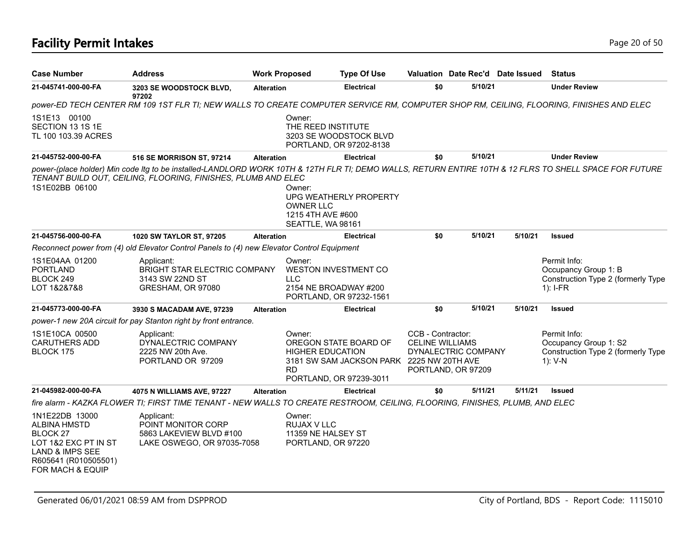# **Facility Permit Intakes** Page 20 of 50

| <b>Case Number</b>                                                                                                                                         | <b>Address</b>                                                                                                                          | <b>Work Proposed</b> |                                                                      | <b>Type Of Use</b>                                                                            | Valuation Date Rec'd Date Issued                                                         |         |         | <b>Status</b>                                                                                                                                          |
|------------------------------------------------------------------------------------------------------------------------------------------------------------|-----------------------------------------------------------------------------------------------------------------------------------------|----------------------|----------------------------------------------------------------------|-----------------------------------------------------------------------------------------------|------------------------------------------------------------------------------------------|---------|---------|--------------------------------------------------------------------------------------------------------------------------------------------------------|
| 21-045741-000-00-FA                                                                                                                                        | 3203 SE WOODSTOCK BLVD,<br>97202                                                                                                        | <b>Alteration</b>    |                                                                      | <b>Electrical</b>                                                                             | \$0                                                                                      | 5/10/21 |         | <b>Under Review</b>                                                                                                                                    |
|                                                                                                                                                            | power-ED TECH CENTER RM 109 1ST FLR TI; NEW WALLS TO CREATE COMPUTER SERVICE RM, COMPUTER SHOP RM, CEILING, FLOORING, FINISHES AND ELEC |                      |                                                                      |                                                                                               |                                                                                          |         |         |                                                                                                                                                        |
| 1S1E13 00100<br>SECTION 13 1S 1E<br>TL 100 103.39 ACRES                                                                                                    |                                                                                                                                         |                      | Owner:<br>THE REED INSTITUTE                                         | 3203 SE WOODSTOCK BLVD<br>PORTLAND, OR 97202-8138                                             |                                                                                          |         |         |                                                                                                                                                        |
| 21-045752-000-00-FA                                                                                                                                        | 516 SE MORRISON ST, 97214                                                                                                               | <b>Alteration</b>    |                                                                      | <b>Electrical</b>                                                                             | \$0                                                                                      | 5/10/21 |         | <b>Under Review</b>                                                                                                                                    |
| 1S1E02BB 06100                                                                                                                                             | TENANT BUILD OUT, CEILING, FLOORING, FINISHES, PLUMB AND ELEC                                                                           |                      | Owner:<br><b>OWNER LLC</b><br>1215 4TH AVE #600<br>SEATTLE, WA 98161 | UPG WEATHERLY PROPERTY                                                                        |                                                                                          |         |         | power-(place holder) Min code Itg to be installed-LANDLORD WORK 10TH & 12TH FLR TI; DEMO WALLS, RETURN ENTIRE 10TH & 12 FLRS TO SHELL SPACE FOR FUTURE |
| 21-045756-000-00-FA                                                                                                                                        | 1020 SW TAYLOR ST, 97205                                                                                                                | <b>Alteration</b>    |                                                                      | <b>Electrical</b>                                                                             | \$0                                                                                      | 5/10/21 | 5/10/21 | <b>Issued</b>                                                                                                                                          |
|                                                                                                                                                            | Reconnect power from (4) old Elevator Control Panels to (4) new Elevator Control Equipment                                              |                      |                                                                      |                                                                                               |                                                                                          |         |         |                                                                                                                                                        |
| 1S1E04AA 01200<br><b>PORTLAND</b><br>BLOCK 249<br>LOT 1&2&7&8                                                                                              | Applicant:<br><b>BRIGHT STAR ELECTRIC COMPANY</b><br>3143 SW 22ND ST<br>GRESHAM, OR 97080                                               |                      | Owner:<br><b>LLC</b><br>2154 NE BROADWAY #200                        | WESTON INVESTMENT CO<br>PORTLAND, OR 97232-1561                                               |                                                                                          |         |         | Permit Info:<br>Occupancy Group 1: B<br>Construction Type 2 (formerly Type<br>$1$ : I-FR                                                               |
| 21-045773-000-00-FA                                                                                                                                        | 3930 S MACADAM AVE, 97239                                                                                                               | <b>Alteration</b>    |                                                                      | Electrical                                                                                    | \$0                                                                                      | 5/10/21 | 5/10/21 | <b>Issued</b>                                                                                                                                          |
|                                                                                                                                                            | power-1 new 20A circuit for pay Stanton right by front entrance.                                                                        |                      |                                                                      |                                                                                               |                                                                                          |         |         |                                                                                                                                                        |
| 1S1E10CA 00500<br><b>CARUTHERS ADD</b><br>BLOCK 175                                                                                                        | Applicant:<br>DYNALECTRIC COMPANY<br>2225 NW 20th Ave.<br>PORTLAND OR 97209                                                             |                      | Owner:<br><b>HIGHER EDUCATION</b><br><b>RD</b>                       | OREGON STATE BOARD OF<br>3181 SW SAM JACKSON PARK 2225 NW 20TH AVE<br>PORTLAND, OR 97239-3011 | CCB - Contractor:<br><b>CELINE WILLIAMS</b><br>DYNALECTRIC COMPANY<br>PORTLAND, OR 97209 |         |         | Permit Info:<br>Occupancy Group 1: S2<br>Construction Type 2 (formerly Type<br>$1)$ : V-N                                                              |
| 21-045982-000-00-FA                                                                                                                                        | 4075 N WILLIAMS AVE, 97227                                                                                                              | <b>Alteration</b>    |                                                                      | <b>Electrical</b>                                                                             | \$0                                                                                      | 5/11/21 | 5/11/21 | <b>Issued</b>                                                                                                                                          |
|                                                                                                                                                            | fire alarm - KAZKA FLOWER TI; FIRST TIME TENANT - NEW WALLS TO CREATE RESTROOM, CEILING, FLOORING, FINISHES, PLUMB, AND ELEC            |                      |                                                                      |                                                                                               |                                                                                          |         |         |                                                                                                                                                        |
| 1N1E22DB 13000<br><b>ALBINA HMSTD</b><br><b>BLOCK 27</b><br>LOT 1&2 EXC PT IN ST<br>LAND & IMPS SEE<br>R605641 (R010505501)<br><b>FOR MACH &amp; EQUIP</b> | Applicant:<br>POINT MONITOR CORP<br>5863 LAKEVIEW BLVD #100<br>LAKE OSWEGO, OR 97035-7058                                               |                      | Owner:<br>RUJAX V LLC<br>11359 NE HALSEY ST<br>PORTLAND, OR 97220    |                                                                                               |                                                                                          |         |         |                                                                                                                                                        |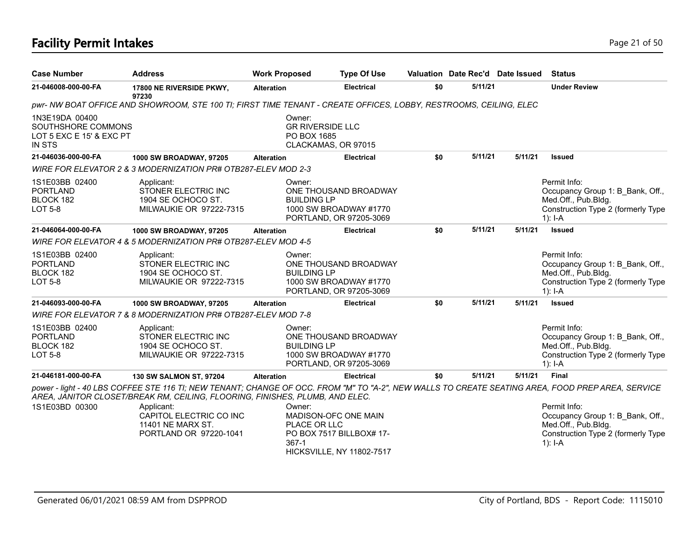#### **Facility Permit Intakes** Page 21 of 50

| <b>Case Number</b>                                                                | <b>Address</b>                                                                                                                                                                                                                    | <b>Work Proposed</b>              | <b>Type Of Use</b>                                                                   |     | Valuation Date Rec'd Date Issued |         | <b>Status</b>                                                                                                              |
|-----------------------------------------------------------------------------------|-----------------------------------------------------------------------------------------------------------------------------------------------------------------------------------------------------------------------------------|-----------------------------------|--------------------------------------------------------------------------------------|-----|----------------------------------|---------|----------------------------------------------------------------------------------------------------------------------------|
| 21-046008-000-00-FA                                                               | 17800 NE RIVERSIDE PKWY,<br>97230                                                                                                                                                                                                 | <b>Alteration</b>                 | <b>Electrical</b>                                                                    | \$0 | 5/11/21                          |         | <b>Under Review</b>                                                                                                        |
|                                                                                   | pwr-NW BOAT OFFICE AND SHOWROOM, STE 100 TI; FIRST TIME TENANT - CREATE OFFICES, LOBBY, RESTROOMS, CEILING, ELEC                                                                                                                  |                                   |                                                                                      |     |                                  |         |                                                                                                                            |
| 1N3E19DA 00400<br>SOUTHSHORE COMMONS<br>LOT 5 EXC E 15' & EXC PT<br><b>IN STS</b> |                                                                                                                                                                                                                                   | Owner:<br>PO BOX 1685             | <b>GR RIVERSIDE LLC</b><br>CLACKAMAS, OR 97015                                       |     |                                  |         |                                                                                                                            |
| 21-046036-000-00-FA                                                               | 1000 SW BROADWAY, 97205                                                                                                                                                                                                           | <b>Alteration</b>                 | <b>Electrical</b>                                                                    | \$0 | 5/11/21                          | 5/11/21 | <b>Issued</b>                                                                                                              |
|                                                                                   | WIRE FOR ELEVATOR 2 & 3 MODERNIZATION PR# OTB287-ELEV MOD 2-3                                                                                                                                                                     |                                   |                                                                                      |     |                                  |         |                                                                                                                            |
| 1S1E03BB 02400<br><b>PORTLAND</b><br>BLOCK 182<br><b>LOT 5-8</b>                  | Applicant:<br>STONER ELECTRIC INC<br>1904 SE OCHOCO ST.<br>MILWAUKIE OR 97222-7315                                                                                                                                                | Owner:<br><b>BUILDING LP</b>      | ONE THOUSAND BROADWAY<br>1000 SW BROADWAY #1770<br>PORTLAND, OR 97205-3069           |     |                                  |         | Permit Info:<br>Occupancy Group 1: B Bank, Off.,<br>Med.Off., Pub.Bldg.<br>Construction Type 2 (formerly Type<br>$1$ : I-A |
| 21-046064-000-00-FA                                                               | 1000 SW BROADWAY, 97205                                                                                                                                                                                                           | <b>Alteration</b>                 | <b>Electrical</b>                                                                    | \$0 | 5/11/21                          | 5/11/21 | <b>Issued</b>                                                                                                              |
|                                                                                   | WIRE FOR ELEVATOR 4 & 5 MODERNIZATION PR# OTB287-ELEV MOD 4-5                                                                                                                                                                     |                                   |                                                                                      |     |                                  |         |                                                                                                                            |
| 1S1E03BB 02400<br><b>PORTLAND</b><br>BLOCK 182<br><b>LOT 5-8</b>                  | Applicant:<br>STONER ELECTRIC INC<br>1904 SE OCHOCO ST.<br>MILWAUKIE OR 97222-7315                                                                                                                                                | Owner:<br><b>BUILDING LP</b>      | ONE THOUSAND BROADWAY<br>1000 SW BROADWAY #1770<br>PORTLAND, OR 97205-3069           |     |                                  |         | Permit Info:<br>Occupancy Group 1: B_Bank, Off.,<br>Med.Off., Pub.Bldg.<br>Construction Type 2 (formerly Type<br>$1$ : I-A |
| 21-046093-000-00-FA                                                               | 1000 SW BROADWAY, 97205                                                                                                                                                                                                           | <b>Alteration</b>                 | <b>Electrical</b>                                                                    | \$0 | 5/11/21                          | 5/11/21 | <b>Issued</b>                                                                                                              |
|                                                                                   | WIRE FOR ELEVATOR 7 & 8 MODERNIZATION PR# OTB287-ELEV MOD 7-8                                                                                                                                                                     |                                   |                                                                                      |     |                                  |         |                                                                                                                            |
| 1S1E03BB 02400<br><b>PORTLAND</b><br>BLOCK 182<br><b>LOT 5-8</b>                  | Applicant:<br>STONER ELECTRIC INC<br>1904 SE OCHOCO ST.<br>MILWAUKIE OR 97222-7315                                                                                                                                                | Owner:<br><b>BUILDING LP</b>      | ONE THOUSAND BROADWAY<br>1000 SW BROADWAY #1770<br>PORTLAND, OR 97205-3069           |     |                                  |         | Permit Info:<br>Occupancy Group 1: B Bank, Off.,<br>Med.Off., Pub.Bldg.<br>Construction Type 2 (formerly Type<br>$1$ : I-A |
| 21-046181-000-00-FA                                                               | 130 SW SALMON ST, 97204                                                                                                                                                                                                           | <b>Alteration</b>                 | <b>Electrical</b>                                                                    | \$0 | 5/11/21                          | 5/11/21 | <b>Final</b>                                                                                                               |
|                                                                                   | power - light - 40 LBS COFFEE STE 116 TI; NEW TENANT; CHANGE OF OCC. FROM "M" TO "A-2", NEW WALLS TO CREATE SEATING AREA, FOOD PREP AREA, SERVICE<br>AREA, JANITOR CLOSET/BREAK RM, CEILING, FLOORING, FINISHES, PLUMB, AND ELEC. |                                   |                                                                                      |     |                                  |         |                                                                                                                            |
| 1S1E03BD 00300                                                                    | Applicant:<br>CAPITOL ELECTRIC CO INC<br>11401 NE MARX ST.<br>PORTLAND OR 97220-1041                                                                                                                                              | Owner:<br>PLACE OR LLC<br>$367-1$ | MADISON-OFC ONE MAIN<br>PO BOX 7517 BILLBOX# 17-<br><b>HICKSVILLE, NY 11802-7517</b> |     |                                  |         | Permit Info:<br>Occupancy Group 1: B Bank, Off.,<br>Med.Off., Pub.Bldg.<br>Construction Type 2 (formerly Type<br>$1$ : I-A |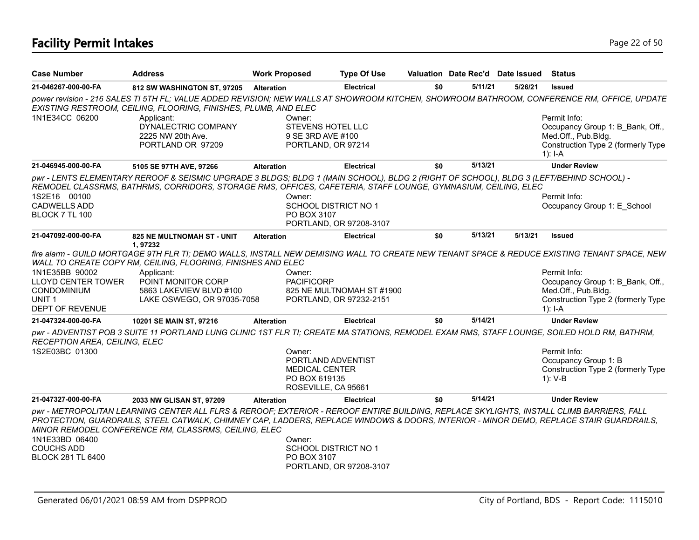| <b>Case Number</b>                                                                                        | <b>Address</b>                                                                                                                                                                                                                                                                                                                             | <b>Work Proposed</b>                             | <b>Type Of Use</b>                                     |     | Valuation Date Rec'd Date Issued |         | <b>Status</b>                                                                                                                                                                                                                                                              |
|-----------------------------------------------------------------------------------------------------------|--------------------------------------------------------------------------------------------------------------------------------------------------------------------------------------------------------------------------------------------------------------------------------------------------------------------------------------------|--------------------------------------------------|--------------------------------------------------------|-----|----------------------------------|---------|----------------------------------------------------------------------------------------------------------------------------------------------------------------------------------------------------------------------------------------------------------------------------|
| 21-046267-000-00-FA                                                                                       | 812 SW WASHINGTON ST, 97205                                                                                                                                                                                                                                                                                                                | <b>Alteration</b>                                | <b>Electrical</b>                                      | \$0 | 5/11/21                          | 5/26/21 | <b>Issued</b>                                                                                                                                                                                                                                                              |
|                                                                                                           | EXISTING RESTROOM, CEILING, FLOORING, FINISHES, PLUMB, AND ELEC                                                                                                                                                                                                                                                                            |                                                  |                                                        |     |                                  |         | power revision - 216 SALES TI 5TH FL; VALUE ADDED REVISION; NEW WALLS AT SHOWROOM KITCHEN, SHOWROOM BATHROOM, CONFERENCE RM, OFFICE, UPDATE                                                                                                                                |
| 1N1E34CC 06200                                                                                            | Applicant:<br>DYNALECTRIC COMPANY<br>2225 NW 20th Ave.<br>PORTLAND OR 97209                                                                                                                                                                                                                                                                | Owner:<br>9 SE 3RD AVE #100                      | <b>STEVENS HOTEL LLC</b><br>PORTLAND, OR 97214         |     |                                  |         | Permit Info:<br>Occupancy Group 1: B Bank, Off.,<br>Med.Off., Pub.Bldg.<br>Construction Type 2 (formerly Type<br>$1$ : I-A                                                                                                                                                 |
| 21-046945-000-00-FA                                                                                       | 5105 SE 97TH AVE, 97266                                                                                                                                                                                                                                                                                                                    | <b>Alteration</b>                                | <b>Electrical</b>                                      | \$0 | 5/13/21                          |         | <b>Under Review</b>                                                                                                                                                                                                                                                        |
| 1S2E16 00100<br><b>CADWELLS ADD</b><br>BLOCK 7 TL 100                                                     | pwr - LENTS ELEMENTARY REROOF & SEISMIC UPGRADE 3 BLDGS; BLDG 1 (MAIN SCHOOL), BLDG 2 (RIGHT OF SCHOOL), BLDG 3 (LEFT/BEHIND SCHOOL) -<br>REMODEL CLASSRMS, BATHRMS, CORRIDORS, STORAGE RMS, OFFICES, CAFETERIA, STAFF LOUNGE, GYMNASIUM, CEILING, ELEC                                                                                    | Owner:<br>PO BOX 3107                            | SCHOOL DISTRICT NO 1<br>PORTLAND, OR 97208-3107        |     |                                  |         | Permit Info:<br>Occupancy Group 1: E School                                                                                                                                                                                                                                |
| 21-047092-000-00-FA                                                                                       | <b>825 NE MULTNOMAH ST - UNIT</b>                                                                                                                                                                                                                                                                                                          | <b>Alteration</b>                                | <b>Electrical</b>                                      | \$0 | 5/13/21                          | 5/13/21 | <b>Issued</b>                                                                                                                                                                                                                                                              |
| 1N1E35BB 90002<br><b>LLOYD CENTER TOWER</b><br><b>CONDOMINIUM</b><br>UNIT <sub>1</sub><br>DEPT OF REVENUE | WALL TO CREATE COPY RM, CEILING, FLOORING, FINISHES AND ELEC<br>Applicant:<br>POINT MONITOR CORP<br>5863 LAKEVIEW BLVD #100<br>LAKE OSWEGO, OR 97035-7058                                                                                                                                                                                  | Owner:<br><b>PACIFICORP</b>                      | 825 NE MULTNOMAH ST #1900<br>PORTLAND, OR 97232-2151   |     |                                  |         | fire alarm - GUILD MORTGAGE 9TH FLR TI; DEMO WALLS, INSTALL NEW DEMISING WALL TO CREATE NEW TENANT SPACE & REDUCE EXISTING TENANT SPACE, NEW<br>Permit Info:<br>Occupancy Group 1: B Bank, Off.,<br>Med.Off., Pub.Bldg.<br>Construction Type 2 (formerly Type<br>$1$ : I-A |
| 21-047324-000-00-FA                                                                                       | 10201 SE MAIN ST, 97216                                                                                                                                                                                                                                                                                                                    | <b>Alteration</b>                                | <b>Electrical</b>                                      | \$0 | 5/14/21                          |         | <b>Under Review</b>                                                                                                                                                                                                                                                        |
| RECEPTION AREA, CEILING, ELEC<br>1S2E03BC 01300                                                           | pwr - ADVENTIST POB 3 SUITE 11 PORTLAND LUNG CLINIC 1ST FLR TI; CREATE MA STATIONS, REMODEL EXAM RMS, STAFF LOUNGE, SOILED HOLD RM, BATHRM,                                                                                                                                                                                                | Owner:<br><b>MEDICAL CENTER</b><br>PO BOX 619135 | PORTLAND ADVENTIST<br>ROSEVILLE, CA 95661              |     |                                  |         | Permit Info:<br>Occupancy Group 1: B<br>Construction Type 2 (formerly Type<br>$1): V-B$                                                                                                                                                                                    |
| 21-047327-000-00-FA                                                                                       | 2033 NW GLISAN ST, 97209                                                                                                                                                                                                                                                                                                                   | <b>Alteration</b>                                | <b>Electrical</b>                                      | \$0 | 5/14/21                          |         | <b>Under Review</b>                                                                                                                                                                                                                                                        |
| 1N1E33BD 06400<br><b>COUCHS ADD</b><br><b>BLOCK 281 TL 6400</b>                                           | pwr - METROPOLITAN LEARNING CENTER ALL FLRS & REROOF; EXTERIOR - REROOF ENTIRE BUILDING, REPLACE SKYLIGHTS, INSTALL CLIMB BARRIERS, FALL<br>PROTECTION, GUARDRAILS, STEEL CATWALK, CHIMNEY CAP, LADDERS, REPLACE WINDOWS & DOORS, INTERIOR - MINOR DEMO, REPLACE STAIR GUARDRAILS,<br>MINOR REMODEL CONFERENCE RM, CLASSRMS, CEILING, ELEC | Owner:<br>PO BOX 3107                            | <b>SCHOOL DISTRICT NO 1</b><br>PORTLAND, OR 97208-3107 |     |                                  |         |                                                                                                                                                                                                                                                                            |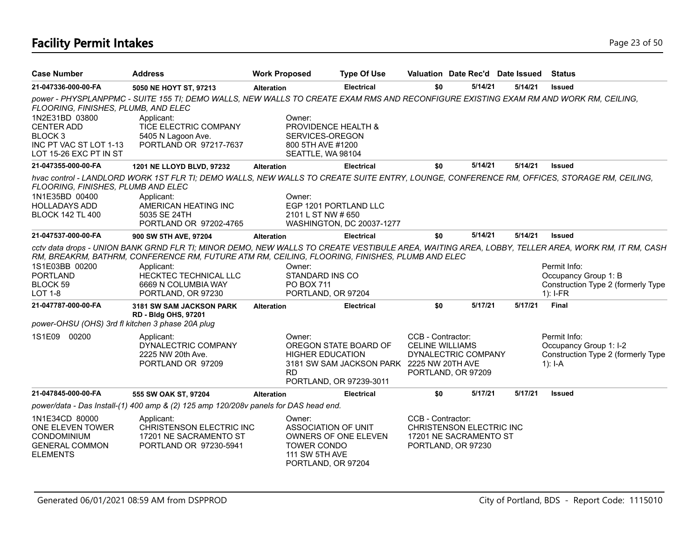# **Facility Permit Intakes** Page 23 of 50

| <b>Case Number</b>                                                                                            | <b>Address</b>                                                                                                                                               | <b>Work Proposed</b> |                                                                                                    | <b>Type Of Use</b>                                                                            | Valuation Date Rec'd Date Issued                                                              |         |         | <b>Status</b>                                                                                                                                                                                                                  |
|---------------------------------------------------------------------------------------------------------------|--------------------------------------------------------------------------------------------------------------------------------------------------------------|----------------------|----------------------------------------------------------------------------------------------------|-----------------------------------------------------------------------------------------------|-----------------------------------------------------------------------------------------------|---------|---------|--------------------------------------------------------------------------------------------------------------------------------------------------------------------------------------------------------------------------------|
| 21-047336-000-00-FA                                                                                           | 5050 NE HOYT ST, 97213                                                                                                                                       | <b>Alteration</b>    |                                                                                                    | <b>Electrical</b>                                                                             | \$0                                                                                           | 5/14/21 | 5/14/21 | <b>Issued</b>                                                                                                                                                                                                                  |
| FLOORING, FINISHES, PLUMB, AND ELEC                                                                           | power - PHYSPLANPPMC - SUITE 155 TI; DEMO WALLS, NEW WALLS TO CREATE EXAM RMS AND RECONFIGURE EXISTING EXAM RM AND WORK RM, CEILING,                         |                      |                                                                                                    |                                                                                               |                                                                                               |         |         |                                                                                                                                                                                                                                |
| 1N2E31BD 03800<br><b>CENTER ADD</b><br>BLOCK <sub>3</sub><br>INC PT VAC ST LOT 1-13<br>LOT 15-26 EXC PT IN ST | Applicant:<br>TICE ELECTRIC COMPANY<br>5405 N Lagoon Ave.<br>PORTLAND OR 97217-7637                                                                          |                      | Owner:<br>PROVIDENCE HEALTH &<br>SERVICES-OREGON<br>800 5TH AVE #1200<br>SEATTLE, WA 98104         |                                                                                               |                                                                                               |         |         |                                                                                                                                                                                                                                |
| 21-047355-000-00-FA                                                                                           | 1201 NE LLOYD BLVD, 97232                                                                                                                                    | <b>Alteration</b>    |                                                                                                    | <b>Electrical</b>                                                                             | \$0                                                                                           | 5/14/21 | 5/14/21 | <b>Issued</b>                                                                                                                                                                                                                  |
| FLOORING, FINISHES, PLUMB AND ELEC                                                                            | hvac control - LANDLORD WORK 1ST FLR TI; DEMO WALLS, NEW WALLS TO CREATE SUITE ENTRY, LOUNGE, CONFERENCE RM, OFFICES, STORAGE RM, CEILING,                   |                      |                                                                                                    |                                                                                               |                                                                                               |         |         |                                                                                                                                                                                                                                |
| 1N1E35BD 00400<br><b>HOLLADAYS ADD</b><br><b>BLOCK 142 TL 400</b>                                             | Applicant:<br>AMERICAN HEATING INC<br>5035 SE 24TH<br>PORTLAND OR 97202-4765                                                                                 |                      | Owner:<br>EGP 1201 PORTLAND LLC<br>2101 L ST NW # 650                                              | <b>WASHINGTON, DC 20037-1277</b>                                                              |                                                                                               |         |         |                                                                                                                                                                                                                                |
| 21-047537-000-00-FA                                                                                           | 900 SW 5TH AVE, 97204                                                                                                                                        | <b>Alteration</b>    |                                                                                                    | <b>Electrical</b>                                                                             | \$0                                                                                           | 5/14/21 | 5/14/21 | <b>Issued</b>                                                                                                                                                                                                                  |
| 1S1E03BB 00200<br><b>PORTLAND</b><br>BLOCK 59                                                                 | RM, BREAKRM, BATHRM, CONFERENCE RM, FUTURE ATM RM, CEILING, FLOORING, FINISHES, PLUMB AND ELEC<br>Applicant:<br>HECKTEC TECHNICAL LLC<br>6669 N COLUMBIA WAY |                      | Owner:<br>STANDARD INS CO<br><b>PO BOX 711</b>                                                     |                                                                                               |                                                                                               |         |         | cctv data drops - UNION BANK GRND FLR TI; MINOR DEMO, NEW WALLS TO CREATE VESTIBULE AREA, WAITING AREA, LOBBY, TELLER AREA, WORK RM, IT RM, CASH<br>Permit Info:<br>Occupancy Group 1: B<br>Construction Type 2 (formerly Type |
| <b>LOT 1-8</b>                                                                                                | PORTLAND, OR 97230                                                                                                                                           |                      | PORTLAND, OR 97204                                                                                 |                                                                                               |                                                                                               |         |         | $1$ : I-FR                                                                                                                                                                                                                     |
| 21-047787-000-00-FA<br>power-OHSU (OHS) 3rd fl kitchen 3 phase 20A plug                                       | 3181 SW SAM JACKSON PARK<br><b>RD - Bldg OHS, 97201</b>                                                                                                      | <b>Alteration</b>    |                                                                                                    | <b>Electrical</b>                                                                             | \$0                                                                                           | 5/17/21 | 5/17/21 | Final                                                                                                                                                                                                                          |
| 1S1E09 00200                                                                                                  | Applicant:<br>DYNALECTRIC COMPANY<br>2225 NW 20th Ave.<br>PORTLAND OR 97209                                                                                  |                      | Owner:<br><b>HIGHER EDUCATION</b><br><b>RD</b>                                                     | OREGON STATE BOARD OF<br>3181 SW SAM JACKSON PARK 2225 NW 20TH AVE<br>PORTLAND, OR 97239-3011 | CCB - Contractor:<br><b>CELINE WILLIAMS</b><br>DYNALECTRIC COMPANY<br>PORTLAND, OR 97209      |         |         | Permit Info:<br>Occupancy Group 1: I-2<br>Construction Type 2 (formerly Type<br>$1$ : I-A                                                                                                                                      |
| 21-047845-000-00-FA                                                                                           | 555 SW OAK ST, 97204                                                                                                                                         | <b>Alteration</b>    |                                                                                                    | <b>Electrical</b>                                                                             | \$0                                                                                           | 5/17/21 | 5/17/21 | <b>Issued</b>                                                                                                                                                                                                                  |
|                                                                                                               | power/data - Das Install-(1) 400 amp & (2) 125 amp 120/208v panels for DAS head end.                                                                         |                      |                                                                                                    |                                                                                               |                                                                                               |         |         |                                                                                                                                                                                                                                |
| 1N1E34CD 80000<br>ONE ELEVEN TOWER<br><b>CONDOMINIUM</b><br><b>GENERAL COMMON</b><br><b>ELEMENTS</b>          | Applicant:<br>CHRISTENSON ELECTRIC INC<br>17201 NE SACRAMENTO ST<br>PORTLAND OR 97230-5941                                                                   |                      | Owner:<br><b>ASSOCIATION OF UNIT</b><br><b>TOWER CONDO</b><br>111 SW 5TH AVE<br>PORTLAND, OR 97204 | OWNERS OF ONE ELEVEN                                                                          | CCB - Contractor:<br>CHRISTENSON ELECTRIC INC<br>17201 NE SACRAMENTO ST<br>PORTLAND, OR 97230 |         |         |                                                                                                                                                                                                                                |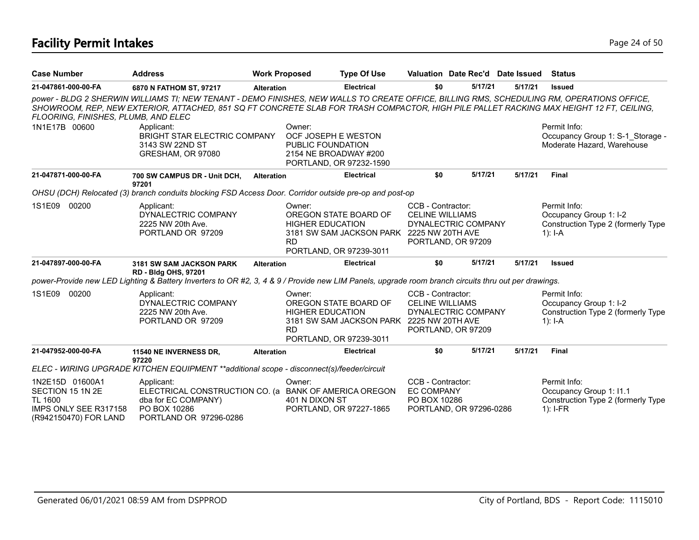# **Facility Permit Intakes** Page 24 of 50

| <b>Case Number</b>                                                                                      | <b>Address</b>                                                                                                                                                                                                                                                                        |                   | <b>Work Proposed</b>                                                        | <b>Type Of Use</b>                                                                            |                                                                                          |         | Valuation Date Rec'd Date Issued | Status                                                                                      |
|---------------------------------------------------------------------------------------------------------|---------------------------------------------------------------------------------------------------------------------------------------------------------------------------------------------------------------------------------------------------------------------------------------|-------------------|-----------------------------------------------------------------------------|-----------------------------------------------------------------------------------------------|------------------------------------------------------------------------------------------|---------|----------------------------------|---------------------------------------------------------------------------------------------|
| 21-047861-000-00-FA                                                                                     | 6870 N FATHOM ST, 97217                                                                                                                                                                                                                                                               | <b>Alteration</b> |                                                                             | <b>Electrical</b>                                                                             | \$0                                                                                      | 5/17/21 | 5/17/21                          | <b>Issued</b>                                                                               |
| FLOORING, FINISHES, PLUMB, AND ELEC                                                                     | power - BLDG 2 SHERWIN WILLIAMS TI; NEW TENANT - DEMO FINISHES, NEW WALLS TO CREATE OFFICE, BILLING RMS, SCHEDULING RM, OPERATIONS OFFICE,<br>SHOWROOM, REP, NEW EXTERIOR, ATTACHED, 851 SQ FT CONCRETE SLAB FOR TRASH COMPACTOR, HIGH PILE PALLET RACKING MAX HEIGHT 12 FT, CEILING, |                   |                                                                             |                                                                                               |                                                                                          |         |                                  |                                                                                             |
| 1N1E17B 00600                                                                                           | Applicant:<br>BRIGHT STAR ELECTRIC COMPANY<br>3143 SW 22ND ST<br>GRESHAM, OR 97080                                                                                                                                                                                                    |                   | Owner:<br>OCF JOSEPH E WESTON<br>PUBLIC FOUNDATION<br>2154 NE BROADWAY #200 | PORTLAND, OR 97232-1590                                                                       |                                                                                          |         |                                  | Permit Info:<br>Occupancy Group 1: S-1 Storage -<br>Moderate Hazard, Warehouse              |
| 21-047871-000-00-FA                                                                                     | 700 SW CAMPUS DR - Unit DCH,<br>97201                                                                                                                                                                                                                                                 | <b>Alteration</b> |                                                                             | <b>Electrical</b>                                                                             | \$0                                                                                      | 5/17/21 | 5/17/21                          | Final                                                                                       |
|                                                                                                         | OHSU (DCH) Relocated (3) branch conduits blocking FSD Access Door. Corridor outside pre-op and post-op                                                                                                                                                                                |                   |                                                                             |                                                                                               |                                                                                          |         |                                  |                                                                                             |
| 1S1E09 00200                                                                                            | Applicant:<br>DYNALECTRIC COMPANY<br>2225 NW 20th Ave.<br>PORTLAND OR 97209                                                                                                                                                                                                           |                   | Owner:<br><b>HIGHER EDUCATION</b><br><b>RD</b>                              | OREGON STATE BOARD OF<br>3181 SW SAM JACKSON PARK 2225 NW 20TH AVE<br>PORTLAND, OR 97239-3011 | CCB - Contractor:<br><b>CELINE WILLIAMS</b><br>DYNALECTRIC COMPANY<br>PORTLAND, OR 97209 |         |                                  | Permit Info:<br>Occupancy Group 1: I-2<br>Construction Type 2 (formerly Type<br>1): $I - A$ |
| 21-047897-000-00-FA                                                                                     | <b>3181 SW SAM JACKSON PARK</b><br><b>RD - Bldg OHS, 97201</b>                                                                                                                                                                                                                        | <b>Alteration</b> |                                                                             | <b>Electrical</b>                                                                             | \$0                                                                                      | 5/17/21 | 5/17/21                          | <b>Issued</b>                                                                               |
|                                                                                                         | power-Provide new LED Lighting & Battery Inverters to OR #2, 3, 4 & 9 / Provide new LIM Panels, upgrade room branch circuits thru out per drawings.                                                                                                                                   |                   |                                                                             |                                                                                               |                                                                                          |         |                                  |                                                                                             |
| 1S1E09<br>00200                                                                                         | Applicant:<br>DYNALECTRIC COMPANY<br>2225 NW 20th Ave.<br>PORTLAND OR 97209                                                                                                                                                                                                           |                   | Owner:<br><b>HIGHER EDUCATION</b><br><b>RD</b>                              | OREGON STATE BOARD OF<br>3181 SW SAM JACKSON PARK 2225 NW 20TH AVE<br>PORTLAND, OR 97239-3011 | CCB - Contractor:<br><b>CELINE WILLIAMS</b><br>DYNALECTRIC COMPANY<br>PORTLAND, OR 97209 |         |                                  | Permit Info:<br>Occupancy Group 1: I-2<br>Construction Type 2 (formerly Type<br>1): $I - A$ |
| 21-047952-000-00-FA                                                                                     | 11540 NE INVERNESS DR.<br>97220                                                                                                                                                                                                                                                       | <b>Alteration</b> |                                                                             | <b>Electrical</b>                                                                             | \$0                                                                                      | 5/17/21 | 5/17/21                          | <b>Final</b>                                                                                |
|                                                                                                         | ELEC - WIRING UPGRADE KITCHEN EQUIPMENT **additional scope - disconnect(s)/feeder/circuit                                                                                                                                                                                             |                   |                                                                             |                                                                                               |                                                                                          |         |                                  |                                                                                             |
| 1N2E15D 01600A1<br>SECTION 15 1N 2E<br><b>TL 1600</b><br>IMPS ONLY SEE R317158<br>(R942150470) FOR LAND | Applicant:<br>ELECTRICAL CONSTRUCTION CO. (a BANK OF AMERICA OREGON<br>dba for EC COMPANY)<br>PO BOX 10286<br>PORTLAND OR 97296-0286                                                                                                                                                  |                   | Owner:<br>401 N DIXON ST                                                    | PORTLAND, OR 97227-1865                                                                       | CCB - Contractor:<br><b>EC COMPANY</b><br>PO BOX 10286<br>PORTLAND, OR 97296-0286        |         |                                  | Permit Info:<br>Occupancy Group 1: I1.1<br>Construction Type 2 (formerly Type<br>$1$ : I-FR |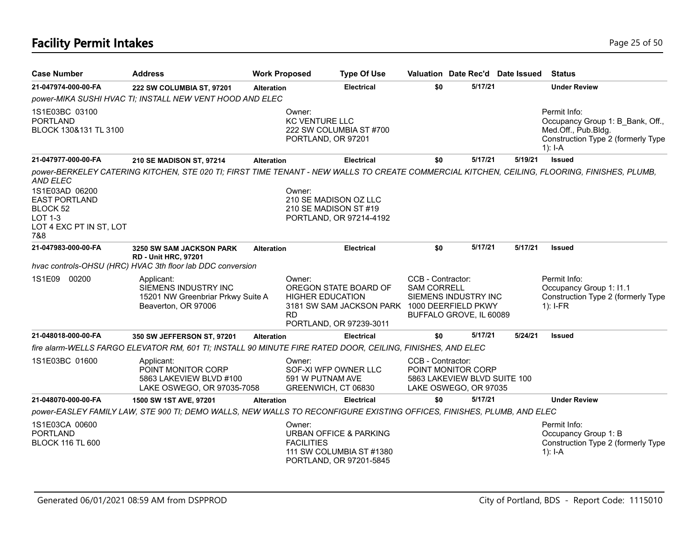# **Facility Permit Intakes** Page 25 of 50

| <b>Case Number</b>                                                                                   | <b>Address</b>                                                                                                                               | <b>Work Proposed</b> |                                                                           | <b>Type Of Use</b>                                                                               |                                                                                                  |         | Valuation Date Rec'd Date Issued | <b>Status</b>                                                                                                              |
|------------------------------------------------------------------------------------------------------|----------------------------------------------------------------------------------------------------------------------------------------------|----------------------|---------------------------------------------------------------------------|--------------------------------------------------------------------------------------------------|--------------------------------------------------------------------------------------------------|---------|----------------------------------|----------------------------------------------------------------------------------------------------------------------------|
| 21-047974-000-00-FA                                                                                  | 222 SW COLUMBIA ST, 97201                                                                                                                    | <b>Alteration</b>    |                                                                           | <b>Electrical</b>                                                                                | \$0                                                                                              | 5/17/21 |                                  | <b>Under Review</b>                                                                                                        |
|                                                                                                      | power-MIKA SUSHI HVAC TI; INSTALL NEW VENT HOOD AND ELEC                                                                                     |                      |                                                                           |                                                                                                  |                                                                                                  |         |                                  |                                                                                                                            |
| 1S1E03BC 03100<br><b>PORTLAND</b><br>BLOCK 130&131 TL 3100                                           |                                                                                                                                              |                      | Owner:<br><b>KC VENTURE LLC</b><br>PORTLAND, OR 97201                     | 222 SW COLUMBIA ST #700                                                                          |                                                                                                  |         |                                  | Permit Info:<br>Occupancy Group 1: B_Bank, Off.,<br>Med.Off., Pub.Bldg.<br>Construction Type 2 (formerly Type<br>$1$ : I-A |
| 21-047977-000-00-FA                                                                                  | <b>210 SE MADISON ST, 97214</b>                                                                                                              | <b>Alteration</b>    |                                                                           | <b>Electrical</b>                                                                                | \$0                                                                                              | 5/17/21 | 5/19/21                          | <b>Issued</b>                                                                                                              |
| AND ELEC<br>1S1E03AD 06200<br><b>EAST PORTLAND</b><br>BLOCK 52<br>LOT 1-3<br>LOT 4 EXC PT IN ST, LOT | power-BERKELEY CATERING KITCHEN, STE 020 TI; FIRST TIME TENANT - NEW WALLS TO CREATE COMMERCIAL KITCHEN, CEILING, FLOORING, FINISHES, PLUMB, |                      | Owner:<br>210 SE MADISON OZ LLC<br>210 SE MADISON ST #19                  | PORTLAND, OR 97214-4192                                                                          |                                                                                                  |         |                                  |                                                                                                                            |
| 7&8                                                                                                  |                                                                                                                                              |                      |                                                                           |                                                                                                  |                                                                                                  |         |                                  |                                                                                                                            |
| 21-047983-000-00-FA                                                                                  | <b>3250 SW SAM JACKSON PARK</b><br><b>RD - Unit HRC, 97201</b>                                                                               | <b>Alteration</b>    |                                                                           | <b>Electrical</b>                                                                                | \$0                                                                                              | 5/17/21 | 5/17/21                          | <b>Issued</b>                                                                                                              |
|                                                                                                      | hvac controls-OHSU (HRC) HVAC 3th floor lab DDC conversion                                                                                   |                      |                                                                           |                                                                                                  |                                                                                                  |         |                                  |                                                                                                                            |
| 1S1E09 00200                                                                                         | Applicant:<br>SIEMENS INDUSTRY INC<br>15201 NW Greenbriar Prkwy Suite A<br>Beaverton, OR 97006                                               |                      | Owner:<br><b>HIGHER EDUCATION</b><br><b>RD</b>                            | OREGON STATE BOARD OF<br>3181 SW SAM JACKSON PARK 1000 DEERFIELD PKWY<br>PORTLAND, OR 97239-3011 | CCB - Contractor:<br><b>SAM CORRELL</b><br>SIEMENS INDUSTRY INC<br>BUFFALO GROVE, IL 60089       |         |                                  | Permit Info:<br>Occupancy Group 1: I1.1<br>Construction Type 2 (formerly Type<br>$1$ : I-FR                                |
| 21-048018-000-00-FA                                                                                  | 350 SW JEFFERSON ST, 97201                                                                                                                   | <b>Alteration</b>    |                                                                           | <b>Electrical</b>                                                                                | \$0                                                                                              | 5/17/21 | 5/24/21                          | <b>Issued</b>                                                                                                              |
|                                                                                                      | fire alarm-WELLS FARGO ELEVATOR RM, 601 TI; INSTALL 90 MINUTE FIRE RATED DOOR, CEILING, FINISHES, AND ELEC                                   |                      |                                                                           |                                                                                                  |                                                                                                  |         |                                  |                                                                                                                            |
| 1S1E03BC 01600                                                                                       | Applicant:<br>POINT MONITOR CORP<br>5863 LAKEVIEW BLVD #100<br>LAKE OSWEGO, OR 97035-7058                                                    |                      | Owner:<br>SOF-XI WFP OWNER LLC<br>591 W PUTNAM AVE<br>GREENWICH, CT 06830 |                                                                                                  | CCB - Contractor:<br>POINT MONITOR CORP<br>5863 LAKEVIEW BLVD SUITE 100<br>LAKE OSWEGO, OR 97035 |         |                                  |                                                                                                                            |
| 21-048070-000-00-FA                                                                                  | 1500 SW 1ST AVE, 97201                                                                                                                       | <b>Alteration</b>    |                                                                           | <b>Electrical</b>                                                                                | \$0                                                                                              | 5/17/21 |                                  | <b>Under Review</b>                                                                                                        |
|                                                                                                      | power-EASLEY FAMILY LAW, STE 900 TI; DEMO WALLS, NEW WALLS TO RECONFIGURE EXISTING OFFICES, FINISHES, PLUMB, AND ELEC                        |                      |                                                                           |                                                                                                  |                                                                                                  |         |                                  |                                                                                                                            |
| 1S1E03CA 00600<br><b>PORTLAND</b><br><b>BLOCK 116 TL 600</b>                                         |                                                                                                                                              |                      | Owner:<br><b>FACILITIES</b>                                               | <b>URBAN OFFICE &amp; PARKING</b><br>111 SW COLUMBIA ST #1380<br>PORTLAND, OR 97201-5845         |                                                                                                  |         |                                  | Permit Info:<br>Occupancy Group 1: B<br>Construction Type 2 (formerly Type<br>1): $I - A$                                  |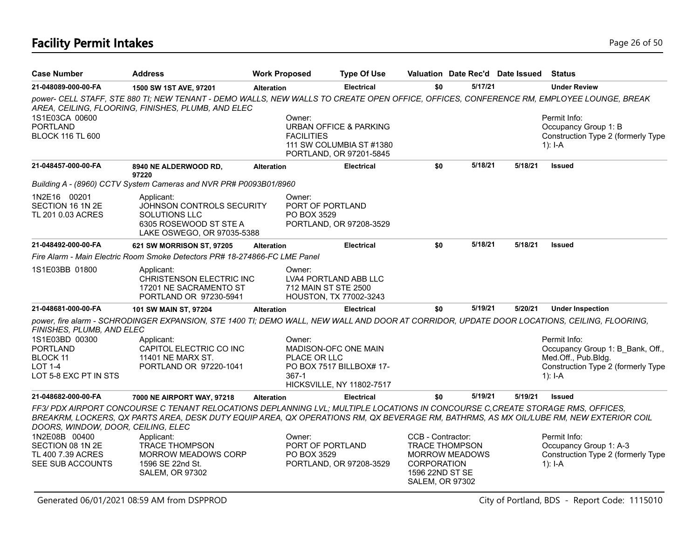# **Facility Permit Intakes** Page 26 of 50

| <b>Case Number</b>                                                                | <b>Address</b>                                                                                                                                                                                                                                                            | <b>Work Proposed</b>            | <b>Type Of Use</b>                                                                   |                                                                                                                                 |         | Valuation Date Rec'd Date Issued | <b>Status</b>                                                                                                              |
|-----------------------------------------------------------------------------------|---------------------------------------------------------------------------------------------------------------------------------------------------------------------------------------------------------------------------------------------------------------------------|---------------------------------|--------------------------------------------------------------------------------------|---------------------------------------------------------------------------------------------------------------------------------|---------|----------------------------------|----------------------------------------------------------------------------------------------------------------------------|
| 21-048089-000-00-FA                                                               | 1500 SW 1ST AVE, 97201                                                                                                                                                                                                                                                    | <b>Alteration</b>               | <b>Electrical</b>                                                                    | \$0                                                                                                                             | 5/17/21 |                                  | <b>Under Review</b>                                                                                                        |
|                                                                                   | power- CELL STAFF, STE 880 TI; NEW TENANT - DEMO WALLS, NEW WALLS TO CREATE OPEN OFFICE, OFFICES, CONFERENCE RM, EMPLOYEE LOUNGE, BREAK<br>AREA, CEILING, FLOORING, FINISHES, PLUMB, AND ELEC                                                                             |                                 |                                                                                      |                                                                                                                                 |         |                                  |                                                                                                                            |
| 1S1E03CA 00600<br><b>PORTLAND</b><br><b>BLOCK 116 TL 600</b>                      |                                                                                                                                                                                                                                                                           | Owner:<br>FACILITIES            | URBAN OFFICE & PARKING<br>111 SW COLUMBIA ST #1380<br>PORTLAND, OR 97201-5845        |                                                                                                                                 |         |                                  | Permit Info:<br>Occupancy Group 1: B<br>Construction Type 2 (formerly Type<br>$1): I-A$                                    |
| 21-048457-000-00-FA                                                               | 8940 NE ALDERWOOD RD,<br>97220                                                                                                                                                                                                                                            | <b>Alteration</b>               | <b>Electrical</b>                                                                    | \$0                                                                                                                             | 5/18/21 | 5/18/21                          | <b>Issued</b>                                                                                                              |
|                                                                                   | Building A - (8960) CCTV System Cameras and NVR PR# P0093B01/8960                                                                                                                                                                                                         |                                 |                                                                                      |                                                                                                                                 |         |                                  |                                                                                                                            |
| 1N2E16 00201<br>SECTION 16 1N 2E<br>TL 201 0.03 ACRES                             | Applicant:<br>JOHNSON CONTROLS SECURITY<br><b>SOLUTIONS LLC</b><br>6305 ROSEWOOD ST STE A<br>LAKE OSWEGO, OR 97035-5388                                                                                                                                                   | Owner:<br>PO BOX 3529           | PORT OF PORTLAND<br>PORTLAND, OR 97208-3529                                          |                                                                                                                                 |         |                                  |                                                                                                                            |
| 21-048492-000-00-FA                                                               | 621 SW MORRISON ST, 97205                                                                                                                                                                                                                                                 | <b>Alteration</b>               | <b>Electrical</b>                                                                    | \$0                                                                                                                             | 5/18/21 | 5/18/21                          | <b>Issued</b>                                                                                                              |
|                                                                                   | Fire Alarm - Main Electric Room Smoke Detectors PR# 18-274866-FC LME Panel                                                                                                                                                                                                |                                 |                                                                                      |                                                                                                                                 |         |                                  |                                                                                                                            |
| 1S1E03BB 01800                                                                    | Applicant:<br>CHRISTENSON ELECTRIC INC<br>17201 NE SACRAMENTO ST<br>PORTLAND OR 97230-5941                                                                                                                                                                                | Owner:                          | LVA4 PORTLAND ABB LLC<br>712 MAIN ST STE 2500<br>HOUSTON, TX 77002-3243              |                                                                                                                                 |         |                                  |                                                                                                                            |
| 21-048681-000-00-FA                                                               | 101 SW MAIN ST, 97204                                                                                                                                                                                                                                                     | Alteration                      | <b>Electrical</b>                                                                    | \$0                                                                                                                             | 5/19/21 | 5/20/21                          | <b>Under Inspection</b>                                                                                                    |
| FINISHES, PLUMB, AND ELEC                                                         | power, fire alarm - SCHRODINGER EXPANSION, STE 1400 TI; DEMO WALL, NEW WALL AND DOOR AT CORRIDOR, UPDATE DOOR LOCATIONS, CEILING, FLOORING,                                                                                                                               |                                 |                                                                                      |                                                                                                                                 |         |                                  |                                                                                                                            |
| 1S1E03BD 00300<br><b>PORTLAND</b><br>BLOCK 11<br>LOT 1-4<br>LOT 5-8 EXC PT IN STS | Applicant:<br>CAPITOL ELECTRIC CO INC<br>11401 NE MARX ST.<br>PORTLAND OR 97220-1041                                                                                                                                                                                      | Owner:<br>PLACE OR LLC<br>367-1 | MADISON-OFC ONE MAIN<br>PO BOX 7517 BILLBOX# 17-<br><b>HICKSVILLE, NY 11802-7517</b> |                                                                                                                                 |         |                                  | Permit Info:<br>Occupancy Group 1: B Bank, Off.,<br>Med.Off., Pub.Bldg.<br>Construction Type 2 (formerly Type<br>$1$ : I-A |
| 21-048682-000-00-FA                                                               | 7000 NE AIRPORT WAY, 97218                                                                                                                                                                                                                                                | <b>Alteration</b>               | <b>Electrical</b>                                                                    | \$0                                                                                                                             | 5/19/21 | 5/19/21                          | <b>Issued</b>                                                                                                              |
| DOORS, WINDOW, DOOR, CEILING, ELEC                                                | FF3/ PDX AIRPORT CONCOURSE C TENANT RELOCATIONS DEPLANNING LVL; MULTIPLE LOCATIONS IN CONCOURSE C, CREATE STORAGE RMS, OFFICES,<br>BREAKRM, LOCKERS, QX PARTS AREA, DESK DUTY EQUIP AREA, QX OPERATIONS RM, QX BEVERAGE RM, BATHRMS, AS MX OIL/LUBE RM, NEW EXTERIOR COIL |                                 |                                                                                      |                                                                                                                                 |         |                                  |                                                                                                                            |
| 1N2E08B 00400<br>SECTION 08 1N 2E<br>TL 400 7.39 ACRES<br>SEE SUB ACCOUNTS        | Applicant:<br><b>TRACE THOMPSON</b><br><b>MORROW MEADOWS CORP</b><br>1596 SE 22nd St.<br><b>SALEM, OR 97302</b>                                                                                                                                                           | Owner:<br>PO BOX 3529           | PORT OF PORTLAND<br>PORTLAND, OR 97208-3529                                          | CCB - Contractor:<br><b>TRACE THOMPSON</b><br><b>MORROW MEADOWS</b><br><b>CORPORATION</b><br>1596 22ND ST SE<br>SALEM, OR 97302 |         |                                  | Permit Info:<br>Occupancy Group 1: A-3<br>Construction Type 2 (formerly Type<br>$1$ : I-A                                  |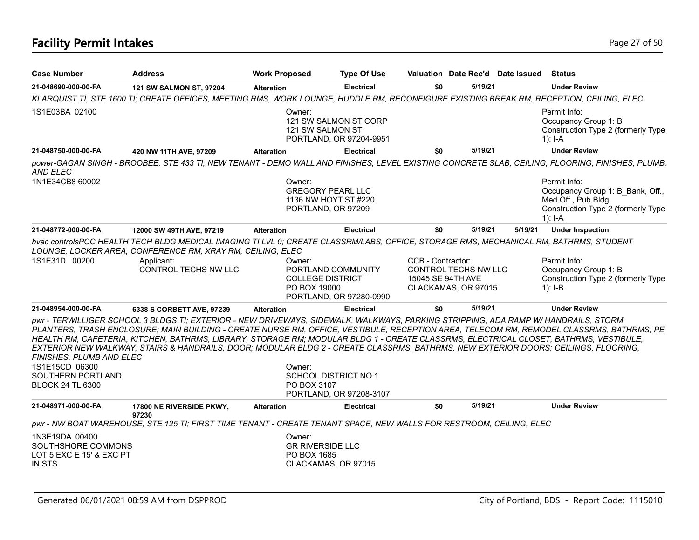| <b>Case Number</b>                                                                         | <b>Address</b>                                                                                                                                                                                                                                                                                                                                                                                                    | <b>Work Proposed</b>                              | <b>Type Of Use</b>                                                     |                                        |                                             | Valuation Date Rec'd Date Issued | <b>Status</b>                                                                                                                                   |
|--------------------------------------------------------------------------------------------|-------------------------------------------------------------------------------------------------------------------------------------------------------------------------------------------------------------------------------------------------------------------------------------------------------------------------------------------------------------------------------------------------------------------|---------------------------------------------------|------------------------------------------------------------------------|----------------------------------------|---------------------------------------------|----------------------------------|-------------------------------------------------------------------------------------------------------------------------------------------------|
| 21-048690-000-00-FA                                                                        | 121 SW SALMON ST, 97204                                                                                                                                                                                                                                                                                                                                                                                           | <b>Alteration</b>                                 | <b>Electrical</b>                                                      | \$0                                    | 5/19/21                                     |                                  | <b>Under Review</b>                                                                                                                             |
|                                                                                            | KLARQUIST TI, STE 1600 TI; CREATE OFFICES, MEETING RMS, WORK LOUNGE, HUDDLE RM, RECONFIGURE EXISTING BREAK RM, RECEPTION, CEILING, ELEC                                                                                                                                                                                                                                                                           |                                                   |                                                                        |                                        |                                             |                                  |                                                                                                                                                 |
| 1S1E03BA 02100                                                                             |                                                                                                                                                                                                                                                                                                                                                                                                                   | Owner:<br>121 SW SALMON ST                        | 121 SW SALMON ST CORP<br>PORTLAND, OR 97204-9951                       |                                        |                                             |                                  | Permit Info:<br>Occupancy Group 1: B<br>Construction Type 2 (formerly Type<br>$1$ : I-A                                                         |
| 21-048750-000-00-FA                                                                        | 420 NW 11TH AVE, 97209                                                                                                                                                                                                                                                                                                                                                                                            | <b>Alteration</b>                                 | <b>Electrical</b>                                                      | \$0                                    | 5/19/21                                     |                                  | <b>Under Review</b>                                                                                                                             |
| AND ELEC                                                                                   |                                                                                                                                                                                                                                                                                                                                                                                                                   |                                                   |                                                                        |                                        |                                             |                                  | power-GAGAN SINGH - BROOBEE, STE 433 TI; NEW TENANT - DEMO WALL AND FINISHES, LEVEL EXISTING CONCRETE SLAB, CEILING, FLOORING, FINISHES, PLUMB, |
| 1N1E34CB8 60002                                                                            |                                                                                                                                                                                                                                                                                                                                                                                                                   | Owner:                                            | <b>GREGORY PEARL LLC</b><br>1136 NW HOYT ST #220<br>PORTLAND, OR 97209 |                                        |                                             |                                  | Permit Info:<br>Occupancy Group 1: B Bank, Off.,<br>Med.Off., Pub.Bldg.<br>Construction Type 2 (formerly Type<br>$1$ : I-A                      |
| 21-048772-000-00-FA                                                                        | 12000 SW 49TH AVE, 97219                                                                                                                                                                                                                                                                                                                                                                                          | <b>Alteration</b>                                 | <b>Electrical</b>                                                      | \$0                                    | 5/19/21                                     | 5/19/21                          | <b>Under Inspection</b>                                                                                                                         |
| 1S1E31D 00200                                                                              | hvac controlsPCC HEALTH TECH BLDG MEDICAL IMAGING TI LVL 0; CREATE CLASSRM/LABS, OFFICE, STORAGE RMS, MECHANICAL RM, BATHRMS, STUDENT<br>LOUNGE, LOCKER AREA, CONFERENCE RM, XRAY RM, CEILING, ELEC<br>Applicant:<br>CONTROL TECHS NW LLC                                                                                                                                                                         | Owner:<br><b>COLLEGE DISTRICT</b><br>PO BOX 19000 | PORTLAND COMMUNITY<br>PORTLAND, OR 97280-0990                          | CCB - Contractor:<br>15045 SE 94TH AVE | CONTROL TECHS NW LLC<br>CLACKAMAS, OR 97015 |                                  | Permit Info:<br>Occupancy Group 1: B<br>Construction Type 2 (formerly Type<br>1): $I-B$                                                         |
| 21-048954-000-00-FA                                                                        | 6338 S CORBETT AVE, 97239                                                                                                                                                                                                                                                                                                                                                                                         | <b>Alteration</b>                                 | <b>Electrical</b>                                                      | \$0                                    | 5/19/21                                     |                                  | <b>Under Review</b>                                                                                                                             |
| FINISHES, PLUMB AND ELEC<br>1S1E15CD 06300<br>SOUTHERN PORTLAND<br><b>BLOCK 24 TL 6300</b> | pwr - TERWILLIGER SCHOOL 3 BLDGS TI; EXTERIOR - NEW DRIVEWAYS, SIDEWALK, WALKWAYS, PARKING STRIPPING, ADA RAMP W/ HANDRAILS, STORM<br>HEALTH RM, CAFETERIA, KITCHEN, BATHRMS, LIBRARY, STORAGE RM; MODULAR BLDG 1 - CREATE CLASSRMS, ELECTRICAL CLOSET, BATHRMS, VESTIBULE,<br>EXTERIOR NEW WALKWAY, STAIRS & HANDRAILS, DOOR; MODULAR BLDG 2 - CREATE CLASSRMS, BATHRMS, NEW EXTERIOR DOORS; CEILINGS, FLOORING, | Owner:<br>PO BOX 3107                             | SCHOOL DISTRICT NO 1<br>PORTLAND, OR 97208-3107                        |                                        |                                             |                                  | PLANTERS, TRASH ENCLOSURE; MAIN BUILDING - CREATE NURSE RM, OFFICE, VESTIBULE, RECEPTION AREA, TELECOM RM, REMODEL CLASSRMS, BATHRMS, PE        |
| 21-048971-000-00-FA                                                                        | 17800 NE RIVERSIDE PKWY,                                                                                                                                                                                                                                                                                                                                                                                          | <b>Alteration</b>                                 | <b>Electrical</b>                                                      | \$0                                    | 5/19/21                                     |                                  | <b>Under Review</b>                                                                                                                             |
|                                                                                            | 97230<br>pwr - NW BOAT WAREHOUSE, STE 125 TI; FIRST TIME TENANT - CREATE TENANT SPACE, NEW WALLS FOR RESTROOM, CEILING, ELEC                                                                                                                                                                                                                                                                                      |                                                   |                                                                        |                                        |                                             |                                  |                                                                                                                                                 |
| 1N3E19DA 00400<br>SOUTHSHORE COMMONS<br>LOT 5 EXC E 15' & EXC PT<br>IN STS                 |                                                                                                                                                                                                                                                                                                                                                                                                                   | Owner:<br><b>GR RIVERSIDE LLC</b><br>PO BOX 1685  | CLACKAMAS, OR 97015                                                    |                                        |                                             |                                  |                                                                                                                                                 |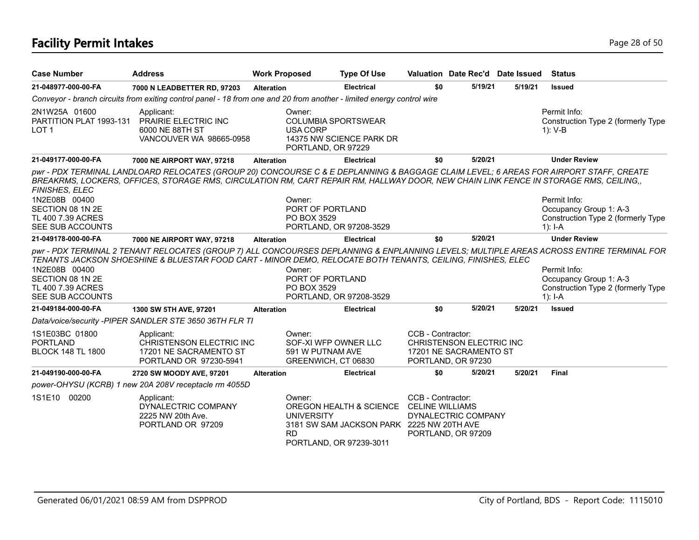# **Facility Permit Intakes** Page 28 of 50

| <b>Case Number</b>                                                                           | <b>Address</b>                                                                                                                                                                                                                                                                 | <b>Work Proposed</b>                                                      | <b>Type Of Use</b>                                                                                              |                   |                                                                          | Valuation Date Rec'd Date Issued | <b>Status</b>                                                                                                                                                                                                                         |
|----------------------------------------------------------------------------------------------|--------------------------------------------------------------------------------------------------------------------------------------------------------------------------------------------------------------------------------------------------------------------------------|---------------------------------------------------------------------------|-----------------------------------------------------------------------------------------------------------------|-------------------|--------------------------------------------------------------------------|----------------------------------|---------------------------------------------------------------------------------------------------------------------------------------------------------------------------------------------------------------------------------------|
| 21-048977-000-00-FA                                                                          | 7000 N LEADBETTER RD, 97203                                                                                                                                                                                                                                                    | <b>Alteration</b>                                                         | <b>Electrical</b>                                                                                               | \$0               | 5/19/21                                                                  | 5/19/21                          | <b>Issued</b>                                                                                                                                                                                                                         |
|                                                                                              | Conveyor - branch circuits from exiting control panel - 18 from one and 20 from another - limited energy control wire                                                                                                                                                          |                                                                           |                                                                                                                 |                   |                                                                          |                                  |                                                                                                                                                                                                                                       |
| 2N1W25A 01600<br>PARTITION PLAT 1993-131<br>LOT <sub>1</sub>                                 | Applicant:<br>PRAIRIE ELECTRIC INC<br>6000 NE 88TH ST<br>VANCOUVER WA 98665-0958                                                                                                                                                                                               | Owner:<br>USA CORP<br>PORTLAND, OR 97229                                  | <b>COLUMBIA SPORTSWEAR</b><br>14375 NW SCIENCE PARK DR                                                          |                   |                                                                          |                                  | Permit Info:<br>Construction Type 2 (formerly Type<br>$1): V-B$                                                                                                                                                                       |
| 21-049177-000-00-FA                                                                          | 7000 NE AIRPORT WAY, 97218                                                                                                                                                                                                                                                     | <b>Alteration</b>                                                         | <b>Electrical</b>                                                                                               | \$0               | 5/20/21                                                                  |                                  | <b>Under Review</b>                                                                                                                                                                                                                   |
| FINISHES, ELEC<br>1N2E08B 00400<br>SECTION 08 1N 2E<br>TL 400 7.39 ACRES<br>SEE SUB ACCOUNTS | pwr - PDX TERMINAL LANDLOARD RELOCATES (GROUP 20) CONCOURSE C & E DEPLANNING & BAGGAGE CLAIM LEVEL; 6 AREAS FOR AIRPORT STAFF, CREATE<br>BREAKRMS, LOCKERS, OFFICES, STORAGE RMS, CIRCULATION RM, CART REPAIR RM, HALLWAY DOOR, NEW CHAIN LINK FENCE IN STORAGE RMS, CEILING,, | Owner:<br>PORT OF PORTLAND<br>PO BOX 3529                                 | PORTLAND, OR 97208-3529                                                                                         |                   |                                                                          |                                  | Permit Info:<br>Occupancy Group 1: A-3<br>Construction Type 2 (formerly Type<br>$1$ : I-A                                                                                                                                             |
| 21-049178-000-00-FA                                                                          | 7000 NE AIRPORT WAY, 97218                                                                                                                                                                                                                                                     | <b>Alteration</b>                                                         | <b>Electrical</b>                                                                                               | \$0               | 5/20/21                                                                  |                                  | <b>Under Review</b>                                                                                                                                                                                                                   |
| 1N2E08B 00400<br>SECTION 08 1N 2E<br>TL 400 7.39 ACRES<br>SEE SUB ACCOUNTS                   | TENANTS JACKSON SHOESHINE & BLUESTAR FOOD CART - MINOR DEMO, RELOCATE BOTH TENANTS, CEILING, FINISHES, ELEC                                                                                                                                                                    | Owner:<br>PORT OF PORTLAND<br>PO BOX 3529                                 | PORTLAND, OR 97208-3529                                                                                         |                   |                                                                          |                                  | pwr - PDX TERMINAL 2 TENANT RELOCATES (GROUP 7) ALL CONCOURSES DEPLANNING & ENPLANNING LEVELS; MULTIPLE AREAS ACROSS ENTIRE TERMINAL FOR<br>Permit Info:<br>Occupancy Group 1: A-3<br>Construction Type 2 (formerly Type<br>1): $I-A$ |
| 21-049184-000-00-FA                                                                          | 1300 SW 5TH AVE, 97201                                                                                                                                                                                                                                                         | <b>Alteration</b>                                                         | <b>Electrical</b>                                                                                               | \$0               | 5/20/21                                                                  | 5/20/21                          | <b>Issued</b>                                                                                                                                                                                                                         |
|                                                                                              | Data/voice/security -PIPER SANDLER STE 3650 36TH FLR TI                                                                                                                                                                                                                        |                                                                           |                                                                                                                 |                   |                                                                          |                                  |                                                                                                                                                                                                                                       |
| 1S1E03BC 01800<br><b>PORTLAND</b><br><b>BLOCK 148 TL 1800</b>                                | Applicant:<br>CHRISTENSON ELECTRIC INC<br>17201 NE SACRAMENTO ST<br>PORTLAND OR 97230-5941                                                                                                                                                                                     | Owner:<br>SOF-XI WFP OWNER LLC<br>591 W PUTNAM AVE<br>GREENWICH, CT 06830 |                                                                                                                 | CCB - Contractor: | CHRISTENSON ELECTRIC INC<br>17201 NE SACRAMENTO ST<br>PORTLAND, OR 97230 |                                  |                                                                                                                                                                                                                                       |
| 21-049190-000-00-FA                                                                          | 2720 SW MOODY AVE, 97201                                                                                                                                                                                                                                                       | <b>Alteration</b>                                                         | <b>Electrical</b>                                                                                               | \$0               | 5/20/21                                                                  | 5/20/21                          | <b>Final</b>                                                                                                                                                                                                                          |
|                                                                                              | power-OHYSU (KCRB) 1 new 20A 208V receptacle rm 4055D                                                                                                                                                                                                                          |                                                                           |                                                                                                                 |                   |                                                                          |                                  |                                                                                                                                                                                                                                       |
| 1S1E10 00200                                                                                 | Applicant:<br>DYNALECTRIC COMPANY<br>2225 NW 20th Ave.<br>PORTLAND OR 97209                                                                                                                                                                                                    | Owner:<br><b>UNIVERSITY</b><br><b>RD</b>                                  | OREGON HEALTH & SCIENCE CELINE WILLIAMS<br>3181 SW SAM JACKSON PARK 2225 NW 20TH AVE<br>PORTLAND, OR 97239-3011 | CCB - Contractor: | DYNALECTRIC COMPANY<br>PORTLAND, OR 97209                                |                                  |                                                                                                                                                                                                                                       |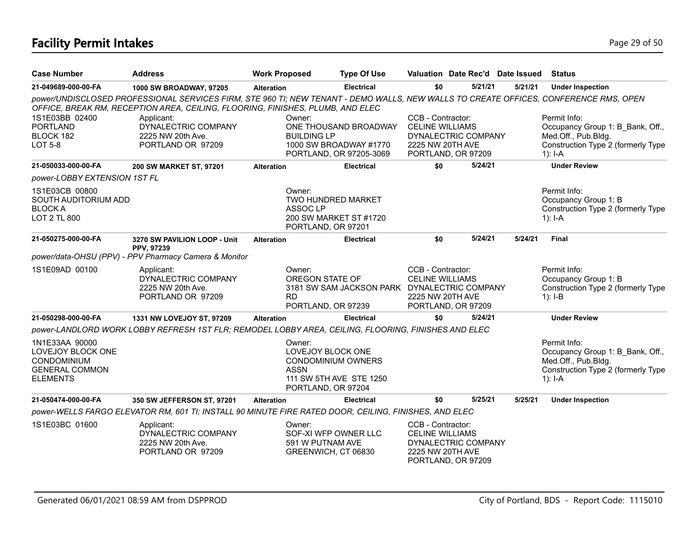# **Facility Permit Intakes** Page 29 of 50

| <b>Case Number</b>                                                                                    | <b>Address</b>                                                                                                                                                                                                         | <b>Work Proposed</b>                                                                          | <b>Type Of Use</b>                                                         | Valuation Date Rec'd Date Issued                                                                             |         |         | <b>Status</b>                                                                                                              |
|-------------------------------------------------------------------------------------------------------|------------------------------------------------------------------------------------------------------------------------------------------------------------------------------------------------------------------------|-----------------------------------------------------------------------------------------------|----------------------------------------------------------------------------|--------------------------------------------------------------------------------------------------------------|---------|---------|----------------------------------------------------------------------------------------------------------------------------|
| 21-049689-000-00-FA                                                                                   | 1000 SW BROADWAY, 97205                                                                                                                                                                                                | <b>Alteration</b>                                                                             | <b>Electrical</b>                                                          | \$0                                                                                                          | 5/21/21 | 5/21/21 | <b>Under Inspection</b>                                                                                                    |
|                                                                                                       | power/UNDISCLOSED PROFESSIONAL SERVICES FIRM, STE 960 TI; NEW TENANT - DEMO WALLS, NEW WALLS TO CREATE OFFICES, CONFERENCE RMS, OPEN<br>OFFICE, BREAK RM, RECEPTION AREA, CEILING, FLOORING, FINISHES, PLUMB, AND ELEC |                                                                                               |                                                                            |                                                                                                              |         |         |                                                                                                                            |
| 1S1E03BB 02400<br><b>PORTLAND</b><br>BLOCK 182<br><b>LOT 5-8</b>                                      | Applicant:<br>DYNALECTRIC COMPANY<br>2225 NW 20th Ave.<br>PORTLAND OR 97209                                                                                                                                            | Owner:<br><b>BUILDING LP</b>                                                                  | ONE THOUSAND BROADWAY<br>1000 SW BROADWAY #1770<br>PORTLAND, OR 97205-3069 | CCB - Contractor:<br><b>CELINE WILLIAMS</b><br>DYNALECTRIC COMPANY<br>2225 NW 20TH AVE<br>PORTLAND, OR 97209 |         |         | Permit Info:<br>Occupancy Group 1: B Bank, Off.,<br>Med.Off., Pub.Bldg.<br>Construction Type 2 (formerly Type<br>$1$ : I-A |
| 21-050033-000-00-FA                                                                                   | 200 SW MARKET ST, 97201                                                                                                                                                                                                | <b>Alteration</b>                                                                             | <b>Electrical</b>                                                          | \$0                                                                                                          | 5/24/21 |         | <b>Under Review</b>                                                                                                        |
| power-LOBBY EXTENSION 1ST FL                                                                          |                                                                                                                                                                                                                        |                                                                                               |                                                                            |                                                                                                              |         |         |                                                                                                                            |
| 1S1E03CB 00800<br>SOUTH AUDITORIUM ADD<br><b>BLOCKA</b><br><b>LOT 2 TL 800</b>                        |                                                                                                                                                                                                                        | Owner:<br>TWO HUNDRED MARKET<br>ASSOC LP<br>PORTLAND, OR 97201                                | 200 SW MARKET ST #1720                                                     |                                                                                                              |         |         | Permit Info:<br>Occupancy Group 1: B<br>Construction Type 2 (formerly Type<br>1): $I - A$                                  |
| 21-050275-000-00-FA                                                                                   | 3270 SW PAVILION LOOP - Unit                                                                                                                                                                                           | <b>Alteration</b>                                                                             | <b>Electrical</b>                                                          | \$0                                                                                                          | 5/24/21 | 5/24/21 | <b>Final</b>                                                                                                               |
|                                                                                                       | PPV, 97239<br>power/data-OHSU (PPV) - PPV Pharmacy Camera & Monitor                                                                                                                                                    |                                                                                               |                                                                            |                                                                                                              |         |         |                                                                                                                            |
| 1S1E09AD 00100                                                                                        | Applicant:<br>DYNALECTRIC COMPANY<br>2225 NW 20th Ave.<br>PORTLAND OR 97209                                                                                                                                            | Owner:<br>OREGON STATE OF<br><b>RD</b><br>PORTLAND, OR 97239                                  | 3181 SW SAM JACKSON PARK DYNALECTRIC COMPANY                               | CCB - Contractor:<br><b>CELINE WILLIAMS</b><br>2225 NW 20TH AVE<br>PORTLAND, OR 97209                        |         |         | Permit Info:<br>Occupancy Group 1: B<br>Construction Type 2 (formerly Type<br>$1$ : I-B                                    |
| 21-050298-000-00-FA                                                                                   | 1331 NW LOVEJOY ST, 97209                                                                                                                                                                                              | <b>Alteration</b>                                                                             | <b>Electrical</b>                                                          | \$0                                                                                                          | 5/24/21 |         | <b>Under Review</b>                                                                                                        |
|                                                                                                       | power-LANDLORD WORK LOBBY REFRESH 1ST FLR; REMODEL LOBBY AREA, CEILING, FLOORING, FINISHES AND ELEC                                                                                                                    |                                                                                               |                                                                            |                                                                                                              |         |         |                                                                                                                            |
| 1N1E33AA 90000<br>LOVEJOY BLOCK ONE<br><b>CONDOMINIUM</b><br><b>GENERAL COMMON</b><br><b>ELEMENTS</b> |                                                                                                                                                                                                                        | Owner:<br>LOVEJOY BLOCK ONE<br><b>CONDOMINIUM OWNERS</b><br><b>ASSN</b><br>PORTLAND, OR 97204 | 111 SW 5TH AVE STE 1250                                                    |                                                                                                              |         |         | Permit Info:<br>Occupancy Group 1: B Bank, Off.,<br>Med.Off., Pub.Bldg.<br>Construction Type 2 (formerly Type<br>$1$ : I-A |
| 21-050474-000-00-FA                                                                                   | 350 SW JEFFERSON ST, 97201                                                                                                                                                                                             | <b>Alteration</b>                                                                             | <b>Electrical</b>                                                          | \$0                                                                                                          | 5/25/21 | 5/25/21 | <b>Under Inspection</b>                                                                                                    |
|                                                                                                       | power-WELLS FARGO ELEVATOR RM, 601 TI; INSTALL 90 MINUTE FIRE RATED DOOR, CEILING, FINISHES, AND ELEC                                                                                                                  |                                                                                               |                                                                            |                                                                                                              |         |         |                                                                                                                            |
| 1S1E03BC 01600                                                                                        | Applicant:<br>DYNALECTRIC COMPANY<br>2225 NW 20th Ave.<br>PORTLAND OR 97209                                                                                                                                            | Owner:<br>SOF-XI WFP OWNER LLC<br>591 W PUTNAM AVE<br>GREENWICH, CT 06830                     |                                                                            | CCB - Contractor:<br><b>CELINE WILLIAMS</b><br>DYNALECTRIC COMPANY<br>2225 NW 20TH AVE<br>PORTLAND, OR 97209 |         |         |                                                                                                                            |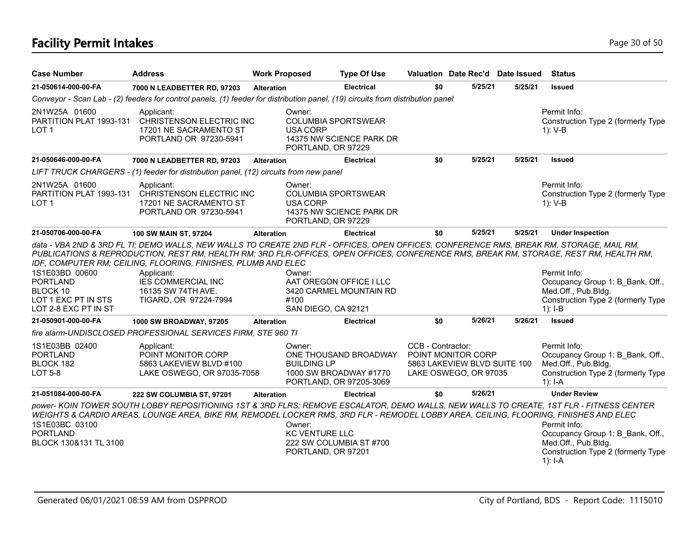# **Facility Permit Intakes** Page 30 of 50

| <b>Case Number</b>                                                                           | <b>Address</b>                                                                                                                                                                                                                                                                                                                                                                                                                                | <b>Work Proposed</b> |                                                       | <b>Type Of Use</b>                                                         | Valuation Date Rec'd Date Issued                                                                 |         |         | <b>Status</b>                                                                                                              |
|----------------------------------------------------------------------------------------------|-----------------------------------------------------------------------------------------------------------------------------------------------------------------------------------------------------------------------------------------------------------------------------------------------------------------------------------------------------------------------------------------------------------------------------------------------|----------------------|-------------------------------------------------------|----------------------------------------------------------------------------|--------------------------------------------------------------------------------------------------|---------|---------|----------------------------------------------------------------------------------------------------------------------------|
| 21-050614-000-00-FA                                                                          | 7000 N LEADBETTER RD, 97203                                                                                                                                                                                                                                                                                                                                                                                                                   | <b>Alteration</b>    |                                                       | <b>Electrical</b>                                                          | \$0                                                                                              | 5/25/21 | 5/25/21 | <b>Issued</b>                                                                                                              |
|                                                                                              | Conveyor - Scan Lab - (2) feeders for control panels, (1) feeder for distribution panel, (19) circuits from distribution panel                                                                                                                                                                                                                                                                                                                |                      |                                                       |                                                                            |                                                                                                  |         |         |                                                                                                                            |
| 2N1W25A 01600<br>PARTITION PLAT 1993-131<br>LOT <sub>1</sub>                                 | Applicant:<br>CHRISTENSON ELECTRIC INC<br>17201 NE SACRAMENTO ST<br>PORTLAND OR 97230-5941                                                                                                                                                                                                                                                                                                                                                    |                      | Owner:<br><b>USA CORP</b><br>PORTLAND, OR 97229       | <b>COLUMBIA SPORTSWEAR</b><br>14375 NW SCIENCE PARK DR                     |                                                                                                  |         |         | Permit Info:<br>Construction Type 2 (formerly Type<br>$1): V-B$                                                            |
| 21-050646-000-00-FA                                                                          | 7000 N LEADBETTER RD, 97203                                                                                                                                                                                                                                                                                                                                                                                                                   | <b>Alteration</b>    |                                                       | <b>Electrical</b>                                                          | \$0                                                                                              | 5/25/21 | 5/25/21 | <b>Issued</b>                                                                                                              |
|                                                                                              | LIFT TRUCK CHARGERS - (1) feeder for distribution panel, (12) circuits from new panel                                                                                                                                                                                                                                                                                                                                                         |                      |                                                       |                                                                            |                                                                                                  |         |         |                                                                                                                            |
| 2N1W25A 01600<br>PARTITION PLAT 1993-131<br>LOT <sub>1</sub>                                 | Applicant:<br>CHRISTENSON ELECTRIC INC<br>17201 NE SACRAMENTO ST<br>PORTLAND OR 97230-5941                                                                                                                                                                                                                                                                                                                                                    |                      | Owner:<br><b>USA CORP</b><br>PORTLAND, OR 97229       | <b>COLUMBIA SPORTSWEAR</b><br>14375 NW SCIENCE PARK DR                     |                                                                                                  |         |         | Permit Info:<br>Construction Type 2 (formerly Type<br>$1)$ : V-B                                                           |
| 21-050706-000-00-FA                                                                          | 100 SW MAIN ST, 97204                                                                                                                                                                                                                                                                                                                                                                                                                         | <b>Alteration</b>    |                                                       | <b>Electrical</b>                                                          | \$0                                                                                              | 5/25/21 | 5/25/21 | <b>Under Inspection</b>                                                                                                    |
| 1S1E03BD 00600<br><b>PORTLAND</b><br>BLOCK 10<br>LOT 1 EXC PT IN STS<br>LOT 2-8 EXC PT IN ST | data - VBA 2ND & 3RD FL TI; DEMO WALLS, NEW WALLS TO CREATE 2ND FLR - OFFICES, OPEN OFFICES, CONFERENCE RMS, BREAK RM, STORAGE, MAIL RM,<br>PUBLICATIONS & REPRODUCTION, REST RM, HEALTH RM; 3RD FLR-OFFICES, OPEN OFFICES, CONFERENCE RMS, BREAK RM, STORAGE, REST RM, HEALTH RM,<br>IDF, COMPUTER RM; CEILING, FLOORING, FINISHES, PLUMB AND ELEC<br>Applicant:<br><b>IES COMMERCIAL INC</b><br>16135 SW 74TH AVE.<br>TIGARD, OR 97224-7994 |                      | Owner:<br>#100<br>SAN DIEGO, CA 92121                 | AAT OREGON OFFICE I LLC<br>3420 CARMEL MOUNTAIN RD                         |                                                                                                  |         |         | Permit Info:<br>Occupancy Group 1: B Bank, Off.,<br>Med.Off., Pub.Bldg.<br>Construction Type 2 (formerly Type<br>$1$ : I-B |
| 21-050901-000-00-FA                                                                          | 1000 SW BROADWAY, 97205                                                                                                                                                                                                                                                                                                                                                                                                                       | <b>Alteration</b>    |                                                       | <b>Electrical</b>                                                          | \$0                                                                                              | 5/26/21 | 5/26/21 | <b>Issued</b>                                                                                                              |
|                                                                                              | fire alarm-UNDISCLOSED PROFESSIONAL SERVICES FIRM, STE 960 TI                                                                                                                                                                                                                                                                                                                                                                                 |                      |                                                       |                                                                            |                                                                                                  |         |         |                                                                                                                            |
| 1S1E03BB 02400<br><b>PORTLAND</b><br>BLOCK 182<br><b>LOT 5-8</b>                             | Applicant:<br>POINT MONITOR CORP<br>5863 LAKEVIEW BLVD #100<br>LAKE OSWEGO, OR 97035-7058                                                                                                                                                                                                                                                                                                                                                     |                      | Owner:<br><b>BUILDING LP</b>                          | ONE THOUSAND BROADWAY<br>1000 SW BROADWAY #1770<br>PORTLAND, OR 97205-3069 | CCB - Contractor:<br>POINT MONITOR CORP<br>5863 LAKEVIEW BLVD SUITE 100<br>LAKE OSWEGO, OR 97035 |         |         | Permit Info:<br>Occupancy Group 1: B Bank, Off.,<br>Med.Off., Pub.Bldg.<br>Construction Type 2 (formerly Type<br>1): $I-A$ |
| 21-051084-000-00-FA                                                                          | 222 SW COLUMBIA ST, 97201                                                                                                                                                                                                                                                                                                                                                                                                                     | <b>Alteration</b>    |                                                       | <b>Electrical</b>                                                          | \$0                                                                                              | 5/26/21 |         | <b>Under Review</b>                                                                                                        |
| 1S1E03BC 03100<br><b>PORTLAND</b><br>BLOCK 130&131 TL 3100                                   | power- KOIN TOWER SOUTH LOBBY REPOSITIONING 1ST & 3RD FLRS; REMOVE ESCALATOR, DEMO WALLS, NEW WALLS TO CREATE, 1ST FLR - FITNESS CENTER<br>WEIGHTS & CARDIO AREAS, LOUNGE AREA, BIKE RM, REMODEL LOCKER RMS, 3RD FLR - REMODEL LOBBY AREA, CEILING, FLOORING, FINISHES AND ELEC                                                                                                                                                               |                      | Owner:<br><b>KC VENTURE LLC</b><br>PORTLAND, OR 97201 | 222 SW COLUMBIA ST #700                                                    |                                                                                                  |         |         | Permit Info:<br>Occupancy Group 1: B Bank, Off.,<br>Med.Off., Pub.Bldg.<br>Construction Type 2 (formerly Type              |

 $1)$ : I-A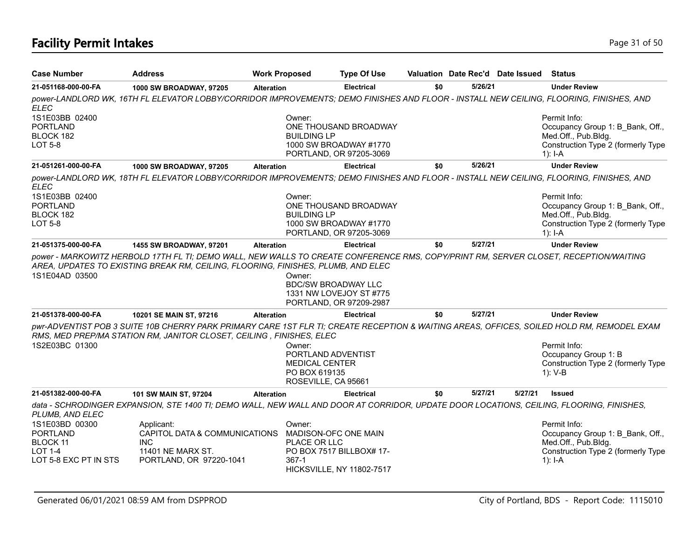# **Facility Permit Intakes** Page 31 of 50

| <b>Case Number</b>                                                                       | <b>Address</b>                                                                                                                           | <b>Work Proposed</b> | <b>Type Of Use</b>                                                                            |     |         | Valuation Date Rec'd Date Issued | <b>Status</b>                                                                                                                              |
|------------------------------------------------------------------------------------------|------------------------------------------------------------------------------------------------------------------------------------------|----------------------|-----------------------------------------------------------------------------------------------|-----|---------|----------------------------------|--------------------------------------------------------------------------------------------------------------------------------------------|
| 21-051168-000-00-FA                                                                      | 1000 SW BROADWAY, 97205                                                                                                                  | <b>Alteration</b>    | <b>Electrical</b>                                                                             | \$0 | 5/26/21 |                                  | <b>Under Review</b>                                                                                                                        |
| <b>ELEC</b>                                                                              | power-LANDLORD WK, 16TH FL ELEVATOR LOBBY/CORRIDOR IMPROVEMENTS; DEMO FINISHES AND FLOOR - INSTALL NEW CEILING, FLOORING, FINISHES, AND  |                      |                                                                                               |     |         |                                  |                                                                                                                                            |
| 1S1E03BB 02400<br><b>PORTLAND</b><br>BLOCK 182<br><b>LOT 5-8</b>                         |                                                                                                                                          |                      | Owner:<br>ONE THOUSAND BROADWAY<br><b>BUILDING LP</b><br>1000 SW BROADWAY #1770               |     |         |                                  | Permit Info:<br>Occupancy Group 1: B Bank, Off.,<br>Med.Off., Pub.Bldg.<br>Construction Type 2 (formerly Type                              |
|                                                                                          |                                                                                                                                          |                      | PORTLAND, OR 97205-3069                                                                       |     |         |                                  | $1$ : I-A                                                                                                                                  |
| 21-051261-000-00-FA                                                                      | 1000 SW BROADWAY, 97205                                                                                                                  | <b>Alteration</b>    | <b>Electrical</b>                                                                             | \$0 | 5/26/21 |                                  | <b>Under Review</b>                                                                                                                        |
| <b>ELEC</b>                                                                              | power-LANDLORD WK, 18TH FL ELEVATOR LOBBY/CORRIDOR IMPROVEMENTS; DEMO FINISHES AND FLOOR - INSTALL NEW CEILING, FLOORING, FINISHES, AND  |                      |                                                                                               |     |         |                                  |                                                                                                                                            |
| 1S1E03BB 02400                                                                           |                                                                                                                                          |                      | Owner:                                                                                        |     |         |                                  | Permit Info:                                                                                                                               |
| <b>PORTLAND</b>                                                                          |                                                                                                                                          |                      | ONE THOUSAND BROADWAY                                                                         |     |         |                                  | Occupancy Group 1: B Bank, Off.,                                                                                                           |
| BLOCK 182                                                                                |                                                                                                                                          |                      | <b>BUILDING LP</b>                                                                            |     |         |                                  | Med.Off., Pub.Bldg.                                                                                                                        |
| <b>LOT 5-8</b>                                                                           |                                                                                                                                          |                      | 1000 SW BROADWAY #1770<br>PORTLAND, OR 97205-3069                                             |     |         |                                  | Construction Type 2 (formerly Type<br>$1$ : I-A                                                                                            |
| 21-051375-000-00-FA                                                                      | 1455 SW BROADWAY, 97201                                                                                                                  | <b>Alteration</b>    | <b>Electrical</b>                                                                             | \$0 | 5/27/21 |                                  | <b>Under Review</b>                                                                                                                        |
| 1S1E04AD 03500                                                                           |                                                                                                                                          |                      | Owner:<br><b>BDC/SW BROADWAY LLC</b><br>1331 NW LOVEJOY ST #775<br>PORTLAND, OR 97209-2987    |     |         |                                  |                                                                                                                                            |
| 21-051378-000-00-FA                                                                      | 10201 SE MAIN ST, 97216                                                                                                                  | <b>Alteration</b>    | <b>Electrical</b>                                                                             | \$0 | 5/27/21 |                                  | <b>Under Review</b>                                                                                                                        |
|                                                                                          | RMS, MED PREP/MA STATION RM, JANITOR CLOSET, CEILING, FINISHES, ELEC                                                                     |                      |                                                                                               |     |         |                                  | pwr-ADVENTIST POB 3 SUITE 10B CHERRY PARK PRIMARY CARE 1ST FLR TI; CREATE RECEPTION & WAITING AREAS, OFFICES, SOILED HOLD RM, REMODEL EXAM |
| 1S2E03BC 01300                                                                           |                                                                                                                                          |                      | Owner:<br>PORTLAND ADVENTIST<br><b>MEDICAL CENTER</b><br>PO BOX 619135<br>ROSEVILLE, CA 95661 |     |         |                                  | Permit Info:<br>Occupancy Group 1: B<br>Construction Type 2 (formerly Type<br>$1): V-B$                                                    |
| 21-051382-000-00-FA                                                                      | 101 SW MAIN ST, 97204                                                                                                                    | <b>Alteration</b>    | <b>Electrical</b>                                                                             | \$0 | 5/27/21 | 5/27/21                          | <b>Issued</b>                                                                                                                              |
| PLUMB, AND ELEC                                                                          | data - SCHRODINGER EXPANSION, STE 1400 TI; DEMO WALL, NEW WALL AND DOOR AT CORRIDOR, UPDATE DOOR LOCATIONS, CEILING, FLOORING, FINISHES, |                      |                                                                                               |     |         |                                  |                                                                                                                                            |
| 1S1E03BD 00300<br><b>PORTLAND</b><br>BLOCK 11<br><b>LOT 1-4</b><br>LOT 5-8 EXC PT IN STS | Applicant:<br>CAPITOL DATA & COMMUNICATIONS<br><b>INC</b><br>11401 NE MARX ST.<br>PORTLAND, OR 97220-1041                                |                      | Owner:<br>MADISON-OFC ONE MAIN<br>PLACE OR LLC<br>PO BOX 7517 BILLBOX# 17-<br>$367-1$         |     |         |                                  | Permit Info:<br>Occupancy Group 1: B Bank, Off.,<br>Med.Off., Pub.Bldg.<br>Construction Type 2 (formerly Type<br>$1$ : I-A                 |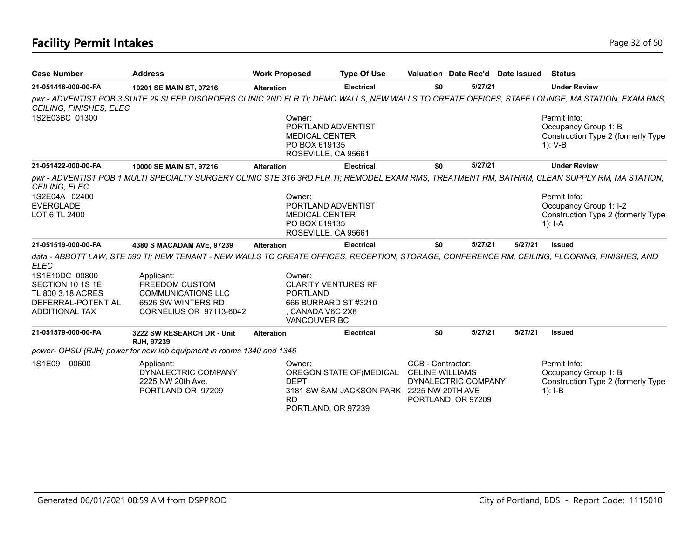# **Facility Permit Intakes** Page 32 of 50

| <b>Case Number</b>                                                                              | <b>Address</b>                                                                                                                                 | <b>Work Proposed</b> |                                                                                                                     | <b>Type Of Use</b>                                                                    |                   | Valuation Date Rec'd Date Issued          |         | <b>Status</b>                                                                             |
|-------------------------------------------------------------------------------------------------|------------------------------------------------------------------------------------------------------------------------------------------------|----------------------|---------------------------------------------------------------------------------------------------------------------|---------------------------------------------------------------------------------------|-------------------|-------------------------------------------|---------|-------------------------------------------------------------------------------------------|
| 21-051416-000-00-FA                                                                             | 10201 SE MAIN ST, 97216                                                                                                                        | <b>Alteration</b>    |                                                                                                                     | <b>Electrical</b>                                                                     | \$0               | 5/27/21                                   |         | <b>Under Review</b>                                                                       |
| CEILING, FINISHES, ELEC                                                                         | pwr - ADVENTIST POB 3 SUITE 29 SLEEP DISORDERS CLINIC 2ND FLR TI; DEMO WALLS, NEW WALLS TO CREATE OFFICES, STAFF LOUNGE, MA STATION, EXAM RMS, |                      |                                                                                                                     |                                                                                       |                   |                                           |         |                                                                                           |
| 1S2E03BC 01300                                                                                  |                                                                                                                                                |                      | Owner:<br>PORTLAND ADVENTIST<br><b>MEDICAL CENTER</b><br>PO BOX 619135<br>ROSEVILLE, CA 95661                       |                                                                                       |                   |                                           |         | Permit Info:<br>Occupancy Group 1: B<br>Construction Type 2 (formerly Type<br>$1): V-B$   |
| 21-051422-000-00-FA                                                                             | 10000 SE MAIN ST, 97216                                                                                                                        | <b>Alteration</b>    |                                                                                                                     | <b>Electrical</b>                                                                     | \$0               | 5/27/21                                   |         | <b>Under Review</b>                                                                       |
| <b>CEILING, ELEC</b>                                                                            | pwr - ADVENTIST POB 1 MULTI SPECIALTY SURGERY CLINIC STE 316 3RD FLR TI; REMODEL EXAM RMS, TREATMENT RM, BATHRM, CLEAN SUPPLY RM, MA STATION,  |                      |                                                                                                                     |                                                                                       |                   |                                           |         |                                                                                           |
| 1S2E04A 02400<br><b>EVERGLADE</b><br>LOT 6 TL 2400                                              |                                                                                                                                                |                      | Owner:<br>PORTLAND ADVENTIST<br><b>MEDICAL CENTER</b><br>PO BOX 619135<br>ROSEVILLE, CA 95661                       |                                                                                       |                   |                                           |         | Permit Info:<br>Occupancy Group 1: I-2<br>Construction Type 2 (formerly Type<br>1): $I-A$ |
| 21-051519-000-00-FA                                                                             | 4380 S MACADAM AVE, 97239                                                                                                                      | <b>Alteration</b>    |                                                                                                                     | <b>Electrical</b>                                                                     | \$0               | 5/27/21                                   | 5/27/21 | <b>Issued</b>                                                                             |
| <b>ELEC</b>                                                                                     | data - ABBOTT LAW, STE 590 TI; NEW TENANT - NEW WALLS TO CREATE OFFICES, RECEPTION, STORAGE, CONFERENCE RM, CEILING, FLOORING, FINISHES, AND   |                      |                                                                                                                     |                                                                                       |                   |                                           |         |                                                                                           |
| 1S1E10DC 00800<br>SECTION 10 1S 1E<br>TL 800 3.18 ACRES<br>DEFERRAL-POTENTIAL<br>ADDITIONAL TAX | Applicant:<br>FREEDOM CUSTOM<br><b>COMMUNICATIONS LLC</b><br>6526 SW WINTERS RD<br>CORNELIUS OR 97113-6042                                     |                      | Owner:<br><b>CLARITY VENTURES RF</b><br><b>PORTLAND</b><br>666 BURRARD ST #3210<br>, CANADA V6C 2X8<br>VANCOUVER BC |                                                                                       |                   |                                           |         |                                                                                           |
| 21-051579-000-00-FA                                                                             | 3222 SW RESEARCH DR - Unit<br>RJH, 97239                                                                                                       | <b>Alteration</b>    |                                                                                                                     | <b>Electrical</b>                                                                     | \$0               | 5/27/21                                   | 5/27/21 | <b>Issued</b>                                                                             |
|                                                                                                 | power- OHSU (RJH) power for new lab equipment in rooms 1340 and 1346                                                                           |                      |                                                                                                                     |                                                                                       |                   |                                           |         |                                                                                           |
| 1S1E09<br>00600                                                                                 | Applicant:<br>DYNALECTRIC COMPANY<br>2225 NW 20th Ave.<br>PORTLAND OR 97209                                                                    |                      | Owner:<br><b>DEPT</b><br><b>RD</b><br>PORTLAND, OR 97239                                                            | OREGON STATE OF (MEDICAL CELINE WILLIAMS<br>3181 SW SAM JACKSON PARK 2225 NW 20TH AVE | CCB - Contractor: | DYNALECTRIC COMPANY<br>PORTLAND, OR 97209 |         | Permit Info:<br>Occupancy Group 1: B<br>Construction Type 2 (formerly Type<br>$1$ : I-B   |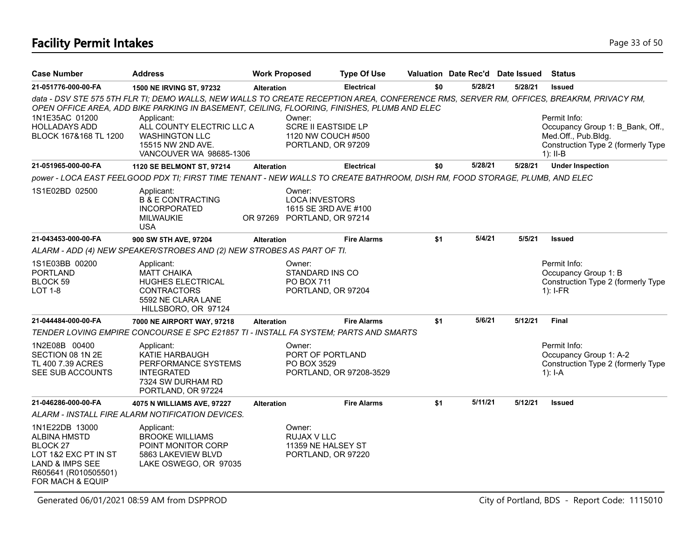# **Facility Permit Intakes** Page 13 of 50

| <b>Case Number</b>                                                                                                                                             | Address                                                                                                                                                                                                                                | <b>Work Proposed</b> |                                                                                        | <b>Type Of Use</b>      |     | Valuation Date Rec'd Date Issued Status |         |                                                                                                                             |
|----------------------------------------------------------------------------------------------------------------------------------------------------------------|----------------------------------------------------------------------------------------------------------------------------------------------------------------------------------------------------------------------------------------|----------------------|----------------------------------------------------------------------------------------|-------------------------|-----|-----------------------------------------|---------|-----------------------------------------------------------------------------------------------------------------------------|
| 21-051776-000-00-FA                                                                                                                                            | <b>1500 NE IRVING ST, 97232</b>                                                                                                                                                                                                        | <b>Alteration</b>    |                                                                                        | <b>Electrical</b>       | \$0 | 5/28/21                                 | 5/28/21 | <b>Issued</b>                                                                                                               |
|                                                                                                                                                                | data - DSV STE 575 5TH FLR TI; DEMO WALLS, NEW WALLS TO CREATE RECEPTION AREA, CONFERENCE RMS, SERVER RM, OFFICES, BREAKRM, PRIVACY RM,<br>OPEN OFFICE AREA, ADD BIKE PARKING IN BASEMENT, CEILING, FLOORING, FINISHES, PLUMB AND ELEC |                      |                                                                                        |                         |     |                                         |         |                                                                                                                             |
| 1N1E35AC 01200<br><b>HOLLADAYS ADD</b><br>BLOCK 167&168 TL 1200                                                                                                | Applicant:<br>ALL COUNTY ELECTRIC LLC A<br><b>WASHINGTON LLC</b><br>15515 NW 2ND AVE.<br>VANCOUVER WA 98685-1306                                                                                                                       |                      | Owner:<br><b>SCRE II EASTSIDE LP</b><br>1120 NW COUCH #500<br>PORTLAND, OR 97209       |                         |     |                                         |         | Permit Info:<br>Occupancy Group 1: B Bank, Off.,<br>Med.Off., Pub.Bldg.<br>Construction Type 2 (formerly Type<br>$1$ : II-B |
| 21-051965-000-00-FA                                                                                                                                            | 1120 SE BELMONT ST, 97214                                                                                                                                                                                                              | <b>Alteration</b>    |                                                                                        | <b>Electrical</b>       | \$0 | 5/28/21                                 | 5/28/21 | <b>Under Inspection</b>                                                                                                     |
|                                                                                                                                                                | power - LOCA EAST FEELGOOD PDX TI; FIRST TIME TENANT - NEW WALLS TO CREATE BATHROOM, DISH RM, FOOD STORAGE, PLUMB, AND ELEC                                                                                                            |                      |                                                                                        |                         |     |                                         |         |                                                                                                                             |
| 1S1E02BD 02500                                                                                                                                                 | Applicant:<br><b>B &amp; E CONTRACTING</b><br><b>INCORPORATED</b><br><b>MILWAUKIE</b><br><b>USA</b>                                                                                                                                    |                      | Owner:<br><b>LOCA INVESTORS</b><br>1615 SE 3RD AVE #100<br>OR 97269 PORTLAND, OR 97214 |                         |     |                                         |         |                                                                                                                             |
| 21-043453-000-00-FA                                                                                                                                            | 900 SW 5TH AVE, 97204                                                                                                                                                                                                                  | <b>Alteration</b>    |                                                                                        | <b>Fire Alarms</b>      | \$1 | 5/4/21                                  | 5/5/21  | <b>Issued</b>                                                                                                               |
|                                                                                                                                                                | ALARM - ADD (4) NEW SPEAKER/STROBES AND (2) NEW STROBES AS PART OF TI.                                                                                                                                                                 |                      |                                                                                        |                         |     |                                         |         |                                                                                                                             |
| 1S1E03BB 00200<br><b>PORTLAND</b><br>BLOCK 59<br>LOT 1-8                                                                                                       | Applicant:<br><b>MATT CHAIKA</b><br>HUGHES ELECTRICAL<br><b>CONTRACTORS</b><br>5592 NE CLARA LANE<br>HILLSBORO, OR 97124                                                                                                               |                      | Owner:<br>STANDARD INS CO<br><b>PO BOX 711</b><br>PORTLAND, OR 97204                   |                         |     |                                         |         | Permit Info:<br>Occupancy Group 1: B<br>Construction Type 2 (formerly Type<br>$1$ : I-FR                                    |
| 21-044484-000-00-FA                                                                                                                                            | 7000 NE AIRPORT WAY, 97218                                                                                                                                                                                                             | <b>Alteration</b>    |                                                                                        | <b>Fire Alarms</b>      | \$1 | 5/6/21                                  | 5/12/21 | <b>Final</b>                                                                                                                |
|                                                                                                                                                                | TENDER LOVING EMPIRE CONCOURSE E SPC E21857 TI - INSTALL FA SYSTEM; PARTS AND SMARTS                                                                                                                                                   |                      |                                                                                        |                         |     |                                         |         |                                                                                                                             |
| 1N2E08B 00400<br>SECTION 08 1N 2E<br>TL 400 7.39 ACRES<br>SEE SUB ACCOUNTS                                                                                     | Applicant:<br>KATIE HARBAUGH<br>PERFORMANCE SYSTEMS<br><b>INTEGRATED</b><br>7324 SW DURHAM RD<br>PORTLAND, OR 97224                                                                                                                    |                      | Owner:<br>PORT OF PORTLAND<br>PO BOX 3529                                              | PORTLAND, OR 97208-3529 |     |                                         |         | Permit Info:<br>Occupancy Group 1: A-2<br>Construction Type 2 (formerly Type<br>$1$ : I-A                                   |
| 21-046286-000-00-FA                                                                                                                                            | 4075 N WILLIAMS AVE, 97227                                                                                                                                                                                                             | <b>Alteration</b>    |                                                                                        | <b>Fire Alarms</b>      | \$1 | 5/11/21                                 | 5/12/21 | <b>Issued</b>                                                                                                               |
|                                                                                                                                                                | ALARM - INSTALL FIRE ALARM NOTIFICATION DEVICES.                                                                                                                                                                                       |                      |                                                                                        |                         |     |                                         |         |                                                                                                                             |
| 1N1E22DB 13000<br><b>ALBINA HMSTD</b><br>BLOCK <sub>27</sub><br>LOT 1&2 EXC PT IN ST<br><b>LAND &amp; IMPS SEE</b><br>R605641 (R010505501)<br>FOR MACH & EQUIP | Applicant:<br><b>BROOKE WILLIAMS</b><br>POINT MONITOR CORP<br>5863 LAKEVIEW BLVD<br>LAKE OSWEGO, OR 97035                                                                                                                              |                      | Owner:<br>RUJAX V LLC<br>11359 NE HALSEY ST<br>PORTLAND, OR 97220                      |                         |     |                                         |         |                                                                                                                             |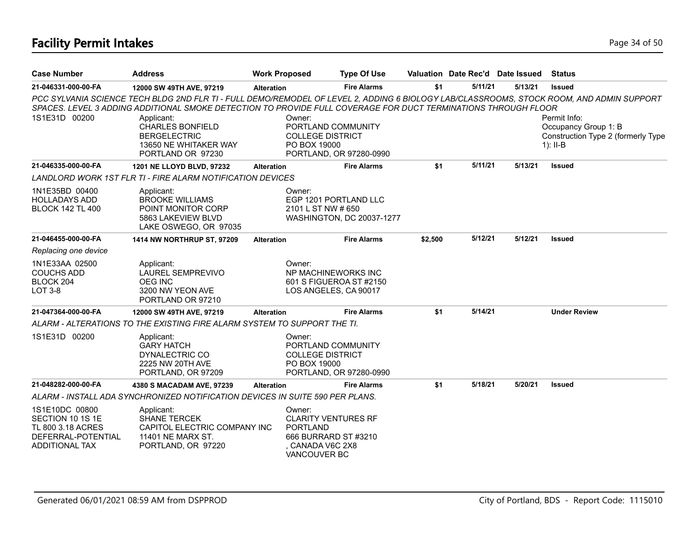# **Facility Permit Intakes** Page 34 of 50

| <b>Case Number</b>                                                                                     | <b>Address</b>                                                                                                                                                                                                                                                                                                                                                           | <b>Work Proposed</b> |                                                                                                                   | <b>Type Of Use</b>        | Valuation Date Rec'd Date Issued |         |         | <b>Status</b>                                                                            |
|--------------------------------------------------------------------------------------------------------|--------------------------------------------------------------------------------------------------------------------------------------------------------------------------------------------------------------------------------------------------------------------------------------------------------------------------------------------------------------------------|----------------------|-------------------------------------------------------------------------------------------------------------------|---------------------------|----------------------------------|---------|---------|------------------------------------------------------------------------------------------|
| 21-046331-000-00-FA                                                                                    | 12000 SW 49TH AVE, 97219                                                                                                                                                                                                                                                                                                                                                 | <b>Alteration</b>    |                                                                                                                   | <b>Fire Alarms</b>        | \$1                              | 5/11/21 | 5/13/21 | <b>Issued</b>                                                                            |
| 1S1E31D 00200                                                                                          | PCC SYLVANIA SCIENCE TECH BLDG 2ND FLR TI - FULL DEMO/REMODEL OF LEVEL 2, ADDING 6 BIOLOGY LAB/CLASSROOMS, STOCK ROOM, AND ADMIN SUPPORT<br>SPACES. LEVEL 3 ADDING ADDITIONAL SMOKE DETECTION TO PROVIDE FULL COVERAGE FOR DUCT TERMINATIONS THROUGH FLOOR<br>Applicant:<br><b>CHARLES BONFIELD</b><br><b>BERGELECTRIC</b><br>13650 NE WHITAKER WAY<br>PORTLAND OR 97230 |                      | Owner:<br>PORTLAND COMMUNITY<br><b>COLLEGE DISTRICT</b><br>PO BOX 19000                                           | PORTLAND, OR 97280-0990   |                                  |         |         | Permit Info:<br>Occupancy Group 1: B<br>Construction Type 2 (formerly Type<br>$1$ : II-B |
| 21-046335-000-00-FA                                                                                    | 1201 NE LLOYD BLVD, 97232                                                                                                                                                                                                                                                                                                                                                | <b>Alteration</b>    |                                                                                                                   | <b>Fire Alarms</b>        | \$1                              | 5/11/21 | 5/13/21 | <b>Issued</b>                                                                            |
|                                                                                                        | LANDLORD WORK 1ST FLR TI - FIRE ALARM NOTIFICATION DEVICES                                                                                                                                                                                                                                                                                                               |                      |                                                                                                                   |                           |                                  |         |         |                                                                                          |
| 1N1E35BD 00400<br><b>HOLLADAYS ADD</b><br><b>BLOCK 142 TL 400</b>                                      | Applicant:<br><b>BROOKE WILLIAMS</b><br>POINT MONITOR CORP<br>5863 LAKEVIEW BLVD<br>LAKE OSWEGO, OR 97035                                                                                                                                                                                                                                                                |                      | Owner:<br>EGP 1201 PORTLAND LLC<br>2101 L ST NW # 650                                                             | WASHINGTON, DC 20037-1277 |                                  |         |         |                                                                                          |
| 21-046455-000-00-FA                                                                                    | <b>1414 NW NORTHRUP ST, 97209</b>                                                                                                                                                                                                                                                                                                                                        | <b>Alteration</b>    |                                                                                                                   | <b>Fire Alarms</b>        | \$2,500                          | 5/12/21 | 5/12/21 | <b>Issued</b>                                                                            |
| Replacing one device                                                                                   |                                                                                                                                                                                                                                                                                                                                                                          |                      |                                                                                                                   |                           |                                  |         |         |                                                                                          |
| 1N1E33AA 02500<br><b>COUCHS ADD</b><br>BLOCK 204<br><b>LOT 3-8</b>                                     | Applicant:<br><b>LAUREL SEMPREVIVO</b><br><b>OEG INC</b><br>3200 NW YEON AVE<br>PORTLAND OR 97210                                                                                                                                                                                                                                                                        |                      | Owner:<br>NP MACHINEWORKS INC<br>601 S FIGUEROA ST #2150<br>LOS ANGELES, CA 90017                                 |                           |                                  |         |         |                                                                                          |
| 21-047364-000-00-FA                                                                                    | 12000 SW 49TH AVE, 97219                                                                                                                                                                                                                                                                                                                                                 | <b>Alteration</b>    |                                                                                                                   | <b>Fire Alarms</b>        | \$1                              | 5/14/21 |         | <b>Under Review</b>                                                                      |
|                                                                                                        | ALARM - ALTERATIONS TO THE EXISTING FIRE ALARM SYSTEM TO SUPPORT THE TI.                                                                                                                                                                                                                                                                                                 |                      |                                                                                                                   |                           |                                  |         |         |                                                                                          |
| 1S1E31D 00200                                                                                          | Applicant:<br><b>GARY HATCH</b><br>DYNALECTRIC CO<br>2225 NW 20TH AVE<br>PORTLAND, OR 97209                                                                                                                                                                                                                                                                              |                      | Owner:<br>PORTLAND COMMUNITY<br><b>COLLEGE DISTRICT</b><br>PO BOX 19000                                           | PORTLAND, OR 97280-0990   |                                  |         |         |                                                                                          |
| 21-048282-000-00-FA                                                                                    | 4380 S MACADAM AVE, 97239                                                                                                                                                                                                                                                                                                                                                | <b>Alteration</b>    |                                                                                                                   | <b>Fire Alarms</b>        | \$1                              | 5/18/21 | 5/20/21 | <b>Issued</b>                                                                            |
|                                                                                                        | ALARM - INSTALL ADA SYNCHRONIZED NOTIFICATION DEVICES IN SUITE 590 PER PLANS.                                                                                                                                                                                                                                                                                            |                      |                                                                                                                   |                           |                                  |         |         |                                                                                          |
| 1S1E10DC 00800<br>SECTION 10 1S 1E<br>TL 800 3.18 ACRES<br>DEFERRAL-POTENTIAL<br><b>ADDITIONAL TAX</b> | Applicant:<br><b>SHANE TERCEK</b><br>CAPITOL ELECTRIC COMPANY INC<br>11401 NE MARX ST.<br>PORTLAND, OR 97220                                                                                                                                                                                                                                                             |                      | Owner:<br><b>CLARITY VENTURES RF</b><br><b>PORTLAND</b><br>666 BURRARD ST #3210<br>CANADA V6C 2X8<br>VANCOUVER BC |                           |                                  |         |         |                                                                                          |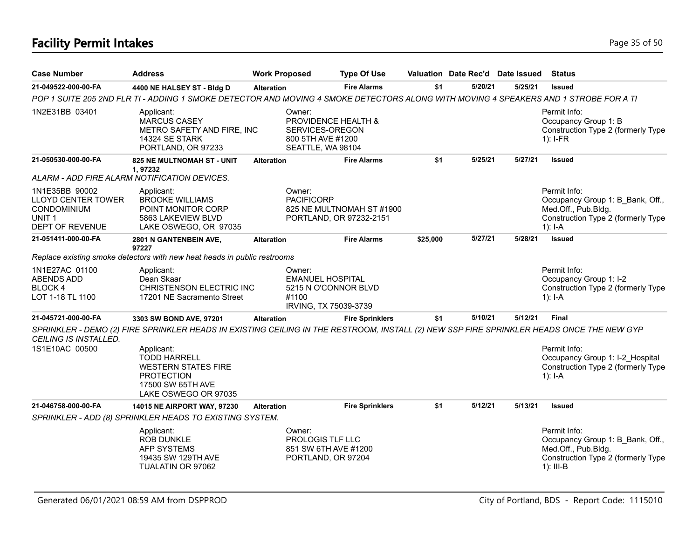# **Facility Permit Intakes** Page 35 of 50

| <b>Case Number</b>                                                                                               | <b>Address</b>                                                                                                                           | <b>Work Proposed</b> |                                                                                             | <b>Type Of Use</b>                                   |          | Valuation Date Rec'd Date Issued |         | <b>Status</b>                                                                                                                |
|------------------------------------------------------------------------------------------------------------------|------------------------------------------------------------------------------------------------------------------------------------------|----------------------|---------------------------------------------------------------------------------------------|------------------------------------------------------|----------|----------------------------------|---------|------------------------------------------------------------------------------------------------------------------------------|
| 21-049522-000-00-FA                                                                                              | 4400 NE HALSEY ST - Bldg D                                                                                                               | <b>Alteration</b>    |                                                                                             | <b>Fire Alarms</b>                                   | \$1      | 5/20/21                          | 5/25/21 | <b>Issued</b>                                                                                                                |
|                                                                                                                  | POP 1 SUITE 205 2ND FLR TI - ADDING 1 SMOKE DETECTOR AND MOVING 4 SMOKE DETECTORS ALONG WITH MOVING 4 SPEAKERS AND 1 STROBE FOR A TI     |                      |                                                                                             |                                                      |          |                                  |         |                                                                                                                              |
| 1N2E31BB 03401                                                                                                   | Applicant:<br><b>MARCUS CASEY</b><br>METRO SAFETY AND FIRE, INC<br><b>14324 SE STARK</b><br>PORTLAND, OR 97233                           |                      | Owner:<br>PROVIDENCE HEALTH &<br>SERVICES-OREGON<br>800 5TH AVE #1200<br>SEATTLE, WA 98104  |                                                      |          |                                  |         | Permit Info:<br>Occupancy Group 1: B<br>Construction Type 2 (formerly Type<br>$1$ : I-FR                                     |
| 21-050530-000-00-FA                                                                                              | 825 NE MULTNOMAH ST - UNIT<br>1.97232                                                                                                    | <b>Alteration</b>    |                                                                                             | <b>Fire Alarms</b>                                   | \$1      | 5/25/21                          | 5/27/21 | <b>Issued</b>                                                                                                                |
|                                                                                                                  | ALARM - ADD FIRE ALARM NOTIFICATION DEVICES.                                                                                             |                      |                                                                                             |                                                      |          |                                  |         |                                                                                                                              |
| 1N1E35BB 90002<br><b>LLOYD CENTER TOWER</b><br><b>CONDOMINIUM</b><br>UNIT <sub>1</sub><br><b>DEPT OF REVENUE</b> | Applicant:<br><b>BROOKE WILLIAMS</b><br>POINT MONITOR CORP<br>5863 LAKEVIEW BLVD<br>LAKE OSWEGO, OR 97035                                |                      | Owner:<br><b>PACIFICORP</b>                                                                 | 825 NE MULTNOMAH ST #1900<br>PORTLAND, OR 97232-2151 |          |                                  |         | Permit Info:<br>Occupancy Group 1: B Bank, Off.,<br>Med.Off., Pub.Bldg.<br>Construction Type 2 (formerly Type<br>1): $I-A$   |
| 21-051411-000-00-FA                                                                                              | 2801 N GANTENBEIN AVE,<br>97227                                                                                                          | <b>Alteration</b>    |                                                                                             | <b>Fire Alarms</b>                                   | \$25,000 | 5/27/21                          | 5/28/21 | <b>Issued</b>                                                                                                                |
|                                                                                                                  | Replace existing smoke detectors with new heat heads in public restrooms                                                                 |                      |                                                                                             |                                                      |          |                                  |         |                                                                                                                              |
| 1N1E27AC 01100<br><b>ABENDS ADD</b><br>BLOCK 4<br>LOT 1-18 TL 1100                                               | Applicant:<br>Dean Skaar<br>CHRISTENSON ELECTRIC INC<br>17201 NE Sacramento Street                                                       |                      | Owner:<br><b>EMANUEL HOSPITAL</b><br>5215 N O'CONNOR BLVD<br>#1100<br>IRVING, TX 75039-3739 |                                                      |          |                                  |         | Permit Info:<br>Occupancy Group 1: I-2<br>Construction Type 2 (formerly Type<br>$1$ : I-A                                    |
| 21-045721-000-00-FA                                                                                              | 3303 SW BOND AVE, 97201                                                                                                                  | <b>Alteration</b>    |                                                                                             | <b>Fire Sprinklers</b>                               | \$1      | 5/10/21                          | 5/12/21 | <b>Final</b>                                                                                                                 |
| CEILING IS INSTALLED.                                                                                            | SPRINKLER - DEMO (2) FIRE SPRINKLER HEADS IN EXISTING CEILING IN THE RESTROOM, INSTALL (2) NEW SSP FIRE SPRINKLER HEADS ONCE THE NEW GYP |                      |                                                                                             |                                                      |          |                                  |         |                                                                                                                              |
| 1S1E10AC 00500                                                                                                   | Applicant:<br><b>TODD HARRELL</b><br><b>WESTERN STATES FIRE</b><br><b>PROTECTION</b><br>17500 SW 65TH AVE<br>LAKE OSWEGO OR 97035        |                      |                                                                                             |                                                      |          |                                  |         | Permit Info:<br>Occupancy Group 1: I-2 Hospital<br>Construction Type 2 (formerly Type<br>$1$ : I-A                           |
| 21-046758-000-00-FA                                                                                              | 14015 NE AIRPORT WAY, 97230                                                                                                              | <b>Alteration</b>    |                                                                                             | <b>Fire Sprinklers</b>                               | \$1      | 5/12/21                          | 5/13/21 | <b>Issued</b>                                                                                                                |
|                                                                                                                  | SPRINKLER - ADD (8) SPRINKLER HEADS TO EXISTING SYSTEM.                                                                                  |                      |                                                                                             |                                                      |          |                                  |         |                                                                                                                              |
|                                                                                                                  | Applicant:<br><b>ROB DUNKLE</b><br><b>AFP SYSTEMS</b><br>19435 SW 129TH AVE<br>TUALATIN OR 97062                                         |                      | Owner:<br>PROLOGIS TLF LLC<br>851 SW 6TH AVE #1200<br>PORTLAND, OR 97204                    |                                                      |          |                                  |         | Permit Info:<br>Occupancy Group 1: B Bank, Off.,<br>Med.Off., Pub.Bldg.<br>Construction Type 2 (formerly Type<br>$1$ : III-B |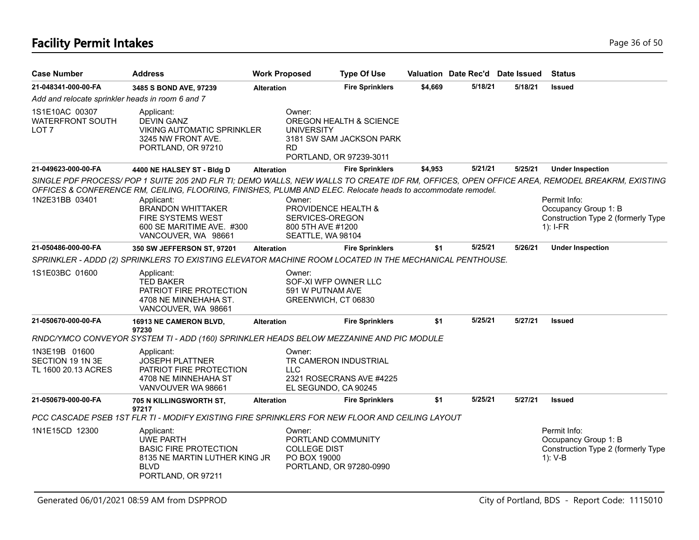#### **Facility Permit Intakes** Page 36 of 50

| <b>Case Number</b>                                            | <b>Address</b>                                                                                                                                                                                                                                                                                                                                                                        | <b>Work Proposed</b> | <b>Type Of Use</b>                                                                                  |         | Valuation Date Rec'd Date Issued |         | Status                                                                                   |
|---------------------------------------------------------------|---------------------------------------------------------------------------------------------------------------------------------------------------------------------------------------------------------------------------------------------------------------------------------------------------------------------------------------------------------------------------------------|----------------------|-----------------------------------------------------------------------------------------------------|---------|----------------------------------|---------|------------------------------------------------------------------------------------------|
| 21-048341-000-00-FA                                           | 3485 S BOND AVE, 97239                                                                                                                                                                                                                                                                                                                                                                | <b>Alteration</b>    | <b>Fire Sprinklers</b>                                                                              | \$4,669 | 5/18/21                          | 5/18/21 | <b>Issued</b>                                                                            |
| Add and relocate sprinkler heads in room 6 and 7              |                                                                                                                                                                                                                                                                                                                                                                                       |                      |                                                                                                     |         |                                  |         |                                                                                          |
| 1S1E10AC 00307<br><b>WATERFRONT SOUTH</b><br>LOT <sub>7</sub> | Applicant:<br><b>DEVIN GANZ</b><br><b>VIKING AUTOMATIC SPRINKLER</b><br>3245 NW FRONT AVE.<br>PORTLAND, OR 97210                                                                                                                                                                                                                                                                      | Owner:<br><b>RD</b>  | OREGON HEALTH & SCIENCE<br><b>UNIVERSITY</b><br>3181 SW SAM JACKSON PARK<br>PORTLAND, OR 97239-3011 |         |                                  |         |                                                                                          |
| 21-049623-000-00-FA                                           | 4400 NE HALSEY ST - Bldg D                                                                                                                                                                                                                                                                                                                                                            | <b>Alteration</b>    | <b>Fire Sprinklers</b>                                                                              | \$4,953 | 5/21/21                          | 5/25/21 | <b>Under Inspection</b>                                                                  |
| 1N2E31BB 03401                                                | SINGLE PDF PROCESS/POP 1 SUITE 205 2ND FLR TI; DEMO WALLS, NEW WALLS TO CREATE IDF RM, OFFICES, OPEN OFFICE AREA, REMODEL BREAKRM, EXISTING<br>OFFICES & CONFERENCE RM, CEILING, FLOORING, FINISHES, PLUMB AND ELEC. Relocate heads to accommodate remodel.<br>Applicant:<br><b>BRANDON WHITTAKER</b><br><b>FIRE SYSTEMS WEST</b><br>600 SE MARITIME AVE. #300<br>VANCOUVER, WA 98661 | Owner:               | <b>PROVIDENCE HEALTH &amp;</b><br>SERVICES-OREGON<br>800 5TH AVE #1200<br>SEATTLE, WA 98104         |         |                                  |         | Permit Info:<br>Occupancy Group 1: B<br>Construction Type 2 (formerly Type<br>$1$ : I-FR |
| 21-050486-000-00-FA                                           | 350 SW JEFFERSON ST, 97201                                                                                                                                                                                                                                                                                                                                                            | <b>Alteration</b>    | <b>Fire Sprinklers</b>                                                                              | \$1     | 5/25/21                          | 5/26/21 | <b>Under Inspection</b>                                                                  |
|                                                               | SPRINKLER - ADDD (2) SPRINKLERS TO EXISTING ELEVATOR MACHINE ROOM LOCATED IN THE MECHANICAL PENTHOUSE.                                                                                                                                                                                                                                                                                |                      |                                                                                                     |         |                                  |         |                                                                                          |
| 1S1E03BC 01600                                                | Applicant:<br><b>TED BAKER</b><br>PATRIOT FIRE PROTECTION<br>4708 NE MINNEHAHA ST.<br>VANCOUVER, WA 98661                                                                                                                                                                                                                                                                             | Owner:               | SOF-XI WFP OWNER LLC<br>591 W PUTNAM AVE<br>GREENWICH, CT 06830                                     |         |                                  |         |                                                                                          |
| 21-050670-000-00-FA                                           | 16913 NE CAMERON BLVD,<br>97230                                                                                                                                                                                                                                                                                                                                                       | <b>Alteration</b>    | <b>Fire Sprinklers</b>                                                                              | \$1     | 5/25/21                          | 5/27/21 | <b>Issued</b>                                                                            |

*RNDC/YMCO CONVEYOR SYSTEM TI - ADD (160) SPRINKLER HEADS BELOW MEZZANINE AND PIC MODULE*

| 1N3E19B 01600<br>SECTION 19 1N 3E<br>TL 1600 20.13 ACRES | Applicant:<br><b>JOSEPH PLATTNER</b><br>PATRIOT FIRE PROTECTION<br>4708 NE MINNEHAHA ST<br>VANVOUVER WA 98661                 |                   | Owner:<br>TR CAMERON INDUSTRIAL<br>LLC.<br>2321 ROSECRANS AVE #4225<br>EL SEGUNDO, CA 90245    |     |         |         |                                                                                       |
|----------------------------------------------------------|-------------------------------------------------------------------------------------------------------------------------------|-------------------|------------------------------------------------------------------------------------------------|-----|---------|---------|---------------------------------------------------------------------------------------|
| 21-050679-000-00-FA                                      | <b>705 N KILLINGSWORTH ST.</b><br>97217                                                                                       | <b>Alteration</b> | <b>Fire Sprinklers</b>                                                                         | \$1 | 5/25/21 | 5/27/21 | Issued                                                                                |
|                                                          |                                                                                                                               |                   | PCC CASCADE PSEB 1ST FLR TI - MODIFY EXISTING FIRE SPRINKLERS FOR NEW FLOOR AND CEILING LAYOUT |     |         |         |                                                                                       |
| 1N1E15CD 12300                                           | Applicant:<br>UWE PARTH<br><b>BASIC FIRE PROTECTION</b><br>8135 NE MARTIN LUTHER KING JR<br><b>BLVD</b><br>PORTLAND, OR 97211 |                   | Owner:<br>PORTLAND COMMUNITY<br><b>COLLEGE DIST</b><br>PO BOX 19000<br>PORTLAND, OR 97280-0990 |     |         |         | Permit Info:<br>Occupancy Group 1: B<br>Construction Type 2 (formerly Type<br>1): V-B |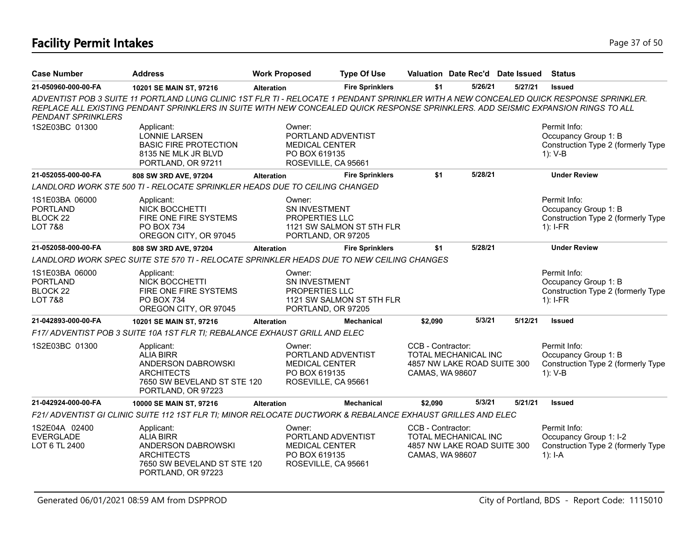# **Facility Permit Intakes** Page 37 of 50

| <b>Case Number</b>                                                             | <b>Address</b>                                                                                                                                                                                                                                                              | <b>Work Proposed</b>                                                                          | <b>Type Of Use</b>        |                                      | Valuation Date Rec'd Date Issued                           |         | <b>Status</b>                                                                             |
|--------------------------------------------------------------------------------|-----------------------------------------------------------------------------------------------------------------------------------------------------------------------------------------------------------------------------------------------------------------------------|-----------------------------------------------------------------------------------------------|---------------------------|--------------------------------------|------------------------------------------------------------|---------|-------------------------------------------------------------------------------------------|
| 21-050960-000-00-FA                                                            | 10201 SE MAIN ST, 97216                                                                                                                                                                                                                                                     | <b>Alteration</b>                                                                             | <b>Fire Sprinklers</b>    | \$1                                  | 5/26/21                                                    | 5/27/21 | <b>Issued</b>                                                                             |
| <b>PENDANT SPRINKLERS</b>                                                      | ADVENTIST POB 3 SUITE 11 PORTLAND LUNG CLINIC 1ST FLR TI - RELOCATE 1 PENDANT SPRINKLER WITH A NEW CONCEALED QUICK RESPONSE SPRINKLER.<br>REPLACE ALL EXISTING PENDANT SPRINKLERS IN SUITE WITH NEW CONCEALED QUICK RESPONSE SPRINKLERS. ADD SEISMIC EXPANSION RINGS TO ALL |                                                                                               |                           |                                      |                                                            |         |                                                                                           |
| 1S2E03BC 01300                                                                 | Applicant:<br><b>LONNIE LARSEN</b><br><b>BASIC FIRE PROTECTION</b><br>8135 NE MLK JR BLVD<br>PORTLAND, OR 97211                                                                                                                                                             | Owner:<br>PORTLAND ADVENTIST<br><b>MEDICAL CENTER</b><br>PO BOX 619135<br>ROSEVILLE, CA 95661 |                           |                                      |                                                            |         | Permit Info:<br>Occupancy Group 1: B<br>Construction Type 2 (formerly Type<br>$1): V-B$   |
| 21-052055-000-00-FA                                                            | 808 SW 3RD AVE, 97204                                                                                                                                                                                                                                                       | <b>Alteration</b>                                                                             | <b>Fire Sprinklers</b>    | \$1                                  | 5/28/21                                                    |         | <b>Under Review</b>                                                                       |
|                                                                                | LANDLORD WORK STE 500 TI - RELOCATE SPRINKLER HEADS DUE TO CEILING CHANGED                                                                                                                                                                                                  |                                                                                               |                           |                                      |                                                            |         |                                                                                           |
| 1S1E03BA 06000<br><b>PORTLAND</b><br>BLOCK <sub>22</sub><br><b>LOT 7&amp;8</b> | Applicant:<br><b>NICK BOCCHETTI</b><br>FIRE ONE FIRE SYSTEMS<br><b>PO BOX 734</b><br>OREGON CITY, OR 97045                                                                                                                                                                  | Owner:<br>SN INVESTMENT<br><b>PROPERTIES LLC</b><br>PORTLAND, OR 97205                        | 1121 SW SALMON ST 5TH FLR |                                      |                                                            |         | Permit Info:<br>Occupancy Group 1: B<br>Construction Type 2 (formerly Type<br>$1$ : I-FR  |
| 21-052058-000-00-FA                                                            | 808 SW 3RD AVE, 97204                                                                                                                                                                                                                                                       | <b>Alteration</b>                                                                             | <b>Fire Sprinklers</b>    | \$1                                  | 5/28/21                                                    |         | <b>Under Review</b>                                                                       |
|                                                                                | LANDLORD WORK SPEC SUITE STE 570 TI - RELOCATE SPRINKLER HEADS DUE TO NEW CEILING CHANGES                                                                                                                                                                                   |                                                                                               |                           |                                      |                                                            |         |                                                                                           |
| 1S1E03BA 06000<br><b>PORTLAND</b><br>BLOCK <sub>22</sub><br><b>LOT 7&amp;8</b> | Applicant:<br>NICK BOCCHETTI<br>FIRE ONE FIRE SYSTEMS<br>PO BOX 734<br>OREGON CITY, OR 97045                                                                                                                                                                                | Owner:<br>SN INVESTMENT<br>PROPERTIES LLC<br>PORTLAND, OR 97205                               | 1121 SW SALMON ST 5TH FLR |                                      |                                                            |         | Permit Info:<br>Occupancy Group 1: B<br>Construction Type 2 (formerly Type<br>$1$ : I-FR  |
| 21-042893-000-00-FA                                                            | 10201 SE MAIN ST, 97216                                                                                                                                                                                                                                                     | <b>Alteration</b>                                                                             | <b>Mechanical</b>         | \$2,090                              | 5/3/21                                                     | 5/12/21 | <b>Issued</b>                                                                             |
|                                                                                | F17/ ADVENTIST POB 3 SUITE 10A 1ST FLR TI; REBALANCE EXHAUST GRILL AND ELEC                                                                                                                                                                                                 |                                                                                               |                           |                                      |                                                            |         |                                                                                           |
| 1S2E03BC 01300                                                                 | Applicant:<br>ALIA BIRR<br>ANDERSON DABROWSKI<br><b>ARCHITECTS</b><br>7650 SW BEVELAND ST STE 120<br>PORTLAND, OR 97223                                                                                                                                                     | Owner:<br>PORTLAND ADVENTIST<br><b>MEDICAL CENTER</b><br>PO BOX 619135<br>ROSEVILLE, CA 95661 |                           | CCB - Contractor:<br>CAMAS, WA 98607 | TOTAL MECHANICAL INC<br>4857 NW LAKE ROAD SUITE 300        |         | Permit Info:<br>Occupancy Group 1: B<br>Construction Type 2 (formerly Type<br>$1)$ : V-B  |
| 21-042924-000-00-FA                                                            | 10000 SE MAIN ST, 97216                                                                                                                                                                                                                                                     | <b>Alteration</b>                                                                             | <b>Mechanical</b>         | \$2.090                              | 5/3/21                                                     | 5/21/21 | <b>Issued</b>                                                                             |
|                                                                                | F21/ ADVENTIST GI CLINIC SUITE 112 1ST FLR TI; MINOR RELOCATE DUCTWORK & REBALANCE EXHAUST GRILLES AND ELEC                                                                                                                                                                 |                                                                                               |                           |                                      |                                                            |         |                                                                                           |
| 1S2E04A 02400<br><b>EVERGLADE</b><br>LOT 6 TL 2400                             | Applicant:<br><b>ALIA BIRR</b><br>ANDERSON DABROWSKI<br><b>ARCHITECTS</b><br>7650 SW BEVELAND ST STE 120<br>PORTLAND, OR 97223                                                                                                                                              | Owner:<br>PORTLAND ADVENTIST<br>MEDICAL CENTER<br>PO BOX 619135<br>ROSEVILLE, CA 95661        |                           | CCB - Contractor:<br>CAMAS, WA 98607 | <b>TOTAL MECHANICAL INC</b><br>4857 NW LAKE ROAD SUITE 300 |         | Permit Info:<br>Occupancy Group 1: I-2<br>Construction Type 2 (formerly Type<br>$1$ : I-A |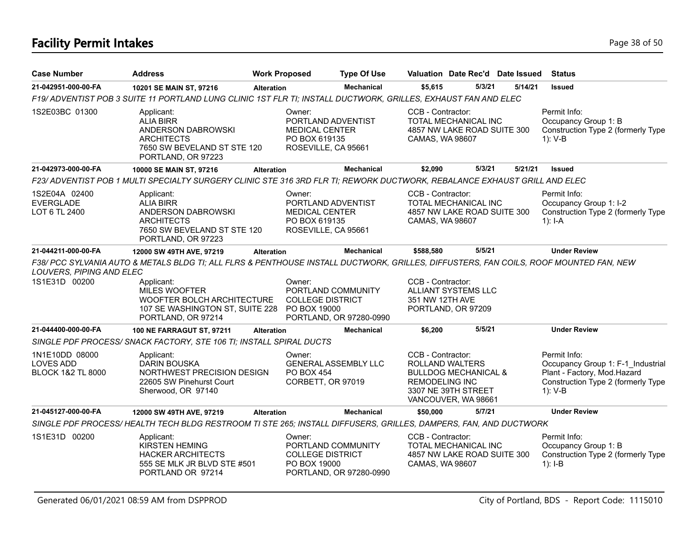# **Facility Permit Intakes** Page 38 of 50

| <b>Case Number</b>                                                 | <b>Address</b>                                                                                                                                                                                                                               | <b>Work Proposed</b> |                                                                                               | <b>Type Of Use</b>          |                                            | Valuation Date Rec'd Date Issued                                                                        |         | <b>Status</b>                                                                                                                       |
|--------------------------------------------------------------------|----------------------------------------------------------------------------------------------------------------------------------------------------------------------------------------------------------------------------------------------|----------------------|-----------------------------------------------------------------------------------------------|-----------------------------|--------------------------------------------|---------------------------------------------------------------------------------------------------------|---------|-------------------------------------------------------------------------------------------------------------------------------------|
| 21-042951-000-00-FA                                                | 10201 SE MAIN ST, 97216                                                                                                                                                                                                                      | <b>Alteration</b>    |                                                                                               | <b>Mechanical</b>           | \$5,615                                    | 5/3/21                                                                                                  | 5/14/21 | <b>Issued</b>                                                                                                                       |
|                                                                    | F19/ ADVENTIST POB 3 SUITE 11 PORTLAND LUNG CLINIC 1ST FLR TI; INSTALL DUCTWORK, GRILLES, EXHAUST FAN AND ELEC                                                                                                                               |                      |                                                                                               |                             |                                            |                                                                                                         |         |                                                                                                                                     |
| 1S2E03BC 01300                                                     | Applicant:<br><b>ALIA BIRR</b><br>ANDERSON DABROWSKI<br><b>ARCHITECTS</b><br>7650 SW BEVELAND ST STE 120<br>PORTLAND, OR 97223                                                                                                               |                      | Owner:<br>PORTLAND ADVENTIST<br><b>MEDICAL CENTER</b><br>PO BOX 619135<br>ROSEVILLE, CA 95661 |                             | CCB - Contractor:<br>CAMAS, WA 98607       | TOTAL MECHANICAL INC<br>4857 NW LAKE ROAD SUITE 300                                                     |         | Permit Info:<br>Occupancy Group 1: B<br>Construction Type 2 (formerly Type<br>$1): V-B$                                             |
| 21-042973-000-00-FA                                                | 10000 SE MAIN ST, 97216                                                                                                                                                                                                                      | <b>Alteration</b>    |                                                                                               | Mechanical                  | \$2,090                                    | 5/3/21                                                                                                  | 5/21/21 | <b>Issued</b>                                                                                                                       |
|                                                                    | F23/ ADVENTIST POB 1 MULTI SPECIALTY SURGERY CLINIC STE 316 3RD FLR TI; REWORK DUCTWORK, REBALANCE EXHAUST GRILL AND ELEC                                                                                                                    |                      |                                                                                               |                             |                                            |                                                                                                         |         |                                                                                                                                     |
| 1S2E04A 02400<br><b>EVERGLADE</b><br>LOT 6 TL 2400                 | Applicant:<br><b>ALIA BIRR</b><br>ANDERSON DABROWSKI<br><b>ARCHITECTS</b><br>7650 SW BEVELAND ST STE 120<br>PORTLAND, OR 97223                                                                                                               |                      | Owner:<br>PORTLAND ADVENTIST<br><b>MEDICAL CENTER</b><br>PO BOX 619135<br>ROSEVILLE, CA 95661 |                             | CCB - Contractor:<br>CAMAS, WA 98607       | TOTAL MECHANICAL INC<br>4857 NW LAKE ROAD SUITE 300                                                     |         | Permit Info:<br>Occupancy Group 1: I-2<br>Construction Type 2 (formerly Type<br>$1$ : I-A                                           |
| 21-044211-000-00-FA                                                | 12000 SW 49TH AVE, 97219                                                                                                                                                                                                                     | <b>Alteration</b>    |                                                                                               | <b>Mechanical</b>           | \$588,580                                  | 5/5/21                                                                                                  |         | <b>Under Review</b>                                                                                                                 |
| LOUVERS, PIPING AND ELEC<br>1S1E31D 00200                          | F38/ PCC SYLVANIA AUTO & METALS BLDG TI; ALL FLRS & PENTHOUSE INSTALL DUCTWORK, GRILLES, DIFFUSTERS, FAN COILS, ROOF MOUNTED FAN, NEW<br>Applicant:<br><b>MILES WOOFTER</b><br>WOOFTER BOLCH ARCHITECTURE<br>107 SE WASHINGTON ST, SUITE 228 |                      | Owner:<br>PORTLAND COMMUNITY<br><b>COLLEGE DISTRICT</b><br>PO BOX 19000                       |                             | CCB - Contractor:<br>351 NW 12TH AVE       | ALLIANT SYSTEMS LLC<br>PORTLAND, OR 97209                                                               |         |                                                                                                                                     |
|                                                                    | PORTLAND, OR 97214                                                                                                                                                                                                                           |                      |                                                                                               | PORTLAND, OR 97280-0990     |                                            |                                                                                                         |         |                                                                                                                                     |
| 21-044400-000-00-FA                                                | <b>100 NE FARRAGUT ST, 97211</b>                                                                                                                                                                                                             | <b>Alteration</b>    |                                                                                               | <b>Mechanical</b>           | \$6,200                                    | 5/5/21                                                                                                  |         | <b>Under Review</b>                                                                                                                 |
|                                                                    | SINGLE PDF PROCESS/ SNACK FACTORY, STE 106 TI; INSTALL SPIRAL DUCTS                                                                                                                                                                          |                      |                                                                                               |                             |                                            |                                                                                                         |         |                                                                                                                                     |
| 1N1E10DD 08000<br><b>LOVES ADD</b><br><b>BLOCK 1&amp;2 TL 8000</b> | Applicant:<br><b>DARIN BOUSKA</b><br>NORTHWEST PRECISION DESIGN<br>22605 SW Pinehurst Court<br>Sherwood, OR 97140                                                                                                                            |                      | Owner:<br>PO BOX 454<br>CORBETT, OR 97019                                                     | <b>GENERAL ASSEMBLY LLC</b> | CCB - Contractor:<br><b>REMODELING INC</b> | <b>ROLLAND WALTERS</b><br><b>BULLDOG MECHANICAL &amp;</b><br>3307 NE 39TH STREET<br>VANCOUVER, WA 98661 |         | Permit Info:<br>Occupancy Group 1: F-1 Industrial<br>Plant - Factory, Mod.Hazard<br>Construction Type 2 (formerly Type<br>$1): V-B$ |
| 21-045127-000-00-FA                                                | 12000 SW 49TH AVE, 97219                                                                                                                                                                                                                     | <b>Alteration</b>    |                                                                                               | <b>Mechanical</b>           | \$50,000                                   | 5/7/21                                                                                                  |         | <b>Under Review</b>                                                                                                                 |
|                                                                    | SINGLE PDF PROCESS/HEALTH TECH BLDG RESTROOM TI STE 265; INSTALL DIFFUSERS, GRILLES, DAMPERS, FAN, AND DUCTWORK                                                                                                                              |                      |                                                                                               |                             |                                            |                                                                                                         |         |                                                                                                                                     |
| 1S1E31D 00200                                                      | Applicant:<br><b>KIRSTEN HEMING</b><br><b>HACKER ARCHITECTS</b><br>555 SE MLK JR BLVD STE #501<br>PORTLAND OR 97214                                                                                                                          |                      | Owner:<br>PORTLAND COMMUNITY<br><b>COLLEGE DISTRICT</b><br>PO BOX 19000                       | PORTLAND, OR 97280-0990     | CCB - Contractor:<br>CAMAS, WA 98607       | <b>TOTAL MECHANICAL INC</b><br>4857 NW LAKE ROAD SUITE 300                                              |         | Permit Info:<br>Occupancy Group 1: B<br>Construction Type 2 (formerly Type<br>$1$ : I-B                                             |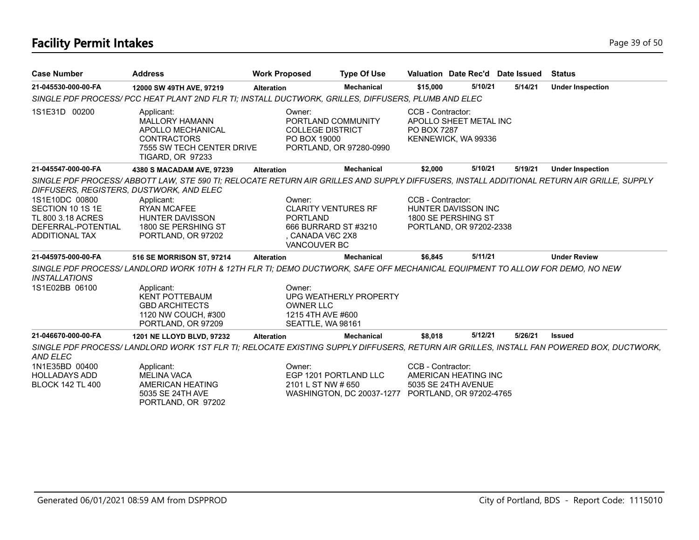# **Facility Permit Intakes** Page 19 of 50

| <b>Case Number</b>                       | <b>Address</b>                                                                                                                            | <b>Work Proposed</b>                              | <b>Type Of Use</b>                                |                                  | Valuation Date Rec'd Date Issued               |         | <b>Status</b>           |
|------------------------------------------|-------------------------------------------------------------------------------------------------------------------------------------------|---------------------------------------------------|---------------------------------------------------|----------------------------------|------------------------------------------------|---------|-------------------------|
| 21-045530-000-00-FA                      | 12000 SW 49TH AVE, 97219                                                                                                                  | <b>Alteration</b>                                 | <b>Mechanical</b>                                 | \$15,000                         | 5/10/21                                        | 5/14/21 | <b>Under Inspection</b> |
|                                          | SINGLE PDF PROCESS/ PCC HEAT PLANT 2ND FLR TI; INSTALL DUCTWORK, GRILLES, DIFFUSERS, PLUMB AND ELEC                                       |                                                   |                                                   |                                  |                                                |         |                         |
| 1S1E31D 00200                            | Applicant:<br><b>MALLORY HAMANN</b><br>APOLLO MECHANICAL<br><b>CONTRACTORS</b><br>7555 SW TECH CENTER DRIVE<br><b>TIGARD, OR 97233</b>    | Owner:<br><b>COLLEGE DISTRICT</b><br>PO BOX 19000 | PORTLAND COMMUNITY<br>PORTLAND, OR 97280-0990     | CCB - Contractor:<br>PO BOX 7287 | APOLLO SHEET METAL INC<br>KENNEWICK, WA 99336  |         |                         |
| 21-045547-000-00-FA                      | 4380 S MACADAM AVE, 97239                                                                                                                 | <b>Alteration</b>                                 | <b>Mechanical</b>                                 | \$2,000                          | 5/10/21                                        | 5/19/21 | <b>Under Inspection</b> |
| DIFFUSERS, REGISTERS, DUSTWORK, AND ELEC | SINGLE PDF PROCESS/ABBOTT LAW, STE 590 TI; RELOCATE RETURN AIR GRILLES AND SUPPLY DIFFUSERS, INSTALL ADDITIONAL RETURN AIR GRILLE, SUPPLY |                                                   |                                                   |                                  |                                                |         |                         |
| 1S1E10DC 00800                           | Applicant:                                                                                                                                | Owner:                                            |                                                   | CCB - Contractor:                |                                                |         |                         |
| SECTION 10 1S 1E                         | <b>RYAN MCAFEE</b>                                                                                                                        |                                                   | <b>CLARITY VENTURES RF</b>                        |                                  | HUNTER DAVISSON INC                            |         |                         |
| TL 800 3.18 ACRES<br>DEFERRAL-POTENTIAL  | HUNTER DAVISSON<br>1800 SE PERSHING ST                                                                                                    | <b>PORTLAND</b>                                   | 666 BURRARD ST #3210                              |                                  | 1800 SE PERSHING ST<br>PORTLAND, OR 97202-2338 |         |                         |
| ADDITIONAL TAX                           | PORTLAND, OR 97202                                                                                                                        | , CANADA V6C 2X8                                  |                                                   |                                  |                                                |         |                         |
|                                          |                                                                                                                                           | VANCOUVER BC                                      |                                                   |                                  |                                                |         |                         |
| 21-045975-000-00-FA                      | 516 SE MORRISON ST, 97214                                                                                                                 | <b>Alteration</b>                                 | <b>Mechanical</b>                                 | \$6,845                          | 5/11/21                                        |         | <b>Under Review</b>     |
| <b>INSTALLATIONS</b>                     | SINGLE PDF PROCESS/LANDLORD WORK 10TH & 12TH FLR TI; DEMO DUCTWORK, SAFE OFF MECHANICAL EQUIPMENT TO ALLOW FOR DEMO, NO NEW               |                                                   |                                                   |                                  |                                                |         |                         |
| 1S1E02BB 06100                           | Applicant:<br><b>KENT POTTEBAUM</b><br><b>GBD ARCHITECTS</b><br>1120 NW COUCH, #300                                                       | Owner:<br><b>OWNER LLC</b><br>1215 4TH AVE #600   | UPG WEATHERLY PROPERTY                            |                                  |                                                |         |                         |
|                                          | PORTLAND, OR 97209                                                                                                                        | SEATTLE, WA 98161                                 |                                                   |                                  |                                                |         |                         |
| 21-046670-000-00-FA                      | 1201 NE LLOYD BLVD, 97232                                                                                                                 | <b>Alteration</b>                                 | <b>Mechanical</b>                                 | \$8,018                          | 5/12/21                                        | 5/26/21 | <b>Issued</b>           |
| AND ELEC                                 | SINGLE PDF PROCESS/LANDLORD WORK 1ST FLR TI; RELOCATE EXISTING SUPPLY DIFFUSERS, RETURN AIR GRILLES, INSTALL FAN POWERED BOX, DUCTWORK,   |                                                   |                                                   |                                  |                                                |         |                         |
| 1N1E35BD 00400                           | Applicant:                                                                                                                                | Owner:                                            |                                                   | CCB - Contractor:                |                                                |         |                         |
| <b>HOLLADAYS ADD</b>                     | <b>MELINA VACA</b>                                                                                                                        |                                                   | EGP 1201 PORTLAND LLC                             |                                  | AMERICAN HEATING INC                           |         |                         |
| <b>BLOCK 142 TL 400</b>                  | AMERICAN HEATING<br>5035 SE 24TH AVE                                                                                                      | 2101 L ST NW # 650                                | WASHINGTON, DC 20037-1277 PORTLAND, OR 97202-4765 |                                  | 5035 SE 24TH AVENUE                            |         |                         |
|                                          | PORTLAND, OR 97202                                                                                                                        |                                                   |                                                   |                                  |                                                |         |                         |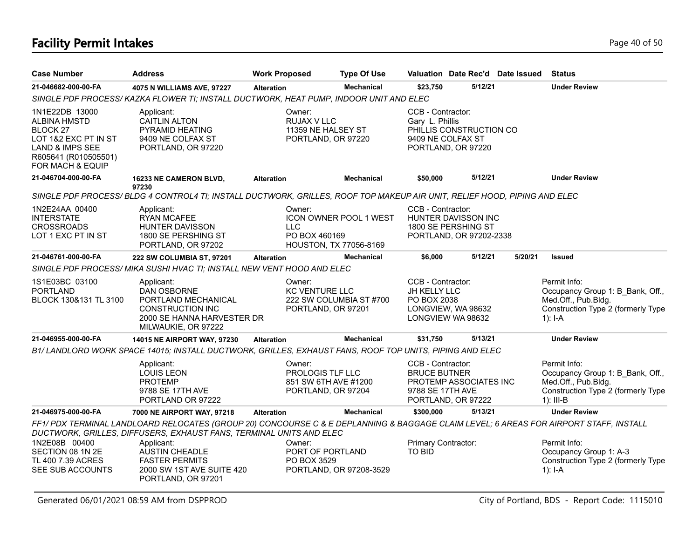# **Facility Permit Intakes** Page 40 of 50

| <b>Case Number</b>                                                                                                                                  | <b>Address</b>                                                                                                                                                                                                                                                                                                                 | <b>Work Proposed</b> | <b>Type Of Use</b>                                                     |                                                              | Valuation Date Rec'd Date Issued                                      |         | <b>Status</b>                                                                                                                |
|-----------------------------------------------------------------------------------------------------------------------------------------------------|--------------------------------------------------------------------------------------------------------------------------------------------------------------------------------------------------------------------------------------------------------------------------------------------------------------------------------|----------------------|------------------------------------------------------------------------|--------------------------------------------------------------|-----------------------------------------------------------------------|---------|------------------------------------------------------------------------------------------------------------------------------|
| 21-046682-000-00-FA                                                                                                                                 | 4075 N WILLIAMS AVE, 97227                                                                                                                                                                                                                                                                                                     | <b>Alteration</b>    | <b>Mechanical</b>                                                      | \$23,750                                                     | 5/12/21                                                               |         | <b>Under Review</b>                                                                                                          |
|                                                                                                                                                     | SINGLE PDF PROCESS/ KAZKA FLOWER TI; INSTALL DUCTWORK, HEAT PUMP, INDOOR UNIT AND ELEC                                                                                                                                                                                                                                         |                      |                                                                        |                                                              |                                                                       |         |                                                                                                                              |
| 1N1E22DB 13000<br><b>ALBINA HMSTD</b><br>BLOCK 27<br>LOT 1&2 EXC PT IN ST<br><b>LAND &amp; IMPS SEE</b><br>R605641 (R010505501)<br>FOR MACH & EQUIP | Applicant:<br><b>CAITLIN ALTON</b><br>PYRAMID HEATING<br>9409 NE COLFAX ST<br>PORTLAND, OR 97220                                                                                                                                                                                                                               | Owner:               | RUJAX V LLC<br>11359 NE HALSEY ST<br>PORTLAND, OR 97220                | CCB - Contractor:<br>Gary L. Phillis                         | PHILLIS CONSTRUCTION CO<br>9409 NE COLFAX ST<br>PORTLAND, OR 97220    |         |                                                                                                                              |
| 21-046704-000-00-FA                                                                                                                                 | 16233 NE CAMERON BLVD,                                                                                                                                                                                                                                                                                                         | <b>Alteration</b>    | <b>Mechanical</b>                                                      | \$50,000                                                     | 5/12/21                                                               |         | <b>Under Review</b>                                                                                                          |
|                                                                                                                                                     | 97230<br>SINGLE PDF PROCESS/BLDG 4 CONTROL4 TI; INSTALL DUCTWORK, GRILLES, ROOF TOP MAKEUP AIR UNIT, RELIEF HOOD, PIPING AND ELEC                                                                                                                                                                                              |                      |                                                                        |                                                              |                                                                       |         |                                                                                                                              |
| 1N2E24AA 00400<br><b>INTERSTATE</b><br><b>CROSSROADS</b><br>LOT 1 EXC PT IN ST                                                                      | Applicant:<br><b>RYAN MCAFEE</b><br>HUNTER DAVISSON<br>1800 SE PERSHING ST<br>PORTLAND, OR 97202                                                                                                                                                                                                                               | Owner:<br><b>LLC</b> | ICON OWNER POOL 1 WEST<br>PO BOX 460169<br>HOUSTON, TX 77056-8169      | CCB - Contractor:                                            | HUNTER DAVISSON INC<br>1800 SE PERSHING ST<br>PORTLAND, OR 97202-2338 |         |                                                                                                                              |
| 21-046761-000-00-FA                                                                                                                                 | <b>222 SW COLUMBIA ST, 97201</b>                                                                                                                                                                                                                                                                                               | <b>Alteration</b>    | <b>Mechanical</b>                                                      | \$6,000                                                      | 5/12/21                                                               | 5/20/21 | <b>Issued</b>                                                                                                                |
|                                                                                                                                                     | SINGLE PDF PROCESS/ MIKA SUSHI HVAC TI; INSTALL NEW VENT HOOD AND ELEC                                                                                                                                                                                                                                                         |                      |                                                                        |                                                              |                                                                       |         |                                                                                                                              |
| 1S1E03BC 03100<br><b>PORTLAND</b><br>BLOCK 130&131 TL 3100                                                                                          | Applicant:<br><b>DAN OSBORNE</b><br>PORTLAND MECHANICAL<br><b>CONSTRUCTION INC</b><br>2000 SE HANNA HARVESTER DR<br>MILWAUKIE, OR 97222                                                                                                                                                                                        | Owner:               | <b>KC VENTURE LLC</b><br>222 SW COLUMBIA ST #700<br>PORTLAND, OR 97201 | CCB - Contractor:<br>JH KELLY LLC<br>PO BOX 2038             | LONGVIEW, WA 98632<br>LONGVIEW WA 98632                               |         | Permit Info:<br>Occupancy Group 1: B Bank, Off.,<br>Med.Off., Pub.Bldg.<br>Construction Type 2 (formerly Type<br>$1$ : I-A   |
| 21-046955-000-00-FA                                                                                                                                 | <b>14015 NE AIRPORT WAY, 97230</b>                                                                                                                                                                                                                                                                                             | <b>Alteration</b>    | <b>Mechanical</b>                                                      | \$31,750                                                     | 5/13/21                                                               |         | <b>Under Review</b>                                                                                                          |
|                                                                                                                                                     | B1/LANDLORD WORK SPACE 14015; INSTALL DUCTWORK, GRILLES, EXHAUST FANS, ROOF TOP UNITS, PIPING AND ELEC                                                                                                                                                                                                                         |                      |                                                                        |                                                              |                                                                       |         |                                                                                                                              |
|                                                                                                                                                     | Applicant:<br><b>LOUIS LEON</b><br><b>PROTEMP</b><br>9788 SE 17TH AVE<br>PORTLAND OR 97222                                                                                                                                                                                                                                     | Owner:               | PROLOGIS TLF LLC<br>851 SW 6TH AVE #1200<br>PORTLAND, OR 97204         | CCB - Contractor:<br><b>BRUCE BUTNER</b><br>9788 SE 17TH AVE | PROTEMP ASSOCIATES INC<br>PORTLAND, OR 97222                          |         | Permit Info:<br>Occupancy Group 1: B Bank, Off.,<br>Med.Off., Pub.Bldg.<br>Construction Type 2 (formerly Type<br>$1$ : III-B |
| 21-046975-000-00-FA                                                                                                                                 | 7000 NE AIRPORT WAY, 97218                                                                                                                                                                                                                                                                                                     | <b>Alteration</b>    | <b>Mechanical</b>                                                      | \$300,000                                                    | 5/13/21                                                               |         | <b>Under Review</b>                                                                                                          |
| 1N2E08B 00400<br>SECTION 08 1N 2E<br>TL 400 7.39 ACRES<br>SEE SUB ACCOUNTS                                                                          | FF1/PDX TERMINAL LANDLOARD RELOCATES (GROUP 20) CONCOURSE C & E DEPLANNING & BAGGAGE CLAIM LEVEL; 6 AREAS FOR AIRPORT STAFF, INSTALL<br>DUCTWORK, GRILLES, DIFFUSERS, EXHAUST FANS, TERMINAL UNITS AND ELEC<br>Applicant:<br><b>AUSTIN CHEADLE</b><br><b>FASTER PERMITS</b><br>2000 SW 1ST AVE SUITE 420<br>PORTLAND, OR 97201 | Owner:               | PORT OF PORTLAND<br>PO BOX 3529<br>PORTLAND, OR 97208-3529             | Primary Contractor:<br><b>TO BID</b>                         |                                                                       |         | Permit Info:<br>Occupancy Group 1: A-3<br>Construction Type 2 (formerly Type<br>$1$ : I-A                                    |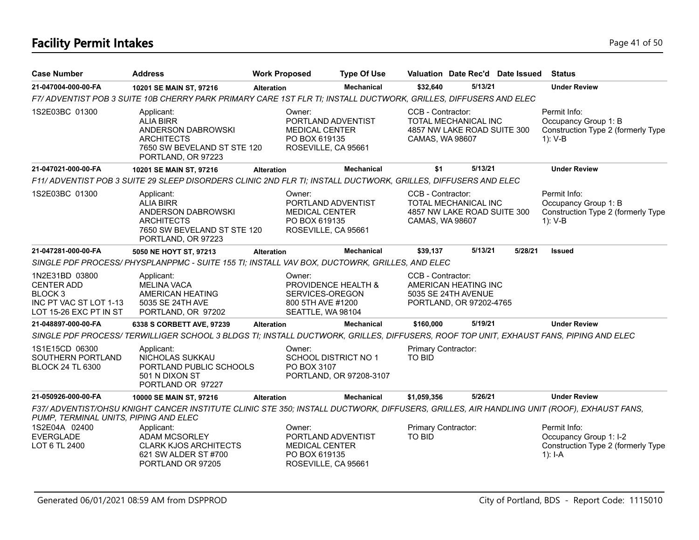# **Facility Permit Intakes** Page 41 of 50

| <b>Case Number</b>                                                                                       | <b>Address</b>                                                                                                                            | <b>Work Proposed</b> |                                                                                               | <b>Type Of Use</b>      |                                                                                                           |         | Valuation Date Rec'd Date Issued | <b>Status</b>                                                                             |
|----------------------------------------------------------------------------------------------------------|-------------------------------------------------------------------------------------------------------------------------------------------|----------------------|-----------------------------------------------------------------------------------------------|-------------------------|-----------------------------------------------------------------------------------------------------------|---------|----------------------------------|-------------------------------------------------------------------------------------------|
| 21-047004-000-00-FA                                                                                      | 10201 SE MAIN ST, 97216                                                                                                                   | <b>Alteration</b>    |                                                                                               | <b>Mechanical</b>       | \$32,640                                                                                                  | 5/13/21 |                                  | <b>Under Review</b>                                                                       |
|                                                                                                          | F7/ ADVENTIST POB 3 SUITE 10B CHERRY PARK PRIMARY CARE 1ST FLR TI; INSTALL DUCTWORK, GRILLES, DIFFUSERS AND ELEC                          |                      |                                                                                               |                         |                                                                                                           |         |                                  |                                                                                           |
| 1S2E03BC 01300                                                                                           | Applicant:<br><b>ALIA BIRR</b><br>ANDERSON DABROWSKI<br><b>ARCHITECTS</b><br>7650 SW BEVELAND ST STE 120<br>PORTLAND, OR 97223            |                      | Owner:<br>PORTLAND ADVENTIST<br><b>MEDICAL CENTER</b><br>PO BOX 619135<br>ROSEVILLE, CA 95661 |                         | CCB - Contractor:<br><b>TOTAL MECHANICAL INC</b><br>4857 NW LAKE ROAD SUITE 300<br><b>CAMAS, WA 98607</b> |         |                                  | Permit Info:<br>Occupancy Group 1: B<br>Construction Type 2 (formerly Type<br>1): V-B     |
| 21-047021-000-00-FA                                                                                      | 10201 SE MAIN ST, 97216                                                                                                                   | <b>Alteration</b>    |                                                                                               | <b>Mechanical</b>       | \$1                                                                                                       | 5/13/21 |                                  | <b>Under Review</b>                                                                       |
|                                                                                                          | F11/ ADVENTIST POB 3 SUITE 29 SLEEP DISORDERS CLINIC 2ND FLR TI; INSTALL DUCTWORK, GRILLES, DIFFUSERS AND ELEC                            |                      |                                                                                               |                         |                                                                                                           |         |                                  |                                                                                           |
| 1S2E03BC 01300                                                                                           | Applicant:<br><b>ALIA BIRR</b><br>ANDERSON DABROWSKI<br><b>ARCHITECTS</b><br>7650 SW BEVELAND ST STE 120<br>PORTLAND, OR 97223            |                      | Owner:<br>PORTLAND ADVENTIST<br><b>MEDICAL CENTER</b><br>PO BOX 619135<br>ROSEVILLE, CA 95661 |                         | CCB - Contractor:<br><b>TOTAL MECHANICAL INC</b><br>4857 NW LAKE ROAD SUITE 300<br>CAMAS, WA 98607        |         |                                  | Permit Info:<br>Occupancy Group 1: B<br>Construction Type 2 (formerly Type<br>$1): V-B$   |
| 21-047281-000-00-FA                                                                                      | 5050 NE HOYT ST, 97213                                                                                                                    | Alteration           |                                                                                               | <b>Mechanical</b>       | \$39,137                                                                                                  | 5/13/21 | 5/28/21                          | <b>Issued</b>                                                                             |
|                                                                                                          | SINGLE PDF PROCESS/ PHYSPLANPPMC - SUITE 155 TI; INSTALL VAV BOX, DUCTOWRK, GRILLES, AND ELEC                                             |                      |                                                                                               |                         |                                                                                                           |         |                                  |                                                                                           |
| 1N2E31BD 03800<br><b>CENTER ADD</b><br><b>BLOCK3</b><br>INC PT VAC ST LOT 1-13<br>LOT 15-26 EXC PT IN ST | Applicant:<br><b>MELINA VACA</b><br>AMERICAN HEATING<br>5035 SE 24TH AVE<br>PORTLAND, OR 97202                                            |                      | Owner:<br>PROVIDENCE HEALTH &<br>SERVICES-OREGON<br>800 5TH AVE #1200<br>SEATTLE, WA 98104    |                         | CCB - Contractor:<br>AMERICAN HEATING INC<br>5035 SE 24TH AVENUE<br>PORTLAND, OR 97202-4765               |         |                                  |                                                                                           |
| 21-048897-000-00-FA                                                                                      | 6338 S CORBETT AVE, 97239                                                                                                                 | <b>Alteration</b>    |                                                                                               | <b>Mechanical</b>       | \$160,000                                                                                                 | 5/19/21 |                                  | <b>Under Review</b>                                                                       |
|                                                                                                          | SINGLE PDF PROCESS/TERWILLIGER SCHOOL 3 BLDGS TI; INSTALL DUCTWORK, GRILLES, DIFFUSERS, ROOF TOP UNIT, EXHAUST FANS, PIPING AND ELEC      |                      |                                                                                               |                         |                                                                                                           |         |                                  |                                                                                           |
| 1S1E15CD 06300<br>SOUTHERN PORTLAND<br><b>BLOCK 24 TL 6300</b>                                           | Applicant:<br>NICHOLAS SUKKAU<br>PORTLAND PUBLIC SCHOOLS<br>501 N DIXON ST<br>PORTLAND OR 97227                                           |                      | Owner:<br>SCHOOL DISTRICT NO 1<br>PO BOX 3107                                                 | PORTLAND, OR 97208-3107 | Primary Contractor:<br>TO BID                                                                             |         |                                  |                                                                                           |
| 21-050926-000-00-FA                                                                                      | 10000 SE MAIN ST, 97216                                                                                                                   | <b>Alteration</b>    |                                                                                               | <b>Mechanical</b>       | \$1,059,356                                                                                               | 5/26/21 |                                  | <b>Under Review</b>                                                                       |
| PUMP, TERMINAL UNITS, PIPING AND ELEC                                                                    | F37/ ADVENTIST/OHSU KNIGHT CANCER INSTITUTE CLINIC STE 350; INSTALL DUCTWORK, DIFFUSERS, GRILLES, AIR HANDLING UNIT (ROOF), EXHAUST FANS, |                      |                                                                                               |                         |                                                                                                           |         |                                  |                                                                                           |
| 1S2E04A 02400<br><b>EVERGLADE</b><br>LOT 6 TL 2400                                                       | Applicant:<br><b>ADAM MCSORLEY</b><br><b>CLARK KJOS ARCHITECTS</b><br>621 SW ALDER ST #700<br>PORTLAND OR 97205                           |                      | Owner:<br>PORTLAND ADVENTIST<br><b>MEDICAL CENTER</b><br>PO BOX 619135<br>ROSEVILLE, CA 95661 |                         | Primary Contractor:<br>TO BID                                                                             |         |                                  | Permit Info:<br>Occupancy Group 1: I-2<br>Construction Type 2 (formerly Type<br>$1$ : I-A |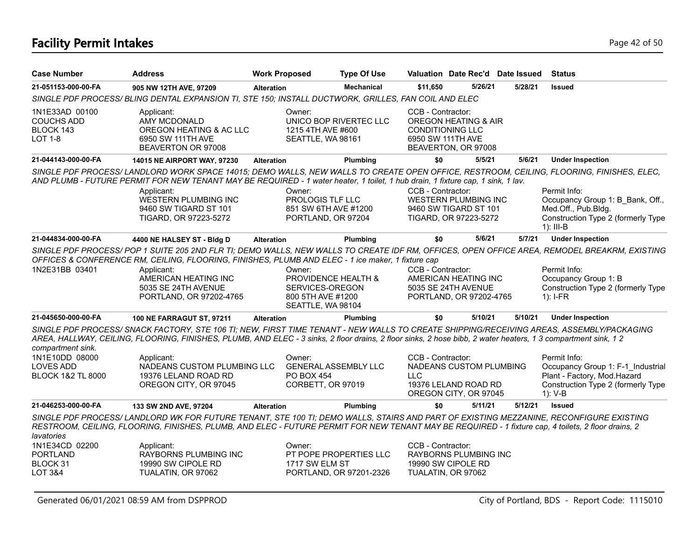# **Facility Permit Intakes** Page 42 of 50

| <b>Case Number</b>                                                                      | <b>Address</b>                                                                                                                                                                                                                                                                                                                                                                                          | <b>Work Proposed</b>     | <b>Type Of Use</b>                                                               |                                                                   | Valuation Date Rec'd Date Issued                                         |         | <b>Status</b>                                                                                                                                                                                                                                                           |
|-----------------------------------------------------------------------------------------|---------------------------------------------------------------------------------------------------------------------------------------------------------------------------------------------------------------------------------------------------------------------------------------------------------------------------------------------------------------------------------------------------------|--------------------------|----------------------------------------------------------------------------------|-------------------------------------------------------------------|--------------------------------------------------------------------------|---------|-------------------------------------------------------------------------------------------------------------------------------------------------------------------------------------------------------------------------------------------------------------------------|
| 21-051153-000-00-FA                                                                     | 905 NW 12TH AVE, 97209                                                                                                                                                                                                                                                                                                                                                                                  | <b>Alteration</b>        | <b>Mechanical</b>                                                                | \$11.650                                                          | 5/26/21                                                                  | 5/28/21 | <b>Issued</b>                                                                                                                                                                                                                                                           |
|                                                                                         | SINGLE PDF PROCESS/ BLING DENTAL EXPANSION TI, STE 150; INSTALL DUCTWORK, GRILLES, FAN COIL AND ELEC                                                                                                                                                                                                                                                                                                    |                          |                                                                                  |                                                                   |                                                                          |         |                                                                                                                                                                                                                                                                         |
| 1N1E33AD 00100<br><b>COUCHS ADD</b><br>BLOCK 143<br><b>LOT 1-8</b>                      | Applicant:<br><b>AMY MCDONALD</b><br>OREGON HEATING & AC LLC<br>6950 SW 111TH AVE<br>BEAVERTON OR 97008                                                                                                                                                                                                                                                                                                 | Owner:                   | UNICO BOP RIVERTEC LLC<br>1215 4TH AVE #600<br>SEATTLE, WA 98161                 | CCB - Contractor:<br><b>CONDITIONING LLC</b><br>6950 SW 111TH AVE | <b>OREGON HEATING &amp; AIR</b><br>BEAVERTON, OR 97008                   |         |                                                                                                                                                                                                                                                                         |
| 21-044143-000-00-FA                                                                     | 14015 NE AIRPORT WAY, 97230                                                                                                                                                                                                                                                                                                                                                                             | <b>Alteration</b>        | Plumbing                                                                         | \$0                                                               | 5/5/21                                                                   | 5/6/21  | <b>Under Inspection</b>                                                                                                                                                                                                                                                 |
|                                                                                         | AND PLUMB - FUTURE PERMIT FOR NEW TENANT MAY BE REQUIRED - 1 water heater, 1 toilet, 1 hub drain, 1 fixture cap, 1 sink, 1 lav.<br>Applicant:<br>WESTERN PLUMBING INC<br>9460 SW TIGARD ST 101<br>TIGARD, OR 97223-5272                                                                                                                                                                                 | Owner:                   | PROLOGIS TLF LLC<br>851 SW 6TH AVE #1200<br>PORTLAND, OR 97204                   | CCB - Contractor:                                                 | WESTERN PLUMBING INC<br>9460 SW TIGARD ST 101<br>TIGARD, OR 97223-5272   |         | SINGLE PDF PROCESS/LANDLORD WORK SPACE 14015; DEMO WALLS, NEW WALLS TO CREATE OPEN OFFICE, RESTROOM, CEILING, FLOORING, FINISHES, ELEC,<br>Permit Info:<br>Occupancy Group 1: B Bank, Off.,<br>Med.Off., Pub.Bldg.<br>Construction Type 2 (formerly Type<br>$1$ : III-B |
| 21-044834-000-00-FA                                                                     | 4400 NE HALSEY ST - Bldg D                                                                                                                                                                                                                                                                                                                                                                              | <b>Alteration</b>        | Plumbing                                                                         | \$0                                                               | 5/6/21                                                                   | 5/7/21  | <b>Under Inspection</b>                                                                                                                                                                                                                                                 |
| 1N2E31BB 03401                                                                          | OFFICES & CONFERENCE RM, CEILING, FLOORING, FINISHES, PLUMB AND ELEC - 1 ice maker, 1 fixture cap<br>Applicant:<br>AMERICAN HEATING INC<br>5035 SE 24TH AVENUE<br>PORTLAND, OR 97202-4765                                                                                                                                                                                                               | Owner:                   | PROVIDENCE HEALTH &<br>SERVICES-OREGON<br>800 5TH AVE #1200<br>SEATTLE, WA 98104 | CCB - Contractor:                                                 | AMERICAN HEATING INC<br>5035 SE 24TH AVENUE<br>PORTLAND, OR 97202-4765   |         | SINGLE PDF PROCESS/POP 1 SUITE 205 2ND FLR TI; DEMO WALLS, NEW WALLS TO CREATE IDF RM, OFFICES, OPEN OFFICE AREA, REMODEL BREAKRM, EXISTING<br>Permit Info:<br>Occupancy Group 1: B<br>Construction Type 2 (formerly Type<br>$1$ : I-FR                                 |
| 21-045650-000-00-FA                                                                     | <b>100 NE FARRAGUT ST, 97211</b>                                                                                                                                                                                                                                                                                                                                                                        | <b>Alteration</b>        | Plumbing                                                                         | \$0                                                               | 5/10/21                                                                  | 5/10/21 | <b>Under Inspection</b>                                                                                                                                                                                                                                                 |
| compartment sink.<br>1N1E10DD 08000<br><b>LOVES ADD</b><br><b>BLOCK 1&amp;2 TL 8000</b> | SINGLE PDF PROCESS/ SNACK FACTORY, STE 106 TI; NEW, FIRST TIME TENANT - NEW WALLS TO CREATE SHIPPING/RECEIVING AREAS, ASSEMBLY/PACKAGING<br>AREA, HALLWAY, CEILING, FLOORING, FINISHES, PLUMB, AND ELEC - 3 sinks, 2 floor drains, 2 floor sinks, 2 hose bibb, 2 water heaters, 1 3 compartment sink, 1 2<br>Applicant:<br>NADEANS CUSTOM PLUMBING LLC<br>19376 LELAND ROAD RD<br>OREGON CITY, OR 97045 | Owner:<br>PO BOX 454     | <b>GENERAL ASSEMBLY LLC</b><br>CORBETT, OR 97019                                 | CCB - Contractor:<br><b>LLC</b>                                   | NADEANS CUSTOM PLUMBING<br>19376 LELAND ROAD RD<br>OREGON CITY, OR 97045 |         | Permit Info:<br>Occupancy Group 1: F-1 Industrial<br>Plant - Factory, Mod.Hazard<br>Construction Type 2 (formerly Type<br>$1)$ : V-B                                                                                                                                    |
| 21-046253-000-00-FA                                                                     | 133 SW 2ND AVE, 97204                                                                                                                                                                                                                                                                                                                                                                                   | <b>Alteration</b>        | Plumbing                                                                         | \$0                                                               | 5/11/21                                                                  | 5/12/21 | <b>Issued</b>                                                                                                                                                                                                                                                           |
| lavatories<br>1N1E34CD 02200<br><b>PORTLAND</b><br>BLOCK 31                             | SINGLE PDF PROCESS/ LANDLORD WK FOR FUTURE TENANT, STE 100 TI; DEMO WALLS, STAIRS AND PART OF EXISTING MEZZANINE, RECONFIGURE EXISTING<br>RESTROOM, CEILING, FLOORING, FINISHES, PLUMB, AND ELEC - FUTURE PERMIT FOR NEW TENANT MAY BE REQUIRED - 1 fixture cap, 4 toilets, 2 floor drains, 2<br>Applicant:<br>RAYBORNS PLUMBING INC<br>19990 SW CIPOLE RD                                              | Owner:<br>1717 SW ELM ST | PT POPE PROPERTIES LLC                                                           | CCB - Contractor:                                                 | RAYBORNS PLUMBING INC<br>19990 SW CIPOLE RD                              |         |                                                                                                                                                                                                                                                                         |
| LOT 3&4                                                                                 | TUALATIN, OR 97062                                                                                                                                                                                                                                                                                                                                                                                      |                          | PORTLAND, OR 97201-2326                                                          | TUALATIN, OR 97062                                                |                                                                          |         |                                                                                                                                                                                                                                                                         |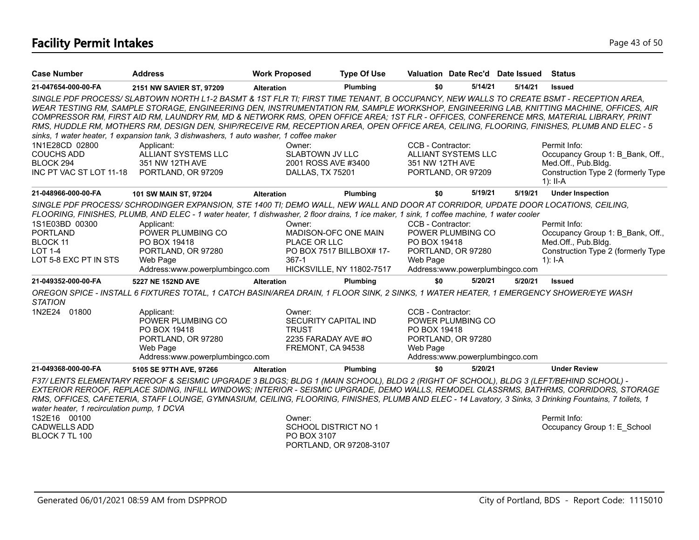# **Facility Permit Intakes** Page 43 of 50

| <b>Case Number</b>                                                                                                                                       | <b>Address</b>                                                                                                                                                                                                                                                                                                                                                                                                                                                                                                                                                                                                                                                                              | <b>Work Proposed</b>                                                                                                                                                         | <b>Type Of Use</b>                                                |                                                                                                       | Valuation Date Rec'd Date Issued                                                                                                                                    |         | Status                                                                                                                                        |
|----------------------------------------------------------------------------------------------------------------------------------------------------------|---------------------------------------------------------------------------------------------------------------------------------------------------------------------------------------------------------------------------------------------------------------------------------------------------------------------------------------------------------------------------------------------------------------------------------------------------------------------------------------------------------------------------------------------------------------------------------------------------------------------------------------------------------------------------------------------|------------------------------------------------------------------------------------------------------------------------------------------------------------------------------|-------------------------------------------------------------------|-------------------------------------------------------------------------------------------------------|---------------------------------------------------------------------------------------------------------------------------------------------------------------------|---------|-----------------------------------------------------------------------------------------------------------------------------------------------|
| 21-047654-000-00-FA                                                                                                                                      | 2151 NW SAVIER ST, 97209                                                                                                                                                                                                                                                                                                                                                                                                                                                                                                                                                                                                                                                                    | <b>Alteration</b>                                                                                                                                                            | Plumbing                                                          | \$0                                                                                                   | 5/14/21                                                                                                                                                             | 5/14/21 | <b>Issued</b>                                                                                                                                 |
|                                                                                                                                                          | SINGLE PDF PROCESS/SLABTOWN NORTH L1-2 BASMT & 1ST FLR TI; FIRST TIME TENANT, B OCCUPANCY, NEW WALLS TO CREATE BSMT - RECEPTION AREA,<br>WEAR TESTING RM, SAMPLE STORAGE, ENGINEERING DEN, INSTRUMENTATION RM, SAMPLE WORKSHOP, ENGINEERING LAB, KNITTING MACHINE, OFFICES, AIR<br>COMPRESSOR RM, FIRST AID RM, LAUNDRY RM, MD & NETWORK RMS, OPEN OFFICE AREA; 1ST FLR - OFFICES, CONFERENCE MRS, MATERIAL LIBRARY, PRINT<br>RMS, HUDDLE RM, MOTHERS RM, DESIGN DEN, SHIP/RECEIVE RM, RECEPTION AREA, OPEN OFFICE AREA, CEILING, FLOORING, FINISHES, PLUMB AND ELEC - 5<br>sinks, 1 water heater, 1 expansion tank, 3 dishwashers, 1 auto washer, 1 coffee maker                           |                                                                                                                                                                              |                                                                   |                                                                                                       |                                                                                                                                                                     |         |                                                                                                                                               |
| 1N1E28CD 02800<br><b>COUCHS ADD</b><br>BLOCK 294<br>INC PT VAC ST LOT 11-18 PORTLAND, OR 97209                                                           | Applicant:<br>ALLIANT SYSTEMS LLC<br>351 NW 12TH AVE                                                                                                                                                                                                                                                                                                                                                                                                                                                                                                                                                                                                                                        | Owner:<br><b>SLABTOWN JV LLC</b><br>2001 ROSS AVE #3400<br>DALLAS, TX 75201                                                                                                  |                                                                   | CCB - Contractor:<br>351 NW 12TH AVE                                                                  | <b>ALLIANT SYSTEMS LLC</b><br>PORTLAND, OR 97209                                                                                                                    |         | Permit Info:<br>Occupancy Group 1: B Bank, Off.,<br>Med.Off., Pub.Bldg.<br>Construction Type 2 (formerly Type<br>$1$ : II-A                   |
| 21-048966-000-00-FA                                                                                                                                      | 101 SW MAIN ST, 97204                                                                                                                                                                                                                                                                                                                                                                                                                                                                                                                                                                                                                                                                       | <b>Alteration</b>                                                                                                                                                            | Plumbing                                                          | \$0                                                                                                   | 5/19/21                                                                                                                                                             | 5/19/21 | <b>Under Inspection</b>                                                                                                                       |
| 1S1E03BD 00300<br><b>PORTLAND</b><br><b>BLOCK 11</b><br><b>LOT 1-4</b><br>LOT 5-8 EXC PT IN STS<br>21-049352-000-00-FA<br><b>STATION</b><br>1N2E24 01800 | SINGLE PDF PROCESS/SCHRODINGER EXPANSION, STE 1400 TI; DEMO WALL, NEW WALL AND DOOR AT CORRIDOR, UPDATE DOOR LOCATIONS, CEILING,<br>FLOORING, FINISHES, PLUMB, AND ELEC - 1 water heater, 1 dishwasher, 2 floor drains, 1 ice maker, 1 sink, 1 coffee machine, 1 water cooler<br>Applicant:<br>POWER PLUMBING CO<br>PO BOX 19418<br>PORTLAND, OR 97280<br>Web Page<br>Address:www.powerplumbingco.com<br>5227 NE 152ND AVE<br>OREGON SPICE - INSTALL 6 FIXTURES TOTAL, 1 CATCH BASIN/AREA DRAIN, 1 FLOOR SINK, 2 SINKS, 1 WATER HEATER, 1 EMERGENCY SHOWER/EYE WASH<br>Applicant:<br>POWER PLUMBING CO<br>PO BOX 19418<br>PORTLAND, OR 97280<br>Web Page<br>Address:www.powerplumbingco.com | Owner:<br>MADISON-OFC ONE MAIN<br>PLACE OR LLC<br>$367-1$<br><b>Alteration</b><br>Owner:<br>SECURITY CAPITAL IND<br><b>TRUST</b><br>2235 FARADAY AVE #O<br>FREMONT, CA 94538 | PO BOX 7517 BILLBOX# 17-<br>HICKSVILLE, NY 11802-7517<br>Plumbing | CCB - Contractor:<br>PO BOX 19418<br>Web Page<br>\$0<br>CCB - Contractor:<br>PO BOX 19418<br>Web Page | POWER PLUMBING CO<br>PORTLAND, OR 97280<br>Address:www.powerplumbingco.com<br>5/20/21<br>POWER PLUMBING CO<br>PORTLAND, OR 97280<br>Address:www.powerplumbingco.com | 5/20/21 | Permit Info:<br>Occupancy Group 1: B Bank, Off.,<br>Med.Off., Pub.Bldg.<br>Construction Type 2 (formerly Type<br>1): $I - A$<br><b>Issued</b> |
| 21-049368-000-00-FA                                                                                                                                      | 5105 SE 97TH AVE, 97266                                                                                                                                                                                                                                                                                                                                                                                                                                                                                                                                                                                                                                                                     | <b>Alteration</b>                                                                                                                                                            | Plumbing                                                          | \$0                                                                                                   | 5/20/21                                                                                                                                                             |         | <b>Under Review</b>                                                                                                                           |
| water heater, 1 recirculation pump, 1 DCVA                                                                                                               | F37/ LENTS ELEMENTARY REROOF & SEISMIC UPGRADE 3 BLDGS; BLDG 1 (MAIN SCHOOL), BLDG 2 (RIGHT OF SCHOOL), BLDG 3 (LEFT/BEHIND SCHOOL) -<br>EXTERIOR REROOF, REPLACE SIDING, INFILL WINDOWS; INTERIOR - SEISMIC UPGRADE, DEMO WALLS, REMODEL CLASSRMS, BATHRMS, CORRIDORS, STORAGE<br>RMS, OFFICES, CAFETERIA, STAFF LOUNGE, GYMNASIUM, CEILING, FLOORING, FINISHES, PLUMB AND ELEC - 14 Lavatory, 3 Sinks, 3 Drinking Fountains, 7 toilets, 1                                                                                                                                                                                                                                                 |                                                                                                                                                                              |                                                                   |                                                                                                       |                                                                                                                                                                     |         |                                                                                                                                               |
| 1S2E16 00100<br><b>CADWELLS ADD</b><br>BLOCK 7 TL 100                                                                                                    |                                                                                                                                                                                                                                                                                                                                                                                                                                                                                                                                                                                                                                                                                             | Owner:<br><b>SCHOOL DISTRICT NO 1</b><br>PO BOX 3107                                                                                                                         | PORTLAND, OR 97208-3107                                           |                                                                                                       |                                                                                                                                                                     |         | Permit Info:<br>Occupancy Group 1: E School                                                                                                   |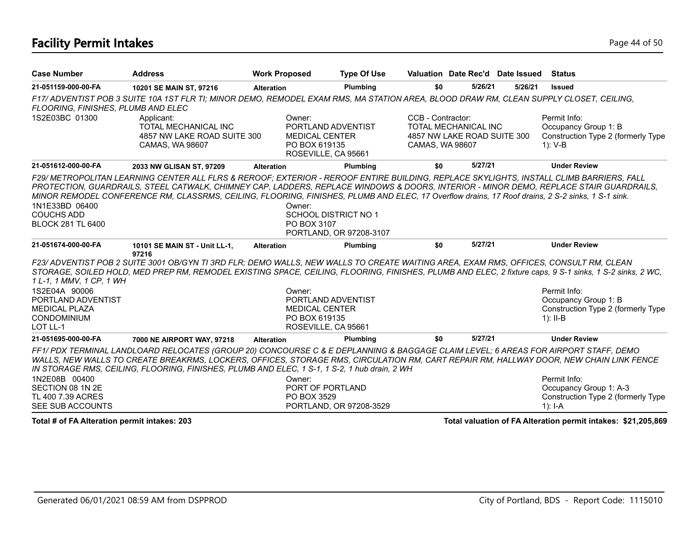#### **Facility Permit Intakes** Page 44 of 50

| <b>Case Number</b>                                                                            | <b>Address</b>                                                                                                                                                                                                                                                                                                                                                                                                                        | <b>Work Proposed</b>                                                                          | <b>Type Of Use</b>                              | Valuation Date Rec'd Date Issued                                                                   |         |         | Status                                                                                      |
|-----------------------------------------------------------------------------------------------|---------------------------------------------------------------------------------------------------------------------------------------------------------------------------------------------------------------------------------------------------------------------------------------------------------------------------------------------------------------------------------------------------------------------------------------|-----------------------------------------------------------------------------------------------|-------------------------------------------------|----------------------------------------------------------------------------------------------------|---------|---------|---------------------------------------------------------------------------------------------|
| 21-051159-000-00-FA                                                                           | 10201 SE MAIN ST, 97216                                                                                                                                                                                                                                                                                                                                                                                                               | <b>Alteration</b>                                                                             | Plumbing                                        | \$0                                                                                                | 5/26/21 | 5/26/21 | <b>Issued</b>                                                                               |
| FLOORING, FINISHES, PLUMB AND ELEC                                                            | F17/ ADVENTIST POB 3 SUITE 10A 1ST FLR TI; MINOR DEMO, REMODEL EXAM RMS, MA STATION AREA, BLOOD DRAW RM, CLEAN SUPPLY CLOSET, CEILING,                                                                                                                                                                                                                                                                                                |                                                                                               |                                                 |                                                                                                    |         |         |                                                                                             |
| 1S2E03BC 01300                                                                                | Applicant:<br>TOTAL MECHANICAL INC<br>4857 NW LAKE ROAD SUITE 300<br>CAMAS, WA 98607                                                                                                                                                                                                                                                                                                                                                  | Owner:<br>PORTLAND ADVENTIST<br><b>MEDICAL CENTER</b><br>PO BOX 619135<br>ROSEVILLE, CA 95661 |                                                 | CCB - Contractor:<br><b>TOTAL MECHANICAL INC</b><br>4857 NW LAKE ROAD SUITE 300<br>CAMAS, WA 98607 |         |         | Permit Info:<br>Occupancy Group 1: B<br>Construction Type 2 (formerly Type<br>$1)$ : V-B    |
| 21-051612-000-00-FA                                                                           | 2033 NW GLISAN ST, 97209                                                                                                                                                                                                                                                                                                                                                                                                              | <b>Alteration</b>                                                                             | Plumbing                                        | \$0                                                                                                | 5/27/21 |         | <b>Under Review</b>                                                                         |
| 1N1E33BD 06400<br><b>COUCHS ADD</b><br><b>BLOCK 281 TL 6400</b>                               | F29/ METROPOLITAN LEARNING CENTER ALL FLRS & REROOF; EXTERIOR - REROOF ENTIRE BUILDING, REPLACE SKYLIGHTS, INSTALL CLIMB BARRIERS, FALL<br>PROTECTION, GUARDRAILS, STEEL CATWALK, CHIMNEY CAP, LADDERS, REPLACE WINDOWS & DOORS, INTERIOR - MINOR DEMO, REPLACE STAIR GUARDRAILS,<br>MINOR REMODEL CONFERENCE RM, CLASSRMS, CEILING, FLOORING, FINISHES, PLUMB AND ELEC, 17 Overflow drains, 17 Roof drains, 2 S-2 sinks, 1 S-1 sink. | Owner:<br>PO BOX 3107                                                                         | SCHOOL DISTRICT NO 1<br>PORTLAND, OR 97208-3107 |                                                                                                    |         |         |                                                                                             |
| 21-051674-000-00-FA                                                                           | 10101 SE MAIN ST - Unit LL-1,<br>97216                                                                                                                                                                                                                                                                                                                                                                                                | <b>Alteration</b>                                                                             | Plumbing                                        | \$0                                                                                                | 5/27/21 |         | <b>Under Review</b>                                                                         |
| 1 L-1, 1 MMV, 1 CP, 1 WH                                                                      | F23/ ADVENTIST POB 2 SUITE 3001 OB/GYN TI 3RD FLR; DEMO WALLS, NEW WALLS TO CREATE WAITING AREA, EXAM RMS, OFFICES, CONSULT RM, CLEAN<br>STORAGE, SOILED HOLD, MED PREP RM, REMODEL EXISTING SPACE, CEILING, FLOORING, FINISHES, PLUMB AND ELEC, 2 fixture caps, 9 S-1 sinks, 1 S-2 sinks, 2 WC,                                                                                                                                      |                                                                                               |                                                 |                                                                                                    |         |         |                                                                                             |
| 1S2E04A 90006<br>PORTLAND ADVENTIST<br><b>MEDICAL PLAZA</b><br><b>CONDOMINIUM</b><br>LOT LL-1 |                                                                                                                                                                                                                                                                                                                                                                                                                                       | Owner:<br>PORTLAND ADVENTIST<br><b>MEDICAL CENTER</b><br>PO BOX 619135<br>ROSEVILLE, CA 95661 |                                                 |                                                                                                    |         |         | Permit Info:<br>Occupancy Group 1: B<br>Construction Type 2 (formerly Type<br>$1$ : II-B    |
| 21-051695-000-00-FA                                                                           | 7000 NE AIRPORT WAY, 97218                                                                                                                                                                                                                                                                                                                                                                                                            | <b>Alteration</b>                                                                             | Plumbing                                        | \$0                                                                                                | 5/27/21 |         | <b>Under Review</b>                                                                         |
|                                                                                               | FF1/PDX TERMINAL LANDLOARD RELOCATES (GROUP 20) CONCOURSE C & E DEPLANNING & BAGGAGE CLAIM LEVEL; 6 AREAS FOR AIRPORT STAFF, DEMO<br>WALLS, NEW WALLS TO CREATE BREAKRMS, LOCKERS, OFFICES, STORAGE RMS, CIRCULATION RM, CART REPAIR RM, HALLWAY DOOR, NEW CHAIN LINK FENCE<br>IN STORAGE RMS, CEILING, FLOORING, FINISHES, PLUMB AND ELEC, 1 S-1, 1 S-2, 1 hub drain, 2 WH                                                           |                                                                                               |                                                 |                                                                                                    |         |         |                                                                                             |
| 1N2E08B 00400<br>SECTION 08 1N 2E<br>TL 400 7.39 ACRES<br>SEE SUB ACCOUNTS                    |                                                                                                                                                                                                                                                                                                                                                                                                                                       | Owner:<br>PORT OF PORTLAND<br>PO BOX 3529                                                     | PORTLAND, OR 97208-3529                         |                                                                                                    |         |         | Permit Info:<br>Occupancy Group 1: A-3<br>Construction Type 2 (formerly Type<br>1): $I - A$ |

**Total # of FA Alteration permit intakes: 203 Total valuation of FA Alteration permit intakes: \$21,205,869**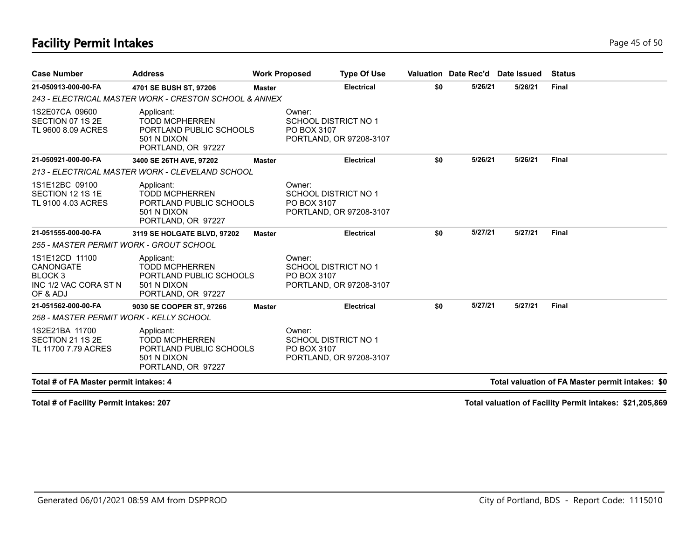#### **Facility Permit Intakes** Page 45 of 50

| <b>Case Number</b>                                                                 | <b>Address</b>                                                                                      | <b>Work Proposed</b> |                       | <b>Type Of Use</b>                                     |     | Valuation Date Rec'd Date Issued |         | <b>Status</b>                                    |
|------------------------------------------------------------------------------------|-----------------------------------------------------------------------------------------------------|----------------------|-----------------------|--------------------------------------------------------|-----|----------------------------------|---------|--------------------------------------------------|
| 21-050913-000-00-FA                                                                | 4701 SE BUSH ST, 97206                                                                              | Master               |                       | <b>Electrical</b>                                      | \$0 | 5/26/21                          | 5/26/21 | <b>Final</b>                                     |
|                                                                                    | 243 - ELECTRICAL MASTER WORK - CRESTON SCHOOL & ANNEX                                               |                      |                       |                                                        |     |                                  |         |                                                  |
| 1S2E07CA 09600<br>SECTION 07 1S 2E<br>TL 9600 8.09 ACRES                           | Applicant:<br><b>TODD MCPHERREN</b><br>PORTLAND PUBLIC SCHOOLS<br>501 N DIXON<br>PORTLAND, OR 97227 |                      | Owner:<br>PO BOX 3107 | <b>SCHOOL DISTRICT NO 1</b><br>PORTLAND, OR 97208-3107 |     |                                  |         |                                                  |
| 21-050921-000-00-FA                                                                | 3400 SE 26TH AVE, 97202                                                                             | <b>Master</b>        |                       | <b>Electrical</b>                                      | \$0 | 5/26/21                          | 5/26/21 | <b>Final</b>                                     |
|                                                                                    | 213 - ELECTRICAL MASTER WORK - CLEVELAND SCHOOL                                                     |                      |                       |                                                        |     |                                  |         |                                                  |
| 1S1E12BC 09100<br>SECTION 12 1S 1E<br>TL 9100 4.03 ACRES                           | Applicant:<br><b>TODD MCPHERREN</b><br>PORTLAND PUBLIC SCHOOLS<br>501 N DIXON<br>PORTLAND, OR 97227 |                      | Owner:<br>PO BOX 3107 | <b>SCHOOL DISTRICT NO 1</b><br>PORTLAND, OR 97208-3107 |     |                                  |         |                                                  |
| 21-051555-000-00-FA                                                                | 3119 SE HOLGATE BLVD. 97202                                                                         | <b>Master</b>        |                       | <b>Electrical</b>                                      | \$0 | 5/27/21                          | 5/27/21 | <b>Final</b>                                     |
| 255 - MASTER PERMIT WORK - GROUT SCHOOL                                            |                                                                                                     |                      |                       |                                                        |     |                                  |         |                                                  |
| 1S1E12CD 11100<br><b>CANONGATE</b><br>BLOCK 3<br>INC 1/2 VAC CORA ST N<br>OF & ADJ | Applicant:<br><b>TODD MCPHERREN</b><br>PORTLAND PUBLIC SCHOOLS<br>501 N DIXON<br>PORTLAND, OR 97227 |                      | Owner:<br>PO BOX 3107 | <b>SCHOOL DISTRICT NO 1</b><br>PORTLAND, OR 97208-3107 |     |                                  |         |                                                  |
| 21-051562-000-00-FA                                                                | 9030 SE COOPER ST, 97266                                                                            | <b>Master</b>        |                       | <b>Electrical</b>                                      | \$0 | 5/27/21                          | 5/27/21 | <b>Final</b>                                     |
| 258 - MASTER PERMIT WORK - KELLY SCHOOL                                            |                                                                                                     |                      |                       |                                                        |     |                                  |         |                                                  |
| 1S2E21BA 11700<br>SECTION 21 1S 2E<br>TL 11700 7.79 ACRES                          | Applicant:<br><b>TODD MCPHERREN</b><br>PORTLAND PUBLIC SCHOOLS<br>501 N DIXON<br>PORTLAND, OR 97227 |                      | Owner:<br>PO BOX 3107 | <b>SCHOOL DISTRICT NO 1</b><br>PORTLAND, OR 97208-3107 |     |                                  |         |                                                  |
| Total # of FA Master permit intakes: 4                                             |                                                                                                     |                      |                       |                                                        |     |                                  |         | Total valuation of FA Master permit intakes: \$0 |

**Total # of Facility Permit intakes: 207 Total valuation of Facility Permit intakes: \$21,205,869**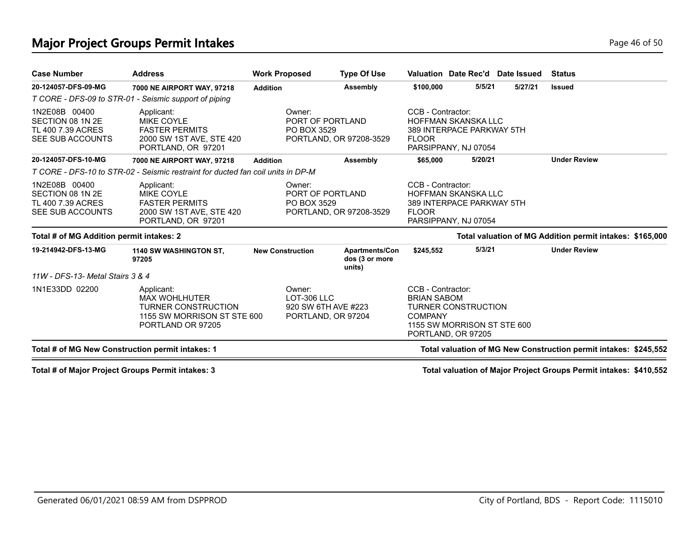#### **Major Project Groups Permit Intakes Page 16 of 50 Page 46 of 50**

|                                                                            | <b>Address</b>                                                                                                       | <b>Work Proposed</b>                                               | <b>Type Of Use</b>                                |                                                                                 | Valuation Date Rec'd Date Issued                          | <b>Status</b>                                                    |
|----------------------------------------------------------------------------|----------------------------------------------------------------------------------------------------------------------|--------------------------------------------------------------------|---------------------------------------------------|---------------------------------------------------------------------------------|-----------------------------------------------------------|------------------------------------------------------------------|
| 20-124057-DFS-09-MG                                                        | 7000 NE AIRPORT WAY, 97218                                                                                           | <b>Addition</b>                                                    | Assembly                                          | \$100,000                                                                       | 5/5/21<br>5/27/21                                         | <b>Issued</b>                                                    |
|                                                                            | T CORE - DFS-09 to STR-01 - Seismic support of piping                                                                |                                                                    |                                                   |                                                                                 |                                                           |                                                                  |
| 1N2E08B 00400<br>SECTION 08 1N 2E<br>TL 400 7.39 ACRES<br>SEE SUB ACCOUNTS | Applicant:<br><b>MIKE COYLE</b><br><b>FASTER PERMITS</b><br>2000 SW 1ST AVE, STE 420<br>PORTLAND, OR 97201           | Owner:<br>PORT OF PORTLAND<br>PO BOX 3529                          | PORTLAND, OR 97208-3529                           | CCB - Contractor:<br><b>FLOOR</b><br>PARSIPPANY, NJ 07054                       | <b>HOFFMAN SKANSKA LLC</b><br>389 INTERPACE PARKWAY 5TH   |                                                                  |
| 20-124057-DFS-10-MG                                                        | 7000 NE AIRPORT WAY, 97218                                                                                           | <b>Addition</b>                                                    | Assembly                                          | \$65,000                                                                        | 5/20/21                                                   | <b>Under Review</b>                                              |
|                                                                            | T CORE - DFS-10 to STR-02 - Seismic restraint for ducted fan coil units in DP-M                                      |                                                                    |                                                   |                                                                                 |                                                           |                                                                  |
| 1N2E08B 00400<br>SECTION 08 1N 2E<br>TL 400 7.39 ACRES<br>SEE SUB ACCOUNTS | Applicant:<br><b>MIKE COYLE</b><br><b>FASTER PERMITS</b><br>2000 SW 1ST AVE, STE 420<br>PORTLAND, OR 97201           | Owner:<br>PORT OF PORTLAND<br>PO BOX 3529                          | PORTLAND, OR 97208-3529                           | CCB - Contractor:<br><b>FLOOR</b><br>PARSIPPANY, NJ 07054                       | <b>HOFFMAN SKANSKA LLC</b><br>389 INTERPACE PARKWAY 5TH   |                                                                  |
| Total # of MG Addition permit intakes: 2                                   |                                                                                                                      |                                                                    |                                                   |                                                                                 |                                                           | Total valuation of MG Addition permit intakes: \$165,000         |
| 19-214942-DFS-13-MG                                                        | <b>1140 SW WASHINGTON ST.</b><br>97205                                                                               | <b>New Construction</b>                                            | <b>Apartments/Con</b><br>dos (3 or more<br>units) | \$245,552                                                                       | 5/3/21                                                    | <b>Under Review</b>                                              |
| 11W - DFS-13- Metal Stairs 3 & 4                                           |                                                                                                                      |                                                                    |                                                   |                                                                                 |                                                           |                                                                  |
| 1N1E33DD 02200                                                             | Applicant:<br><b>MAX WOHLHUTER</b><br><b>TURNER CONSTRUCTION</b><br>1155 SW MORRISON ST STE 600<br>PORTLAND OR 97205 | Owner:<br>LOT-306 LLC<br>920 SW 6TH AVE #223<br>PORTLAND, OR 97204 |                                                   | CCB - Contractor:<br><b>BRIAN SABOM</b><br><b>COMPANY</b><br>PORTLAND, OR 97205 | <b>TURNER CONSTRUCTION</b><br>1155 SW MORRISON ST STE 600 |                                                                  |
| Total # of MG New Construction permit intakes: 1                           |                                                                                                                      |                                                                    |                                                   |                                                                                 |                                                           | Total valuation of MG New Construction permit intakes: \$245,552 |

**Total # of Major Project Groups Permit intakes: 3 Total valuation of Major Project Groups Permit intakes: \$410,552**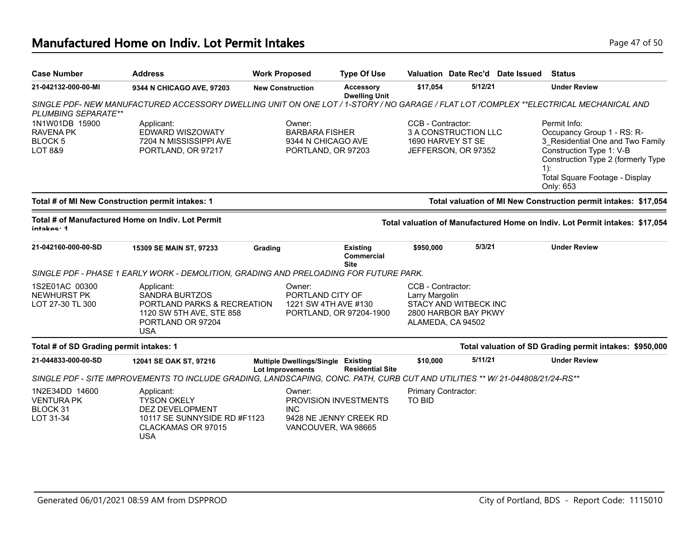| <b>Case Number</b>                                                         | <b>Address</b>                                                                                                                    | <b>Work Proposed</b>                                          |                                                                   | <b>Type Of Use</b>                       |                                                          | Valuation Date Rec'd                          | Date Issued | <b>Status</b>                                                                                                                                                                                             |
|----------------------------------------------------------------------------|-----------------------------------------------------------------------------------------------------------------------------------|---------------------------------------------------------------|-------------------------------------------------------------------|------------------------------------------|----------------------------------------------------------|-----------------------------------------------|-------------|-----------------------------------------------------------------------------------------------------------------------------------------------------------------------------------------------------------|
| 21-042132-000-00-MI                                                        | 9344 N CHICAGO AVE, 97203                                                                                                         | <b>New Construction</b>                                       |                                                                   | <b>Accessory</b><br><b>Dwelling Unit</b> | \$17,054                                                 | 5/12/21                                       |             | <b>Under Review</b>                                                                                                                                                                                       |
| PLUMBING SEPARATE**                                                        | SINGLE PDF-NEW MANUFACTURED ACCESSORY DWELLING UNIT ON ONE LOT/1-STORY/NO GARAGE/FLAT LOT/COMPLEX **ELECTRICAL MECHANICAL AND     |                                                               |                                                                   |                                          |                                                          |                                               |             |                                                                                                                                                                                                           |
| 1N1W01DB 15900<br><b>RAVENA PK</b><br><b>BLOCK 5</b><br><b>LOT 8&amp;9</b> | Applicant:<br>EDWARD WISZOWATY<br>7204 N MISSISSIPPI AVE<br>PORTLAND, OR 97217                                                    | Owner:                                                        | <b>BARBARA FISHER</b><br>9344 N CHICAGO AVE<br>PORTLAND, OR 97203 |                                          | CCB - Contractor:<br>1690 HARVEY ST SE                   | 3 A CONSTRUCTION LLC<br>JEFFERSON, OR 97352   |             | Permit Info:<br>Occupancy Group 1 - RS: R-<br>3 Residential One and Two Family<br>Construction Type 1: V-B<br>Construction Type 2 (formerly Type<br>$1)$ :<br>Total Square Footage - Display<br>Only: 653 |
|                                                                            | Total # of MI New Construction permit intakes: 1                                                                                  |                                                               |                                                                   |                                          |                                                          |                                               |             | Total valuation of MI New Construction permit intakes: \$17,054                                                                                                                                           |
| intakae: 4                                                                 | Total # of Manufactured Home on Indiv. Lot Permit                                                                                 |                                                               |                                                                   |                                          |                                                          |                                               |             | Total valuation of Manufactured Home on Indiv. Lot Permit intakes: \$17,054                                                                                                                               |
| 21-042160-000-00-SD                                                        | 15309 SE MAIN ST, 97233                                                                                                           | Grading                                                       |                                                                   | Existing<br>Commercial<br><b>Site</b>    | \$950,000                                                | 5/3/21                                        |             | <b>Under Review</b>                                                                                                                                                                                       |
|                                                                            | SINGLE PDF - PHASE 1 EARLY WORK - DEMOLITION, GRADING AND PRELOADING FOR FUTURE PARK.                                             |                                                               |                                                                   |                                          |                                                          |                                               |             |                                                                                                                                                                                                           |
| 1S2E01AC 00300<br><b>NEWHURST PK</b><br>LOT 27-30 TL 300                   | Applicant:<br><b>SANDRA BURTZOS</b><br>PORTLAND PARKS & RECREATION<br>1120 SW 5TH AVE, STE 858<br>PORTLAND OR 97204<br><b>USA</b> | Owner:                                                        | PORTLAND CITY OF<br>1221 SW 4TH AVE #130                          | PORTLAND, OR 97204-1900                  | CCB - Contractor:<br>Larry Margolin<br>ALAMEDA, CA 94502 | STACY AND WITBECK INC<br>2800 HARBOR BAY PKWY |             |                                                                                                                                                                                                           |
| Total # of SD Grading permit intakes: 1                                    |                                                                                                                                   |                                                               |                                                                   |                                          |                                                          |                                               |             | Total valuation of SD Grading permit intakes: \$950,000                                                                                                                                                   |
| 21-044833-000-00-SD                                                        | 12041 SE OAK ST, 97216                                                                                                            | Multiple Dwellings/Single Existing<br><b>Lot Improvements</b> |                                                                   | <b>Residential Site</b>                  | \$10,000                                                 | 5/11/21                                       |             | <b>Under Review</b>                                                                                                                                                                                       |
|                                                                            | SINGLE PDF - SITE IMPROVEMENTS TO INCLUDE GRADING, LANDSCAPING, CONC. PATH, CURB CUT AND UTILITIES ** W/ 21-044808/21/24-RS**     |                                                               |                                                                   |                                          |                                                          |                                               |             |                                                                                                                                                                                                           |
| 1N2E34DD 14600<br><b>VENTURA PK</b><br>BLOCK 31                            | Applicant:<br><b>TYSON OKELY</b><br>DEZ DEVELOPMENT                                                                               | Owner:<br><b>INC</b>                                          |                                                                   | <b>PROVISION INVESTMENTS</b>             | Primary Contractor:<br><b>TO BID</b>                     |                                               |             |                                                                                                                                                                                                           |

9428 NE JENNY CREEK RD VANCOUVER, WA 98665

LOT 31-34

USA

10117 SE SUNNYSIDE RD #F1123

CLACKAMAS OR 97015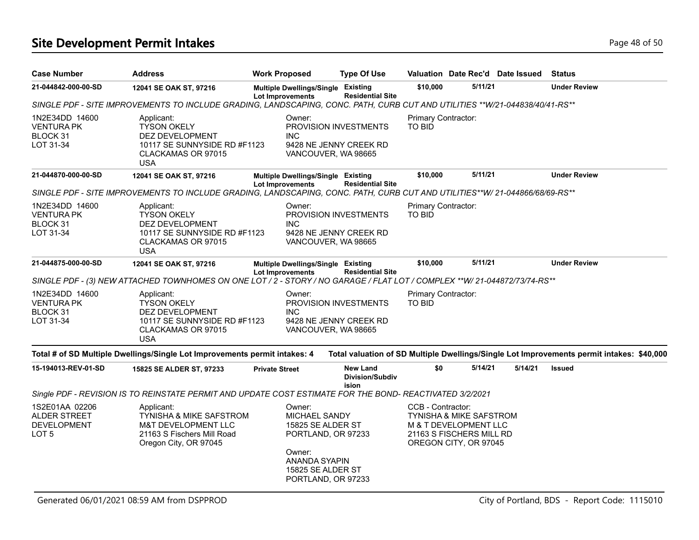# **Site Development Permit Intakes Page 48 of 50 Page 48 of 50**

| <b>Case Number</b>                                                              | <b>Address</b>                                                                                                                 | <b>Work Proposed</b>                                                                                                                     | <b>Type Of Use</b>                                 |                                      |                                                                                                                  | Valuation Date Rec'd Date Issued | <b>Status</b>                                                                             |
|---------------------------------------------------------------------------------|--------------------------------------------------------------------------------------------------------------------------------|------------------------------------------------------------------------------------------------------------------------------------------|----------------------------------------------------|--------------------------------------|------------------------------------------------------------------------------------------------------------------|----------------------------------|-------------------------------------------------------------------------------------------|
| 21-044842-000-00-SD                                                             | 12041 SE OAK ST, 97216                                                                                                         | Multiple Dwellings/Single Existing<br><b>Lot Improvements</b>                                                                            | <b>Residential Site</b>                            | \$10,000                             | 5/11/21                                                                                                          |                                  | <b>Under Review</b>                                                                       |
|                                                                                 | SINGLE PDF - SITE IMPROVEMENTS TO INCLUDE GRADING, LANDSCAPING, CONC. PATH, CURB CUT AND UTILITIES **W/21-044838/40/41-RS**    |                                                                                                                                          |                                                    |                                      |                                                                                                                  |                                  |                                                                                           |
| 1N2E34DD 14600<br>VENTURA PK<br>BLOCK 31<br>LOT 31-34                           | Applicant:<br><b>TYSON OKELY</b><br>DEZ DEVELOPMENT<br>10117 SE SUNNYSIDE RD #F1123<br>CLACKAMAS OR 97015<br><b>USA</b>        | Owner:<br>PROVISION INVESTMENTS<br><b>INC</b><br>9428 NE JENNY CREEK RD<br>VANCOUVER, WA 98665                                           |                                                    | Primary Contractor:<br><b>TO BID</b> |                                                                                                                  |                                  |                                                                                           |
| 21-044870-000-00-SD                                                             | 12041 SE OAK ST, 97216                                                                                                         | Multiple Dwellings/Single Existing<br>Lot Improvements                                                                                   | <b>Residential Site</b>                            | \$10,000                             | 5/11/21                                                                                                          |                                  | <b>Under Review</b>                                                                       |
|                                                                                 | SINGLE PDF - SITE IMPROVEMENTS TO INCLUDE GRADING, LANDSCAPING, CONC. PATH, CURB CUT AND UTILITIES**W/ 21-044866/68/69-RS**    |                                                                                                                                          |                                                    |                                      |                                                                                                                  |                                  |                                                                                           |
| 1N2E34DD 14600<br><b>VENTURA PK</b><br>BLOCK 31<br>LOT 31-34                    | Applicant:<br><b>TYSON OKELY</b><br>DEZ DEVELOPMENT<br>10117 SE SUNNYSIDE RD #F1123<br>CLACKAMAS OR 97015<br><b>USA</b>        | Owner:<br>PROVISION INVESTMENTS<br><b>INC</b><br>9428 NE JENNY CREEK RD<br>VANCOUVER, WA 98665                                           |                                                    | Primary Contractor:<br>TO BID        |                                                                                                                  |                                  |                                                                                           |
| 21-044875-000-00-SD                                                             | 12041 SE OAK ST, 97216                                                                                                         | Multiple Dwellings/Single Existing<br><b>Lot Improvements</b>                                                                            | <b>Residential Site</b>                            | \$10,000                             | 5/11/21                                                                                                          |                                  | <b>Under Review</b>                                                                       |
|                                                                                 | SINGLE PDF - (3) NEW ATTACHED TOWNHOMES ON ONE LOT / 2 - STORY / NO GARAGE / FLAT LOT / COMPLEX **W/ 21-044872/73/74-RS**      |                                                                                                                                          |                                                    |                                      |                                                                                                                  |                                  |                                                                                           |
| 1N2E34DD 14600<br><b>VENTURA PK</b><br><b>BLOCK 31</b><br>LOT 31-34             | Applicant:<br><b>TYSON OKELY</b><br>DEZ DEVELOPMENT<br>10117 SE SUNNYSIDE RD #F1123<br>CLACKAMAS OR 97015<br><b>USA</b>        | Owner:<br>PROVISION INVESTMENTS<br><b>INC</b><br>9428 NE JENNY CREEK RD<br>VANCOUVER, WA 98665                                           |                                                    | Primary Contractor:<br>TO BID        |                                                                                                                  |                                  |                                                                                           |
|                                                                                 | Total # of SD Multiple Dwellings/Single Lot Improvements permit intakes: 4                                                     |                                                                                                                                          |                                                    |                                      |                                                                                                                  |                                  | Total valuation of SD Multiple Dwellings/Single Lot Improvements permit intakes: \$40,000 |
| 15-194013-REV-01-SD                                                             | 15825 SE ALDER ST, 97233                                                                                                       | <b>Private Street</b>                                                                                                                    | <b>New Land</b><br><b>Division/Subdiv</b><br>ision | \$0                                  | 5/14/21                                                                                                          | 5/14/21                          | <b>Issued</b>                                                                             |
|                                                                                 | Single PDF - REVISION IS TO REINSTATE PERMIT AND UPDATE COST ESTIMATE FOR THE BOND- REACTIVATED 3/2/2021                       |                                                                                                                                          |                                                    |                                      |                                                                                                                  |                                  |                                                                                           |
| 1S2E01AA 02206<br><b>ALDER STREET</b><br><b>DEVELOPMENT</b><br>LOT <sub>5</sub> | Applicant:<br>TYNISHA & MIKE SAFSTROM<br><b>M&amp;T DEVELOPMENT LLC</b><br>21163 S Fischers Mill Road<br>Oregon City, OR 97045 | Owner:<br>MICHAEL SANDY<br>15825 SE ALDER ST<br>PORTLAND, OR 97233<br>Owner:<br>ANANDA SYAPIN<br>15825 SE ALDER ST<br>PORTLAND, OR 97233 |                                                    | CCB - Contractor:                    | TYNISHA & MIKE SAFSTROM<br><b>M &amp; T DEVELOPMENT LLC</b><br>21163 S FISCHERS MILL RD<br>OREGON CITY, OR 97045 |                                  |                                                                                           |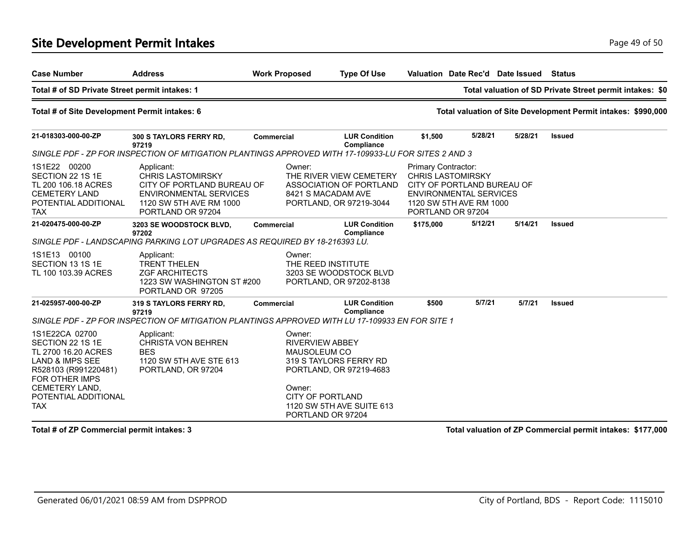#### **Site Development Permit Intakes Page 49 of 50 Page 49 of 50**

| <b>Case Number</b>                                                                                                                                                                        | <b>Address</b>                                                                                                                                        | <b>Work Proposed</b>                                                                         | <b>Type Of Use</b>                                                                                  |                                                                      |                                                                                        | Valuation Date Rec'd Date Issued | <b>Status</b>                                                 |
|-------------------------------------------------------------------------------------------------------------------------------------------------------------------------------------------|-------------------------------------------------------------------------------------------------------------------------------------------------------|----------------------------------------------------------------------------------------------|-----------------------------------------------------------------------------------------------------|----------------------------------------------------------------------|----------------------------------------------------------------------------------------|----------------------------------|---------------------------------------------------------------|
| Total # of SD Private Street permit intakes: 1                                                                                                                                            |                                                                                                                                                       |                                                                                              |                                                                                                     |                                                                      |                                                                                        |                                  | Total valuation of SD Private Street permit intakes: \$0      |
| Total # of Site Development Permit intakes: 6                                                                                                                                             |                                                                                                                                                       |                                                                                              |                                                                                                     |                                                                      |                                                                                        |                                  | Total valuation of Site Development Permit intakes: \$990,000 |
| 21-018303-000-00-ZP                                                                                                                                                                       | 300 S TAYLORS FERRY RD,<br>97219                                                                                                                      | <b>Commercial</b>                                                                            | <b>LUR Condition</b><br>Compliance                                                                  | \$1,500                                                              | 5/28/21                                                                                | 5/28/21                          | <b>Issued</b>                                                 |
|                                                                                                                                                                                           | SINGLE PDF - ZP FOR INSPECTION OF MITIGATION PLANTINGS APPROVED WITH 17-109933-LU FOR SITES 2 AND 3                                                   |                                                                                              |                                                                                                     |                                                                      |                                                                                        |                                  |                                                               |
| 1S1E22 00200<br>SECTION 22 1S 1E<br>TL 200 106.18 ACRES<br><b>CEMETERY LAND</b><br>POTENTIAL ADDITIONAL<br><b>TAX</b>                                                                     | Applicant:<br><b>CHRIS LASTOMIRSKY</b><br>CITY OF PORTLAND BUREAU OF<br><b>ENVIRONMENTAL SERVICES</b><br>1120 SW 5TH AVE RM 1000<br>PORTLAND OR 97204 | Owner:                                                                                       | THE RIVER VIEW CEMETERY<br>ASSOCIATION OF PORTLAND<br>8421 S MACADAM AVE<br>PORTLAND, OR 97219-3044 | Primary Contractor:<br><b>CHRIS LASTOMIRSKY</b><br>PORTLAND OR 97204 | CITY OF PORTLAND BUREAU OF<br><b>ENVIRONMENTAL SERVICES</b><br>1120 SW 5TH AVE RM 1000 |                                  |                                                               |
| 21-020475-000-00-ZP                                                                                                                                                                       | 3203 SE WOODSTOCK BLVD,<br>97202                                                                                                                      | <b>Commercial</b>                                                                            | <b>LUR Condition</b><br>Compliance                                                                  | \$175,000                                                            | 5/12/21                                                                                | 5/14/21                          | <b>Issued</b>                                                 |
|                                                                                                                                                                                           | SINGLE PDF - LANDSCAPING PARKING LOT UPGRADES AS REQUIRED BY 18-216393 LU.                                                                            |                                                                                              |                                                                                                     |                                                                      |                                                                                        |                                  |                                                               |
| 1S1E13 00100<br>SECTION 13 1S 1E<br>TL 100 103.39 ACRES                                                                                                                                   | Applicant:<br><b>TRENT THELEN</b><br><b>ZGF ARCHITECTS</b><br>1223 SW WASHINGTON ST#200<br>PORTLAND OR 97205                                          | Owner:                                                                                       | THE REED INSTITUTE<br>3203 SE WOODSTOCK BLVD<br>PORTLAND, OR 97202-8138                             |                                                                      |                                                                                        |                                  |                                                               |
| 21-025957-000-00-ZP                                                                                                                                                                       | 319 S TAYLORS FERRY RD,<br>97219                                                                                                                      | <b>Commercial</b>                                                                            | <b>LUR Condition</b><br>Compliance                                                                  | \$500                                                                | 5/7/21                                                                                 | 5/7/21                           | <b>Issued</b>                                                 |
|                                                                                                                                                                                           | SINGLE PDF - ZP FOR INSPECTION OF MITIGATION PLANTINGS APPROVED WITH LU 17-109933 EN FOR SITE 1                                                       |                                                                                              |                                                                                                     |                                                                      |                                                                                        |                                  |                                                               |
| 1S1E22CA 02700<br>SECTION 22 1S 1E<br>TL 2700 16.20 ACRES<br><b>LAND &amp; IMPS SEE</b><br>R528103 (R991220481)<br><b>FOR OTHER IMPS</b><br><b>CEMETERY LAND,</b><br>POTENTIAL ADDITIONAL | Applicant:<br><b>CHRISTA VON BEHREN</b><br><b>BES</b><br>1120 SW 5TH AVE STE 613<br>PORTLAND, OR 97204                                                | Owner:<br><b>RIVERVIEW ABBEY</b><br><b>MAUSOLEUM CO</b><br>Owner:<br><b>CITY OF PORTLAND</b> | 319 S TAYLORS FERRY RD<br>PORTLAND, OR 97219-4683                                                   |                                                                      |                                                                                        |                                  |                                                               |
| TAX                                                                                                                                                                                       |                                                                                                                                                       |                                                                                              | 1120 SW 5TH AVE SUITE 613<br>PORTLAND OR 97204                                                      |                                                                      |                                                                                        |                                  |                                                               |

**Total # of ZP Commercial permit intakes: 3 Total valuation of ZP Commercial permit intakes: \$177,000**